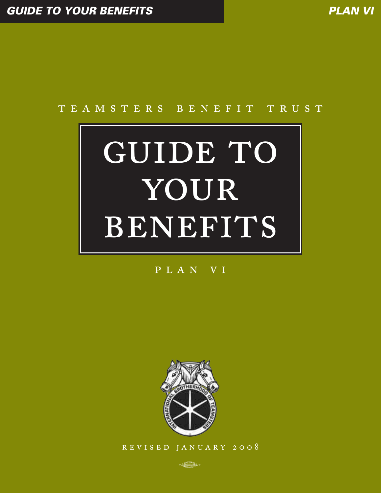# TEAMSTERS BENEFIT TRUST

# GUIDE TO YOUR BENEFITS

# PLAN VI



REVISED JANUARY 2008

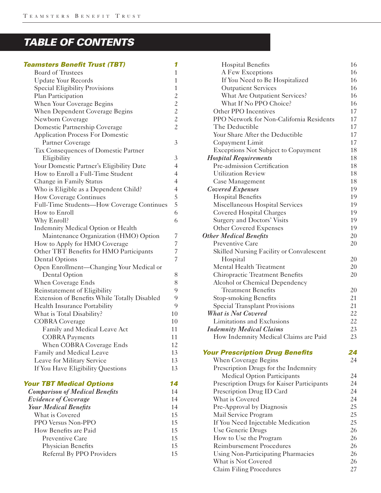# *TABLE OF CONTENTS*

# *Teamsters Benefit Trust (TBT) 1*

| <b>Board of Trustees</b>                     | $\mathbf{1}$                               |
|----------------------------------------------|--------------------------------------------|
| <b>Update Your Records</b>                   | $\mathbf{1}$                               |
| <b>Special Eligibility Provisions</b>        | $\mathbf{1}$                               |
| Plan Participation                           | $\overline{c}$                             |
| When Your Coverage Begins                    |                                            |
| When Dependent Coverage Begins               |                                            |
| Newborn Coverage                             | $\begin{array}{c} 2 \\ 2 \\ 2 \end{array}$ |
| Domestic Partnership Coverage                | $\overline{c}$                             |
| <b>Application Process For Domestic</b>      |                                            |
| Partner Coverage                             | 3                                          |
| Tax Consequences of Domestic Partner         |                                            |
| Eligibility                                  | 3                                          |
| Your Domestic Partner's Eligibility Date     | $\overline{4}$                             |
| How to Enroll a Full-Time Student            | $\overline{4}$                             |
| Change in Family Status                      | $\overline{4}$                             |
| Who is Eligible as a Dependent Child?        | $\overline{4}$                             |
| How Coverage Continues                       | 5                                          |
| Full-Time Students—How Coverage Continues    | 5                                          |
| How to Enroll                                | 6                                          |
| Why Enroll?                                  | 6                                          |
| Indemnity Medical Option or Health           |                                            |
| Maintenance Organization (HMO) Option        | 7                                          |
| How to Apply for HMO Coverage                | 7                                          |
| Other TBT Benefits for HMO Participants      | 7                                          |
| <b>Dental Options</b>                        | 7                                          |
| Open Enrollment—Changing Your Medical or     |                                            |
| Dental Option                                | 8                                          |
| When Coverage Ends                           | 8                                          |
| Reinstatement of Eligibility                 | 9                                          |
| Extension of Benefits While Totally Disabled | 9                                          |
| Health Insurance Portability                 | 9                                          |
| What is Total Disability?                    | 10                                         |
| <b>COBRA</b> Coverage                        | 10                                         |
| Family and Medical Leave Act                 | 11                                         |
| <b>COBRA Payments</b>                        | 11                                         |
| When COBRA Coverage Ends                     | 12                                         |
| Family and Medical Leave                     | 13                                         |
| Leave for Military Service                   | 13                                         |
| If You Have Eligibility Questions            | 13                                         |
| <b>Your TBT Medical Options</b>              | 14                                         |
| <b>Comparison of Medical Benefits</b>        | 14                                         |
| <b>Evidence of Coverage</b>                  | 14                                         |

| Evidence of Coverage         | 14  |
|------------------------------|-----|
| <b>Your Medical Benefits</b> | 14  |
| What is Covered              | 15  |
| PPO Versus Non-PPO           | 15  |
| How Benefits are Paid        | 15  |
| Preventive Care              | 1.5 |
| Physician Benefits           | 15  |
| Referral By PPO Providers    | 1.5 |
|                              |     |

| <b>Hospital Benefits</b>                   | 16 |
|--------------------------------------------|----|
| A Few Exceptions                           | 16 |
| If You Need to Be Hospitalized             | 16 |
| <b>Outpatient Services</b>                 | 16 |
| What Are Outpatient Services?              | 16 |
| What If No PPO Choice?                     | 16 |
| Other PPO Incentives                       | 17 |
| PPO Network for Non-California Residents   | 17 |
| The Deductible                             | 17 |
| Your Share After the Deductible            | 17 |
| Copayment Limit                            | 17 |
| <b>Exceptions Not Subject to Copayment</b> | 18 |
| <b>Hospital Requirements</b>               | 18 |
| Pre-admission Certification                | 18 |
| <b>Utilization Review</b>                  | 18 |
| Case Management                            | 18 |
| <b>Covered Expenses</b>                    | 19 |
| <b>Hospital Benefits</b>                   | 19 |
| Miscellaneous Hospital Services            | 19 |
| Covered Hospital Charges                   | 19 |
| Surgery and Doctors' Visits                | 19 |
| <b>Other Covered Expenses</b>              | 19 |
| <b>Other Medical Benefits</b>              | 20 |
| Preventive Care                            | 20 |
| Skilled Nursing Facility or Convalescent   |    |
| Hospital                                   | 20 |
| Mental Health Treatment                    | 20 |
| Chiropractic Treatment Benefits            | 20 |
| Alcohol or Chemical Dependency             |    |
| <b>Treatment Benefits</b>                  | 20 |
| Stop-smoking Benefits                      | 21 |
| <b>Special Transplant Provisions</b>       | 21 |
| <b>What is Not Covered</b>                 | 22 |
| Limitations and Exclusions                 | 22 |
| <b>Indemnity Medical Claims</b>            | 23 |
| How Indemnity Medical Claims are Paid      | 23 |
|                                            |    |
| <b>Your Prescription Drug Benefits</b>     | 24 |
| When Coverage Begins                       | 24 |
| Prescription Drugs for the Indemnity       |    |
| <b>Medical Option Participants</b>         | 24 |
| Prescription Drugs for Kaiser Participants | 24 |
| Prescription Drug ID Card                  | 24 |
| What is Covered                            | 24 |
| Pre-Approval by Diagnosis                  | 25 |
| Mail Service Program                       | 25 |
| If You Need Injectable Medication          | 25 |
| Use Generic Drugs                          | 26 |
| How to Use the Program                     | 26 |
| <b>Reimbursement Procedures</b>            | 26 |
| <b>Using Non-Participating Pharmacies</b>  | 26 |
| What is Not Covered                        | 26 |
| Claim Filing Procedures                    | 27 |
|                                            |    |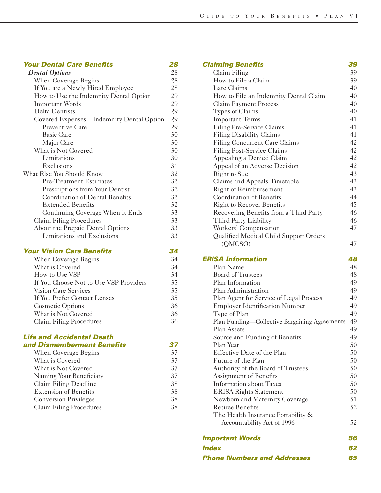# *Your Dental Care Benefits 28*

| <b>Dental Options</b>                    | 28 |
|------------------------------------------|----|
| When Coverage Begins                     | 28 |
| If You are a Newly Hired Employee        | 28 |
| How to Use the Indemnity Dental Option   | 29 |
| <b>Important Words</b>                   | 29 |
| Delta Dentists                           | 29 |
| Covered Expenses—Indemnity Dental Option | 29 |
| Preventive Care                          | 29 |
| <b>Basic Care</b>                        | 30 |
| Major Care                               | 30 |
| What is Not Covered                      | 30 |
| Limitations                              | 30 |
| Exclusions                               | 31 |
| What Else You Should Know                | 32 |
| <b>Pre-Treatment Estimates</b>           | 32 |
| Prescriptions from Your Dentist          | 32 |
| <b>Coordination of Dental Benefits</b>   | 32 |
| <b>Extended Benefits</b>                 | 32 |
| Continuing Coverage When It Ends         | 33 |
| Claim Filing Procedures                  | 33 |
| About the Prepaid Dental Options         | 33 |
| Limitations and Exclusions               | 33 |
|                                          |    |

# *Your Vision Care Benefits 34*

| When Coverage Begins                   | 34 |
|----------------------------------------|----|
| What is Covered                        | 34 |
| How to Use VSP                         | 34 |
| If You Choose Not to Use VSP Providers | 35 |
| Vision Care Services                   | 35 |
| If You Prefer Contact Lenses           |    |
| Cosmetic Options                       | 36 |
| What is Not Covered                    | 36 |
| Claim Filing Procedures                | 36 |

# *Life and Accidental Death and Dismemberment Benefits 37*

| When Coverage Begins         | 37 |
|------------------------------|----|
| What is Covered              | 37 |
| What is Not Covered          | 37 |
| Naming Your Beneficiary      | 37 |
| Claim Filing Deadline        | 38 |
| <b>Extension of Benefits</b> | 38 |
| <b>Conversion Privileges</b> | 38 |
| Claim Filing Procedures      | 38 |

| <b>Claiming Benefits</b>                      | 39 |
|-----------------------------------------------|----|
| Claim Filing                                  | 39 |
| How to File a Claim                           | 39 |
| Late Claims                                   | 40 |
| How to File an Indemnity Dental Claim         | 40 |
| <b>Claim Payment Process</b>                  | 40 |
| Types of Claims                               | 40 |
| <b>Important Terms</b>                        | 41 |
| Filing Pre-Service Claims                     | 41 |
| <b>Filing Disability Claims</b>               | 41 |
| <b>Filing Concurrent Care Claims</b>          | 42 |
| <b>Filing Post-Service Claims</b>             | 42 |
| Appealing a Denied Claim                      | 42 |
| Appeal of an Adverse Decision                 | 42 |
| Right to Sue                                  | 43 |
| Claims and Appeals Timetable                  | 43 |
| <b>Right of Reimbursement</b>                 | 43 |
| <b>Coordination of Benefits</b>               | 44 |
| <b>Right to Recover Benefits</b>              | 45 |
| Recovering Benefits from a Third Party        | 46 |
| Third Party Liability                         | 46 |
| Workers' Compensation                         | 47 |
| Qualified Medical Child Support Orders        |    |
| (QMCSO)                                       | 47 |
| <b>ERISA Information</b>                      | 48 |
| Plan Name                                     | 48 |
| <b>Board of Trustees</b>                      | 48 |
| Plan Information                              | 49 |
| Plan Administration                           | 49 |
| Plan Agent for Service of Legal Process       | 49 |
| <b>Employer Identification Number</b>         | 49 |
| Type of Plan                                  | 49 |
| Plan Funding—Collective Bargaining Agreements | 49 |
| <b>Plan Assets</b>                            | 49 |
| Source and Funding of Benefits                | 49 |
| Plan Year                                     | 50 |
| Effective Date of the Plan                    | 50 |
| Future of the Plan                            | 50 |
| Authority of the Board of Trustees            | 50 |
| Assignment of Benefits                        | 50 |
| <b>Information about Taxes</b>                | 50 |
| <b>ERISA Rights Statement</b>                 | 50 |
| Newborn and Maternity Coverage                | 51 |
| <b>Retiree Benefits</b>                       | 52 |
| The Health Insurance Portability $\&$         |    |
| Accountability Act of 1996                    | 52 |
| <b>Important Words</b>                        | 56 |
| <i><b>Index</b></i>                           |    |
| <b>Phone Numbers and Addresses</b>            | 65 |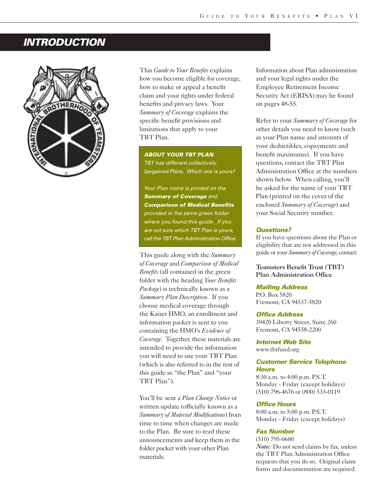# *INTRODUCTION*



This *Guide to Your Benefits* explains how you become eligible for coverage, how to make or appeal a benefit claim and your rights under federal benefits and privacy laws. Your *Summary of Coverage* explains the specific benefit provisions and limitations that apply to your TBT Plan.

*ABOUT YOUR TBT PLAN TBT has different collectively bargained Plans. Which one is yours?*

*Your Plan name is printed on the Summary of Coverage and Comparison of Medical Benefits provided in the same green folder where you found this guide. If you are not sure which TBT Plan is yours, call the TBT Plan Administration Office.*

This guide along with the *Summary of Coverage* and *Comparison of Medical Benefits* (all contained in the green folder with the heading *Your Benefits Package*) is technically known as a *Summary Plan Description*. If you choose medical coverage through the Kaiser HMO, an enrollment and information packet is sent to you containing the HMO's *Evidence of Coverage*. Together, these materials are intended to provide the information you will need to use your TBT Plan (which is also referred to in the rest of this guide as "the Plan" and "your TBT Plan").

You'll be sent a *Plan Change Notice* or written update (officially known as a *Summary of Material Modifications*) from time to time when changes are made to the Plan. Be sure to read these announcements and keep them in the folder pocket with your other Plan materials.

Information about Plan administration and your legal rights under the Employee Retirement Income Security Act (ERISA) may be found on pages 48-55.

Refer to your *Summary of Coverage* for other details you need to know (such as your Plan name and amounts of your deductibles, copayments and benefit maximums). If you have questions, contact the TBT Plan Administration Office at the numbers shown below. When calling, you'll be asked for the name of your TBT Plan (printed on the cover of the enclosed *Summary of Coverage*) and your Social Security number.

# *Questions?*

If you have questions about the Plan or eligibility that are not addressed in this guide or your *Summary of Coverage*, contact:

Teamsters Benefit Trust (TBT) Plan Administration Office

# *Mailing Address*

P.O. Box 5820 Fremont, CA 94537-5820

### *Office Address*

39420 Liberty Street, Suite 260 Fremont, CA 94538-2200

*Internet Web Site* www.tbtfund.org

# *Customer Service Telephone Hours*

8:30 a.m. to 4:00 p.m. P.S.T. Monday - Friday (except holidays) (510) 796-4676 or (800) 533-0119

### *Office Hours*

8:00 a.m. to 5:00 p.m. P.S.T. Monday - Friday (except holidays)

# *Fax Number*

(510) 795-0680 *Note:* Do not send claims by fax, unless the TBT Plan Administration Office requests that you do so. Original claim forms and documentation are required.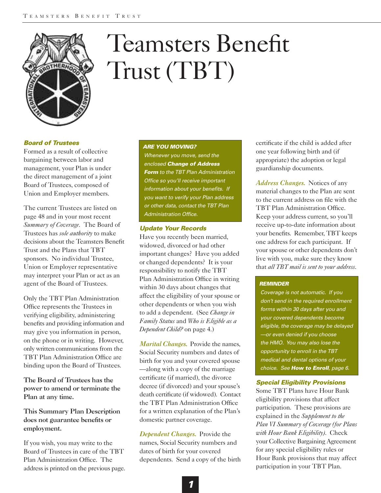

# Teamsters Benefit Trust (TBT)

# *Board of Trustees*

Formed as a result of collective bargaining between labor and management, your Plan is under the direct management of a joint Board of Trustees, composed of Union and Employer members.

The current Trustees are listed on page 48 and in your most recent *Summary of Coverage*. The Board of Trustees has *sole authority* to make decisions about the Teamsters Benefit Trust and the Plans that TBT sponsors. No individual Trustee, Union or Employer representative may interpret your Plan or act as an agent of the Board of Trustees.

Only the TBT Plan Administration Office represents the Trustees in verifying eligibility, administering benefits and providing information and may give you information in person, on the phone or in writing. However, only written communications from the TBT Plan Administration Office are binding upon the Board of Trustees.

The Board of Trustees has the power to amend or terminate the Plan at any time.

This Summary Plan Description does not guarantee benefits or employment.

If you wish, you may write to the Board of Trustees in care of the TBT Plan Administration Office. The address is printed on the previous page.

# *ARE YOU MOVING?*

*Whenever you move, send the enclosed Change of Address Form to the TBT Plan Administration Office so you'll receive important information about your benefits. If you want to verify your Plan address or other data, contact the TBT Plan Administration Office.*

# *Update Your Records*

Have you recently been married, widowed, divorced or had other important changes? Have you added or changed dependents? It is your responsibility to notify the TBT Plan Administration Office in writing within 30 days about changes that affect the eligibility of your spouse or other dependents or when you wish to add a dependent. (See *Change in Family Status* and *Who is Eligible as a Dependent Child?* on page 4.)

*Marital Changes.* Provide the names, Social Security numbers and dates of birth for you and your covered spouse —along with a copy of the marriage certificate (if married), the divorce decree (if divorced) and your spouse's death certificate (if widowed). Contact the TBT Plan Administration Office for a written explanation of the Plan's domestic partner coverage.

*Dependent Changes.* Provide the names, Social Security numbers and dates of birth for your covered dependents. Send a copy of the birth certificate if the child is added after one year following birth and (if appropriate) the adoption or legal guardianship documents.

*Address Changes.* Notices of any material changes to the Plan are sent to the current address on file with the TBT Plan Administration Office. Keep your address current, so you'll receive up-to-date information about your benefits. Remember, TBT keeps one address for each participant. If your spouse or other dependents don't live with you, make sure they know that *all TBT mail is sent to your address*.

# *REMINDER*

*Coverage is not automatic. If you don't send in the required enrollment forms within 30 days after you and your covered dependents become eligible, the coverage may be delayed —or even denied if you choose the HMO. You may also lose the opportunity to enroll in the TBT medical and dental options of your choice. See How to Enroll, page 6.*

# *Special Eligibility Provisions*

Some TBT Plans have Hour Bank eligibility provisions that affect participation. These provisions are explained in the *Supplement to the Plan VI Summary of Coverage (for Plans with Hour Bank Eligibility)*. Check your Collective Bargaining Agreement for any special eligibility rules or Hour Bank provisions that may affect participation in your TBT Plan.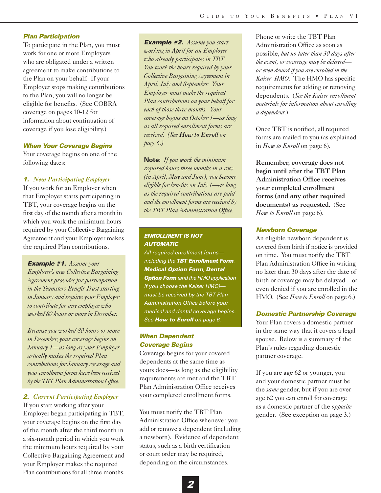# *Plan Participation*

To participate in the Plan, you must work for one or more Employers who are obligated under a written agreement to make contributions to the Plan on your behalf. If your Employer stops making contributions to the Plan, you will no longer be eligible for benefits. (See COBRA coverage on pages 10-12 for information about continuation of coverage if you lose eligibility.)

# *When Your Coverage Begins*

Your coverage begins on one of the following dates:

# *1. New Participating Employer*

If you work for an Employer when that Employer starts participating in TBT, your coverage begins on the first day of the month after a month in which you work the minimum hours required by your Collective Bargaining Agreement and your Employer makes the required Plan contributions.

*Example #1. Assume your Employer's new Collective Bargaining Agreement provides for participation in the Teamsters Benefit Trust starting in January and requires your Employer to contribute for any employee who worked 80 hours or more in December.* 

*Because you worked 80 hours or more in December, your coverage begins on January 1—as long as your Employer actually makes the required Plan contributions for January coverage and your enrollment forms have been received by the TBT Plan Administration Office.*

# *2. Current Participating Employer*

If you start working after your Employer began participating in TBT, your coverage begins on the first day of the month after the third month in a six-month period in which you work the minimum hours required by your Collective Bargaining Agreement and your Employer makes the required Plan contributions for all three months.

*Example #2. Assume you start working in April for an Employer who already participates in TBT. You work the hours required by your Collective Bargaining Agreement in April, July and September. Your Employer must make the required Plan contributions on your behalf for each of those three months. Your coverage begins on October 1—as long as all required enrollment forms are received. (See How to Enroll on page 6.)* 

**Note:** *If you work the minimum required hours three months in a row (in April, May and June), you become eligible for benefits on July 1—as long as the required contributions are paid and the enrollment forms are received by the TBT Plan Administration Office.* 

# *ENROLLMENT IS NOT AUTOMATIC*

*All required enrollment forms including the TBT Enrollment Form, Medical Option Form, Dental Option Form (and the HMO application if you choose the Kaiser HMO) must be received by the TBT Plan Administration Office before your medical and dental coverage begins. See How to Enroll on page 6.*

# *When Dependent Coverage Begins*

Coverage begins for your covered dependents at the same time as yours does—as long as the eligibility requirements are met and the TBT Plan Administration Office receives your completed enrollment forms.

You must notify the TBT Plan Administration Office whenever you add or remove a dependent (including a newborn). Evidence of dependent status, such as a birth certification or court order may be required, depending on the circumstances.

Phone or write the TBT Plan Administration Office as soon as possible, *but no later than 30 days after the event, or coverage may be delayed or even denied if you are enrolled in the Kaiser HMO*. The HMO has specific requirements for adding or removing dependents. (*See the Kaiser enrollment materials for information about enrolling a dependent*.)

Once TBT is notified, all required forms are mailed to you (as explained in *How to Enroll* on page 6).

Remember, coverage does not begin until after the TBT Plan Administration Office receives your completed enrollment forms (and any other required documents) as requested. (See *How to Enroll* on page 6).

### *Newborn Coverage*

An eligible newborn dependent is covered from birth if notice is provided on time. You must notify the TBT Plan Administration Office in writing no later than 30 days after the date of birth or coverage may be delayed—or even denied if you are enrolled in the HMO. (See *How to Enroll* on page 6.)

# *Domestic Partnership Coverage*

Your Plan covers a domestic partner in the same way that it covers a legal spouse. Below is a summary of the Plan's rules regarding domestic partner coverage.

If you are age 62 or younger, you and your domestic partner must be the *same* gender, but if you are over age 62 you can enroll for coverage as a domestic partner of the *opposite* gender. (See exception on page 3.)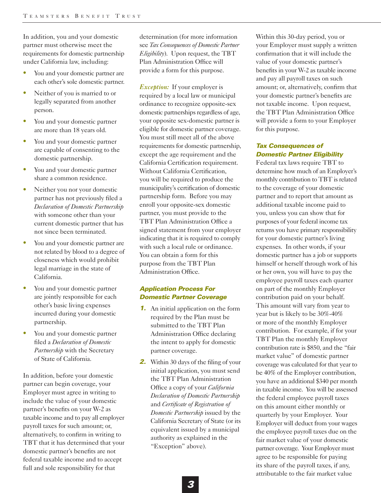In addition, you and your domestic partner must otherwise meet the requirements for domestic partnership under California law, including:

- **•** You and your domestic partner are each other's sole domestic partner.
- **•** Neither of you is married to or legally separated from another person.
- **•** You and your domestic partner are more than 18 years old.
- **•** You and your domestic partner are capable of consenting to the domestic partnership.
- **•** You and your domestic partner share a common residence.
- **•** Neither you nor your domestic partner has not previously filed a *Declaration of Domestic Partnership* with someone other than your current domestic partner that has not since been terminated.
- **•** You and your domestic partner are not related by blood to a degree of closeness which would prohibit legal marriage in the state of California.
- **•** You and your domestic partner are jointly responsible for each other's basic living expenses incurred during your domestic partnership.
- **•** You and your domestic partner filed a *Declaration of Domestic Partnership* with the Secretary of State of California.

In addition, before your domestic partner can begin coverage, your Employer must agree in writing to include the value of your domestic partner's benefits on your W-2 as taxable income and to pay all employer payroll taxes for such amount; or, alternatively, to confirm in writing to TBT that it has determined that your domestic partner's benefits are not federal taxable income and to accept full and sole responsibility for that

determination (for more information see *Tax Consequences of Domestic Partner Eligibility*). Upon request, the TBT Plan Administration Office will provide a form for this purpose.

*Exception:* If your employer is required by a local law or municipal ordinance to recognize opposite-sex domestic partnerships regardless of age, your opposite sex-domestic partner is eligible for domestic partner coverage. You must still meet all of the above requirements for domestic partnership, except the age requirement and the California Certification requirement. Without California Certification, you will be required to produce the municipality's certification of domestic partnership form. Before you may enroll your opposite-sex domestic partner, you must provide to the TBT Plan Administration Office a signed statement from your employer indicating that it is required to comply with such a local rule or ordinance. You can obtain a form for this purpose from the TBT Plan Administration Office.

# *Application Process For Domestic Partner Coverage*

- *1.* An initial application on the form required by the Plan must be submitted to the TBT Plan Administration Office declaring the intent to apply for domestic partner coverage.
- **2.** Within 30 days of the filing of your initial application, you must send the TBT Plan Administration Office a copy of your *California Declaration of Domestic Partnership* and *Certificate of Registration of Domestic Partnership* issued by the California Secretary of State (or its equivalent issued by a municipal authority as explained in the "Exception" above).

Within this 30-day period, you or your Employer must supply a written confirmation that it will include the value of your domestic partner's benefits in your W-2 as taxable income and pay all payroll taxes on such amount; or, alternatively, confirm that your domestic partner's benefits are not taxable income. Upon request, the TBT Plan Administration Office will provide a form to your Employer for this purpose.

# *Tax Consequences of Domestic Partner Eligibility*

Federal tax laws require TBT to determine how much of an Employer's monthly contribution to TBT is related to the coverage of your domestic partner and to report that amount as additional taxable income paid to you, unless you can show that for purposes of your federal income tax returns you have primary responsibility for your domestic partner's living expenses. In other words, if your domestic partner has a job or supports himself or herself through work of his or her own, you will have to pay the employee payroll taxes each quarter on part of the monthly Employer contribution paid on your behalf. This amount will vary from year to year but is likely to be 30%-40% or more of the monthly Employer contribution. For example, if for your TBT Plan the monthly Employer contribution rate is \$850, and the "fair market value" of domestic partner coverage was calculated for that year to be 40% of the Employer contribution, you have an additional \$340 per month in taxable income. You will be assessed the federal employee payroll taxes on this amount either monthly or quarterly by your Employer. Your Employer will deduct from your wages the employee payroll taxes due on the fair market value of your domestic partner coverage. Your Employer must agree to be responsible for paying its share of the payroll taxes, if any, attributable to the fair market value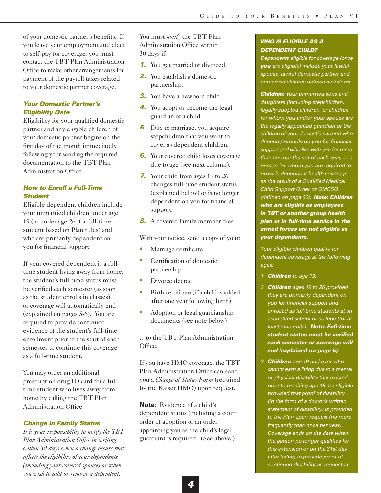of your domestic partner's benefits. If you leave your employment and elect to self-pay for coverage, you must contact the TBT Plan Administration Office to make other arrangements for payment of the payroll taxes related to your domestic partner coverage.

# *Your Domestic Partner's Eligibility Date*

Eligibility for your qualified domestic partner and any eligible children of your domestic partner begins on the first day of the month immediately following your sending the required documentation to the TBT Plan Administration Office.

# *How to Enroll a Full-Time Student*

Eligible dependent children include your unmarried children under age 19 (or under age 26 if a full-time student based on Plan rules) and who are primarily dependent on you for financial support.

If your covered dependent is a fulltime student living away from home, the student's full-time status must be verified each semester (as soon as the student enrolls in classes) or coverage will automatically end (explained on pages 5-6). You are required to provide continued evidence of the student's full-time enrollment prior to the start of each semester to continue this coverage as a full-time student.

You may order an additional prescription drug ID card for a fulltime student who lives away from home by calling the TBT Plan Administration Office.

# *Change in Family Status*

*It is your responsibility to notify the TBT Plan Administration Office in writing within 30 days when a change occurs that affects the eligibility of your dependents (including your covered spouse) or when you wish to add or remove a dependent.* 

You must *notify* the TBT Plan Administration Office within 30 days if:

- *1.* You get married or divorced.
- *2.* You establish a domestic partnership.
- *3.* You have a newborn child.
- *4.* You adopt or become the legal guardian of a child.
- **5.** Due to marriage, you acquire stepchildren that you want to cover as dependent children.
- **6.** Your covered child loses coverage due to age (see next column).
- *7.* Your child from ages 19 to 26 changes full-time student status (explained below) or is no longer dependent on you for financial support.
- **8.** A covered family member dies.

With your notice, send a copy of your:

- **•** Marriage certificate
- **•** Certification of domestic partnership
- **•** Divorce decree
- Birth certificate (if a child is added after one year following birth)
- **•** Adoption or legal guardianship documents (see note below)

…to the TBT Plan Administration Office.

If you have HMO coverage, the TBT Plan Administration Office can send you a *Change of Status Form* (required by the Kaiser HMO) upon request.

**Note:** Evidence of a child's dependent status (including a court order of adoption or an order appointing you as the child's legal guardian) is required. (See above.)

# *WHO IS ELIGIBLE AS A DEPENDENT CHILD?*

*Dependents eligible for coverage (once you are eligible) include your lawful spouse, lawful domestic partner and unmarried children defined as follows:*

*Children: Your unmarried sons and daughters (including stepchildren, legally adopted children, or children for whom you and/or your spouse are the legally appointed guardian or the children of your domestic partner) who depend primarily on you for financial support and who live with you for more than six months out of each year, or a person for whom you are required to provide dependent health coverage as the result of a Qualified Medical Child Support Order or QMCSO (defined on page 60). Note: Children who are eligible as employees in TBT or another group health plan or in full-time service in the armed forces are not eligible as your dependents.*

*Your eligible children qualify for dependent coverage at the following ages:*

- *1. Children to age 19.*
- *2. Children ages 19 to 26 provided they are primarily dependent on you for financial support and enrolled as full-time students at an accredited school or college (for at least nine units). Note: Full-time student status must be verified each semester or coverage will end (explained on page 5).*
- *3. Children age 19 and over who cannot earn a living due to a mental or physical disability that existed prior to reaching age 19 are eligible provided that proof of disability (in the form of a doctor's written statement of disability) is provided to the Plan upon request (no more frequently than once per year). Coverage ends on the date when the person no longer qualifies for this extension or on the 31st day after failing to provide proof of continued disability as requested.*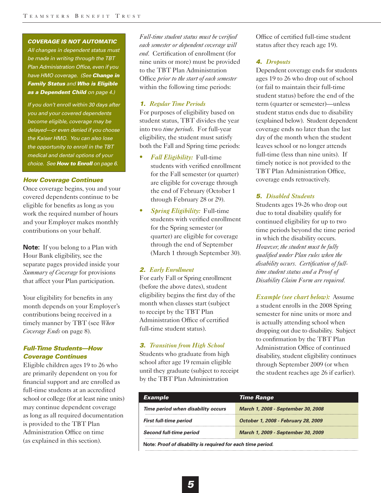### *COVERAGE IS NOT AUTOMATIC*

*All changes in dependent status must be made in writing through the TBT Plan Administration Office, even if you have HMO coverage. (See Change in Family Status and Who is Eligible as a Dependent Child on page 4.)* 

*If you don't enroll within 30 days after you and your covered dependents become eligible, coverage may be delayed—or even denied if you choose the Kaiser HMO. You can also lose the opportunity to enroll in the TBT medical and dental options of your choice. See How to Enroll on page 6.*

# *How Coverage Continues*

Once coverage begins, you and your covered dependents continue to be eligible for benefits as long as you work the required number of hours and your Employer makes monthly contributions on your behalf.

**Note:** If you belong to a Plan with Hour Bank eligibility, see the separate pages provided inside your *Summary of Coverage* for provisions that affect your Plan participation.

Your eligibility for benefits in any month depends on your Employer's contributions being received in a timely manner by TBT (see *When Coverage Ends* on page 8).

# *Full-Time Students—How Coverage Continues*

Eligible children ages 19 to 26 who are primarily dependent on you for financial support and are enrolled as full-time students at an accredited school or college (for at least nine units) may continue dependent coverage as long as all required documentation is provided to the TBT Plan Administration Office on time (as explained in this section).

*Full-time student status must be verified each semester or dependent coverage will end.* Certification of enrollment (for nine units or more) must be provided to the TBT Plan Administration Office *prior to the start of each semester* within the following time periods:

# *1. Regular Time Periods*

For purposes of eligibility based on student status, TBT divides the year into two *time periods*. For full-year eligibility, the student must satisfy both the Fall and Spring time periods:

- **•** *Fall Eligibility:* Full-time students with verified enrollment for the Fall semester (or quarter) are eligible for coverage through the end of February (October 1 through February 28 or 29).
- **•** *Spring Eligibility:* Full-time students with verified enrollment for the Spring semester (or quarter) are eligible for coverage through the end of September (March 1 through September 30).

# *2. Early Enrollment*

For early Fall or Spring enrollment (before the above dates), student eligibility begins the first day of the month when classes start (subject to receipt by the TBT Plan Administration Office of certified full-time student status).

# *3. Transition from High School*

Students who graduate from high school after age 19 remain eligible until they graduate (subject to receipt by the TBT Plan Administration

Office of certified full-time student status after they reach age 19).

# *4. Dropouts*

Dependent coverage ends for students ages 19 to 26 who drop out of school (or fail to maintain their full-time student status) before the end of the term (quarter or semester)—unless student status ends due to disability (explained below). Student dependent coverage ends no later than the last day of the month when the student leaves school or no longer attends full-time (less than nine units). If timely notice is not provided to the TBT Plan Administration Office, coverage ends retroactively.

# *5. Disabled Students*

Students ages 19-26 who drop out due to total disability qualify for continued eligibility for up to two time periods beyond the time period in which the disability occurs. *However, the student must be fully qualified under Plan rules when the disability occurs. Certification of fulltime student status and a Proof of Disability Claim Form are required.*

*Example (see chart below):* Assume a student enrolls in the 2008 Spring semester for nine units or more and is actually attending school when dropping out due to disability. Subject to confirmation by the TBT Plan Administration Office of continued disability, student eligibility continues through September 2009 (or when the student reaches age 26 if earlier).

| <b>Example</b>                                              | <b>Time Range</b>                   |
|-------------------------------------------------------------|-------------------------------------|
| Time period when disability occurs                          | March 1, 2008 - September 30, 2008  |
| <b>First full-time period</b>                               | October 1, 2008 - February 28, 2009 |
| Second full-time period                                     | March 1, 2009 - September 30, 2009  |
| Note: Proof of disability is required for each time period. |                                     |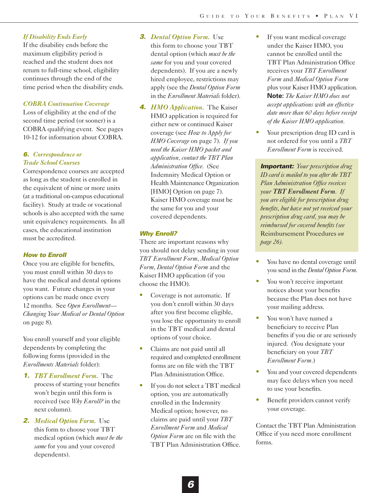# *If Disability Ends Early*

If the disability ends before the maximum eligibility period is reached and the student does not return to full-time school, eligibility continues through the end of the time period when the disability ends.

# *COBRA Continuation Coverage*

Loss of eligibility at the end of the second time period (or sooner) is a COBRA qualifying event. See pages 10-12 for information about COBRA.

# *6. Correspondence or Trade School Courses*

Correspondence courses are accepted as long as the student is enrolled in the equivalent of nine or more units (at a traditional on-campus educational facility). Study at trade or vocational schools is also accepted with the same unit equivalency requirements. In all cases, the educational institution must be accredited.

# *How to Enroll*

Once you are eligible for benefits, you must enroll within 30 days to have the medical and dental options you want. Future changes in your options can be made once every 12 months. See *Open Enrollment— Changing Your Medical or Dental Option* on page 8).

You enroll yourself and your eligible dependents by completing the following forms (provided in the *Enrollments Materials* folder):

- *1. TBT Enrollment Form.* The process of starting your benefits won't begin until this form is received (see *Why Enroll?* in the next column).
- *2. Medical Option Form.* Use this form to choose your TBT medical option (which *must be the same* for you and your covered dependents).

# *3. Dental Option Form.* Use

this form to choose your TBT dental option (which *must be the same* for you and your covered dependents). If you are a newly hired employee, restrictions may apply (see the *Dental Option Form* in the *Enrollment Materials* folder).

*4. HMO Application.* The Kaiser HMO application is required for either new or continued Kaiser coverage (see *How to Apply for HMO Coverage* on page 7). *If you need the Kaiser HMO packet and application, contact the TBT Plan Administration Office.* (See Indemnity Medical Option or Health Maintenance Organization [HMO] Option on page 7). Kaiser HMO coverage must be the same for you and your covered dependents.

# *Why Enroll?*

There are important reasons why you should not delay sending in your *TBT Enrollment Form*, *Medical Option Form*, *Dental Option Form* and the Kaiser HMO application (if you choose the HMO).

- **•** Coverage is not automatic. If you don't enroll within 30 days after you first become eligible, you lose the opportunity to enroll in the TBT medical and dental options of your choice.
- **•** Claims are not paid until all required and completed enrollment forms are on file with the TBT Plan Administration Office.
- **•** If you do not select a TBT medical option, you are automatically enrolled in the Indemnity Medical option; however, no claims are paid until your *TBT Enrollment Form* and *Medical Option Form* are on file with the TBT Plan Administration Office.
- **•** If you want medical coverage under the Kaiser HMO, you cannot be enrolled until the TBT Plan Administration Office receives your *TBT Enrollment Form* and *Medical Option Form* plus your Kaiser HMO application. **Note:** *The Kaiser HMO does not accept applications with an effective date more than 60 days before receipt of the Kaiser HMO application.*
- **•** Your prescription drug ID card is not ordered for you until a *TBT Enrollment Form* is received.

*Important: Your prescription drug ID card is mailed to you after the TBT Plan Administration Office receives your TBT Enrollment Form. If you are eligible for prescription drug benefits, but have not yet received your prescription drug card, you may be reimbursed for covered benefits (see* Reimbursement Procedures *on page 26).*

- **•** You have no dental coverage until you send in the *Dental Option Form*.
- You won't receive important notices about your benefits because the Plan does not have your mailing address.
- You won't have named a beneficiary to receive Plan benefits if you die or are seriously injured. (You designate your beneficiary on your *TBT Enrollment Form*.)
- **•** You and your covered dependents may face delays when you need to use your benefits.
- **•** Benefit providers cannot verify your coverage.

Contact the TBT Plan Administration Office if you need more enrollment forms.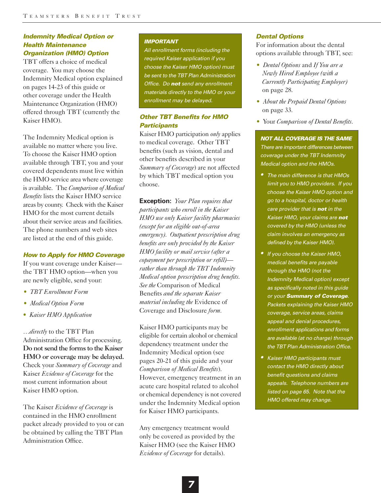# *Indemnity Medical Option or Health Maintenance Organization (HMO) Option*

TBT offers a choice of medical coverage. You may choose the Indemnity Medical option explained on pages 14-23 of this guide or other coverage under the Health Maintenance Organization (HMO) offered through TBT (currently the Kaiser HMO).

The Indemnity Medical option is available no matter where you live. To choose the Kaiser HMO option available through TBT, you and your covered dependents must live within the HMO service area where coverage is available. The *Comparison of Medical Benefits* lists the Kaiser HMO service areas by county. Check with the Kaiser HMO for the most current details about their service areas and facilities. The phone numbers and web sites are listed at the end of this guide.

# *How to Apply for HMO Coverage*

If you want coverage under Kaiser the TBT HMO option—when you are newly eligible, send your:

- *• TBT Enrollment Form*
- *• Medical Option Form*
- *Kaiser HMO Application*

*…directly* to the TBT Plan Administration Office for processing. Do not send the forms to the Kaiser HMO or coverage may be delayed. Check your *Summary of Coverage* and Kaiser *Evidence of Coverage* for the most current information about Kaiser HMO option.

The Kaiser *Evidence of Coverage* is contained in the HMO enrollment packet already provided to you or can be obtained by calling the TBT Plan Administration Office.

### *IMPORTANT*

*All enrollment forms (including the required Kaiser application if you choose the Kaiser HMO option) must be sent to the TBT Plan Administration Office. Do not send any enrollment materials directly to the HMO or your enrollment may be delayed.*

# *Other TBT Benefits for HMO Participants*

Kaiser HMO participation *only* applies to medical coverage. Other TBT benefits (such as vision, dental and other benefits described in your *Summary of Coverage*) are not affected by which TBT medical option you choose.

**Exception:** *Your Plan requires that participants who enroll in the Kaiser HMO use only Kaiser facility pharmacies (except for an eligible out-of-area emergency). Outpatient prescription drug benefits are only provided by the Kaiser HMO facility or mail service (after a copayment per prescription or refill) rather than through the TBT Indemnity Medical option prescription drug benefits. See the* Comparison of Medical Benefits *and the separate Kaiser material including the* Evidence of Coverage and Disclosure *form.* 

Kaiser HMO participants may be eligible for certain alcohol or chemical dependency treatment under the Indemnity Medical option (see pages 20-21 of this guide and your *Comparison of Medical Benefits*). However, emergency treatment in an acute care hospital related to alcohol or chemical dependency is not covered under the Indemnity Medical option for Kaiser HMO participants.

Any emergency treatment would only be covered as provided by the Kaiser HMO (see the Kaiser HMO *Evidence of Coverage* for details).

# *Dental Options*

For information about the dental options available through TBT, see:

- *• Dental Options* and *If You are a Newly Hired Employee (with a Currently Participating Employer)*  on page 28.
- *• About the Prepaid Dental Options*  on page 33*.*
- *•* Your *Comparison of Dental Benefits.*

# *NOT ALL COVERAGE IS THE SAME There are important differences between coverage under the TBT Indemnity Medical option and the HMOs.*

- *• The main difference is that HMOs limit you to HMO providers. If you choose the Kaiser HMO option and go to a hospital, doctor or health care provider that is not in the Kaiser HMO, your claims are not covered by the HMO (unless the claim involves an emergency as defined by the Kaiser HMO).*
- *• If you choose the Kaiser HMO, medical benefits are payable through the HMO (not the Indemnity Medical option) except as specifically noted in this guide or your Summary of Coverage. Packets explaining the Kaiser HMO coverage, service areas, claims appeal and denial procedures, enrollment applications and forms are available (at no charge) through the TBT Plan Administration Office.*
- *• Kaiser HMO participants must contact the HMO directly about benefit questions and claims appeals. Telephone numbers are listed on page 65. Note that the HMO offered may change.*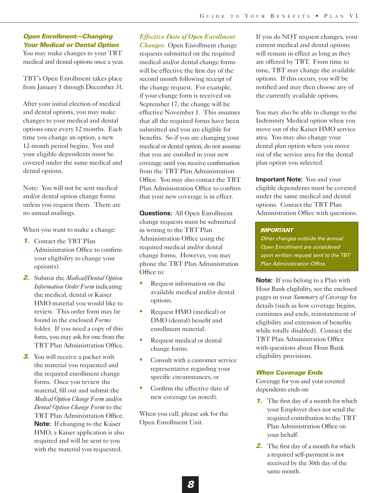# *Open Enrollment—Changing Your Medical or Dental Option*

You may make changes to your TBT medical and dental options once a year.

TBT's Open Enrollment takes place from January 1 through December 31.

After your initial election of medical and dental options, you may make changes to your medical and dental options once every 12 months. Each time you change an option, a new 12-month period begins. You and your eligible dependents must be covered under the same medical and dental options.

Note: You will not be sent medical and/or dental option change forms unless you request them. There are no annual mailings.

When you want to make a change:

- *1.* Contact the TBT Plan Administration Office to confirm your eligibility to change your option(s).
- *2.* Submit the *Medical/Dental Option Information Order Form* indicating the medical, dental or Kaiser HMO material you would like to review. This order form may be found in the enclosed *Forms* folder. If you need a copy of this form, you may ask for one from the TBT Plan Administration Office.
- **3.** You will receive a packet with the material you requested and the required enrollment change forms. Once you review the material, fill out and submit the *Medical Option Change Form* and/or *Dental Option Change Form* to the TBT Plan Administration Office. **Note:** If changing to the Kaiser HMO, a Kaiser application is also required and will be sent to you with the material you requested.

# *Effective Date of Open Enrollment*

*Changes:* Open Enrollment change requests submitted on the required medical and/or dental change forms will be effective the first day of the second month following receipt of the change request. For example, if your change form is received on September 17, the change will be effective November 1. This assumes that all the required forms have been submitted and you are eligible for benefits. So if you are changing your medical or dental option, do not assume that you are enrolled in your new coverage until you receive confirmation from the TBT Plan Administration Office. You may also contact the TBT Plan Administration Office to confirm that your new coverage is in effect.

**Questions:** All Open Enrollment change requests must be submitted in writing to the TBT Plan Administration Office using the required medical and/or dental change forms. However, you may phone the TBT Plan Administration Office to:

- **•** Request information on the available medical and/or dental options.
- **•** Request HMO (medical) or DMO (dental) benefit and enrollment material.
- **•** Request medical or dental change forms.
- Consult with a customer service representative regarding your specific circumstances, or
- **•** Confirm the effective date of new coverage (as noted).

When you call, please ask for the Open Enrollment Unit.

If you do NOT request changes, your current medical and dental options will remain in effect as long as they are offered by TBT. From time to time, TBT may change the available options. If this occurs, you will be notified and may then choose any of the currently available options.

You may also be able to change to the Indemnity Medical option when you move out of the Kaiser HMO service area. You may also change your dental plan option when you move out of the service area for the dental plan option you selected.

**Important Note:** You and your eligible dependents must be covered under the same medical and dental options. Contact the TBT Plan Administration Office with questions.

# *IMPORTANT*

*Other changes outside the annual Open Enrollment are considered upon written request sent to the TBT Plan Administration Office.*

**Note:** If you belong to a Plan with Hour Bank eligibility, see the enclosed pages in your *Summary of Coverage* for details (such as how coverage begins, continues and ends, reinstatement of eligibility and extension of benefits while totally disabled). Contact the TBT Plan Administration Office with questions about Hour Bank eligibility provisions.

# *When Coverage Ends*

Coverage for you and your covered dependents ends on:

- *1.* The first day of a month for which your Employer does not send the required contribution to the TBT Plan Administration Office on your behalf.
- *2.* The first day of a month for which a required self-payment is not received by the 30th day of the same month.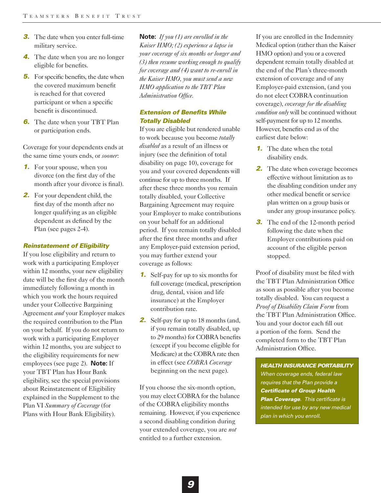- *3.* The date when you enter full-time military service.
- *4.* The date when you are no longer eligible for benefits.
- *5.* For specific benefits, the date when the covered maximum benefit is reached for that covered participant or when a specific benefit is discontinued.
- **6.** The date when your TBT Plan or participation ends.

Coverage for your dependents ends at the same time yours ends, or *sooner*:

- *1.* For your spouse, when you divorce (on the first day of the month after your divorce is final).
- *2.* For your dependent child, the first day of the month after no longer qualifying as an eligible dependent as defined by the Plan (see pages 2-4).

# *Reinstatement of Eligibility*

If you lose eligibility and return to work with a participating Employer within 12 months, your new eligibility date will be the first day of the month immediately following a month in which you work the hours required under your Collective Bargaining Agreement *and* your Employer makes the required contribution to the Plan on your behalf. If you do not return to work with a participating Employer within 12 months, you are subject to the eligibility requirements for new employees (see page 2). **Note:** If your TBT Plan has Hour Bank eligibility, see the special provisions about Reinstatement of Eligibility explained in the Supplement to the Plan VI *Summary of Coverage* (for Plans with Hour Bank Eligibility).

**Note:** *If you (1) are enrolled in the Kaiser HMO; (2) experience a lapse in your coverage of six months or longer and (3) then resume working enough to qualify for coverage and (4) want to re-enroll in the Kaiser HMO, you must send a new HMO application to the TBT Plan Administration Office.*

# *Extension of Benefits While Totally Disabled*

If you are eligible but rendered unable to work because you become *totally disabled* as a result of an illness or injury (see the definition of total disability on page 10), coverage for you and your covered dependents will continue for up to three months. If after these three months you remain totally disabled, your Collective Bargaining Agreement may require your Employer to make contributions on your behalf for an additional period. If you remain totally disabled after the first three months and after any Employer-paid extension period, you may further extend your coverage as follows:

- *1.* Self-pay for up to six months for full coverage (medical, prescription drug, dental, vision and life insurance) at the Employer contribution rate.
- *2.* Self-pay for up to 18 months (and, if you remain totally disabled, up to 29 months) for COBRA benefits (except if you become eligible for Medicare) at the COBRA rate then in effect (see *COBRA Coverage* beginning on the next page).

If you choose the six-month option, you may elect COBRA for the balance of the COBRA eligibility months remaining. However, if you experience a second disabling condition during your extended coverage, you are *not* entitled to a further extension.

If you are enrolled in the Indemnity Medical option (rather than the Kaiser HMO option) and you or a covered dependent remain totally disabled at the end of the Plan's three-month extension of coverage and of any Employer-paid extension, (and you do not elect COBRA continuation coverage), *coverage for the disabling condition only* will be continued without self-payment for up to 12 months. However, benefits end as of the earliest date below:

- *1.* The date when the total disability ends.
- **2.** The date when coverage becomes effective without limitation as to the disabling condition under any other medical benefit or service plan written on a group basis or under any group insurance policy.
- **3.** The end of the 12-month period following the date when the Employer contributions paid on account of the eligible person stopped.

Proof of disability must be filed with the TBT Plan Administration Office as soon as possible after you become totally disabled. You can request a *Proof of Disability Claim Form* from the TBT Plan Administration Office. You and your doctor each fill out a portion of the form. Send the completed form to the TBT Plan Administration Office.

*HEALTH INSURANCE PORTABILITY When coverage ends, federal law requires that the Plan provide a Certificate of Group Health Plan Coverage. This certificate is intended for use by any new medical plan in which you enroll.*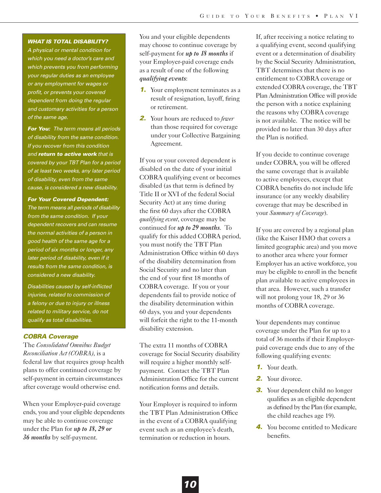# *WHAT IS TOTAL DISABILITY?*

*A physical or mental condition for which you need a doctor's care and which prevents you from performing your regular duties as an employee or any employment for wages or profit, or prevents your covered dependent from doing the regular and customary activities for a person of the same age.* 

*For You: The term means all periods of disability from the same condition. If you recover from this condition and return to active work that is covered by your TBT Plan for a period of at least two weeks, any later period of disability, even from the same cause, is considered a new disability.* 

*For Your Covered Dependent: The term means all periods of disability from the same condition. If your dependent recovers and can resume the normal activities of a person in good health of the same age for a period of six months or longer, any later period of disability, even if it results from the same condition, is considered a new disability.* 

*Disabilities caused by self-inflicted injuries, related to commission of a felony or due to injury or illness related to military service, do not qualify as total disabilities.*

# *COBRA Coverage*

The *Consolidated Omnibus Budget Reconciliation Act (COBRA)*, is a federal law that requires group health plans to offer continued coverage by self-payment in certain circumstances after coverage would otherwise end.

When your Employer-paid coverage ends, you and your eligible dependents may be able to continue coverage under the Plan for *up to 18, 29 or 36 months* by self-payment.

You and your eligible dependents may choose to continue coverage by self-payment for *up to 18 months* if your Employer-paid coverage ends as a result of one of the following *qualifying events*:

- **1.** Your employment terminates as a result of resignation, layoff, firing or retirement.
- *2.* Your hours are reduced to *fewer* than those required for coverage under your Collective Bargaining Agreement.

If you or your covered dependent is disabled on the date of your initial COBRA qualifying event or becomes disabled (as that term is defined by Title II or XVI of the federal Social Security Act) at any time during the first 60 days after the COBRA *qualifying event*, coverage may be continued for *up to 29 months*. To qualify for this added COBRA period, you must notify the TBT Plan Administration Office within 60 days of the disability determination from Social Security and no later than the end of your first 18 months of COBRA coverage. If you or your dependents fail to provide notice of the disability determination within 60 days, you and your dependents will forfeit the right to the 11-month disability extension.

The extra 11 months of COBRA coverage for Social Security disability will require a higher monthly selfpayment. Contact the TBT Plan Administration Office for the current notification forms and details.

Your Employer is required to inform the TBT Plan Administration Office in the event of a COBRA qualifying event such as an employee's death, termination or reduction in hours.

If, after receiving a notice relating to a qualifying event, second qualifying event or a determination of disability by the Social Security Administration, TBT determines that there is no entitlement to COBRA coverage or extended COBRA coverage, the TBT Plan Administration Office will provide the person with a notice explaining the reasons why COBRA coverage is not available. The notice will be provided no later than 30 days after the Plan is notified.

If you decide to continue coverage under COBRA, you will be offered the same coverage that is available to active employees, except that COBRA benefits do not include life insurance (or any weekly disability coverage that may be described in your *Summary of Coverage*).

If you are covered by a regional plan (like the Kaiser HMO that covers a limited geographic area) and you move to another area where your former Employer has an active workforce, you may be eligible to enroll in the benefit plan available to active employees in that area. However, such a transfer will not prolong your 18, 29 or 36 months of COBRA coverage.

Your dependents may continue coverage under the Plan for up to a total of 36 months if their Employerpaid coverage ends due to any of the following qualifying events:

- *1.* Your death.
- *2.* Your divorce.
- **3.** Your dependent child no longer qualifies as an eligible dependent as defined by the Plan (for example, the child reaches age 19).
- *4.* You become entitled to Medicare benefits.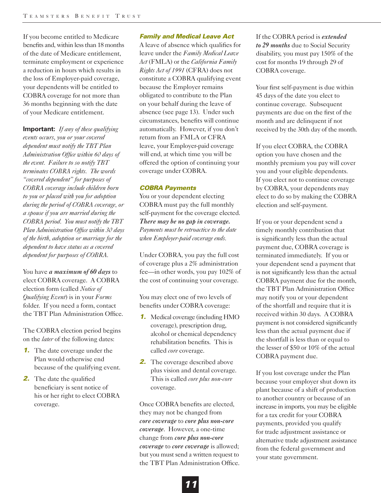If you become entitled to Medicare benefits and, within less than 18 months of the date of Medicare entitlement, terminate employment or experience a reduction in hours which results in the loss of Employer-paid coverage, your dependents will be entitled to COBRA coverage for not more than 36 months beginning with the date of your Medicare entitlement.

**Important:** *If any of these qualifying events occurs, you or your covered dependent must notify the TBT Plan Administration Office within 60 days of the event. Failure to so notify TBT terminates COBRA rights. The words "covered dependent" for purposes of COBRA coverage include children born to you or placed with you for adoption during the period of COBRA coverage, or a spouse if you are married during the COBRA period. You must notify the TBT Plan Administration Office within 30 days of the birth, adoption or marriage for the dependent to have status as a covered dependent for purposes of COBRA.*

You have *a maximum of 60 days* to elect COBRA coverage. A COBRA election form (called *Notice of Qualifying Event*) is in your *Forms* folder. If you need a form, contact the TBT Plan Administration Office.

The COBRA election period begins on the *later* of the following dates:

- *1.* The date coverage under the Plan would otherwise end because of the qualifying event.
- **2.** The date the qualified beneficiary is sent notice of his or her right to elect COBRA coverage.

# *Family and Medical Leave Act*

A leave of absence which qualifies for leave under the *Family Medical Leave Act* (FMLA) or the *California Family Rights Act of 1991* (CFRA) does not constitute a COBRA qualifying event because the Employer remains obligated to contribute to the Plan on your behalf during the leave of absence (see page 13). Under such circumstances, benefits will continue automatically. However, if you don't return from an FMLA or CFRA leave, your Employer-paid coverage will end, at which time you will be offered the option of continuing your coverage under COBRA.

# *COBRA Payments*

You or your dependent electing COBRA must pay the full monthly self-payment for the coverage elected. *There may be no gap in coverage. Payments must be retroactive to the date when Employer-paid coverage ends.*

Under COBRA, you pay the full cost of coverage plus a 2% administration fee—in other words, you pay 102% of the cost of continuing your coverage.

You may elect one of two levels of benefits under COBRA coverage:

- *1.* Medical coverage (including HMO coverage), prescription drug, alcohol or chemical dependency rehabilitation benefits. This is called *core* coverage.
- *2.* The coverage described above plus vision and dental coverage. This is called *core plus non-core* coverage.

Once COBRA benefits are elected, they may not be changed from *core coverage* to *core plus non-core coverage*. However, a one-time change from *core plus non-core coverage* to *core coverage* is allowed; but you must send a written request to the TBT Plan Administration Office. If the COBRA period is *extended to 29 months* due to Social Security disability, you must pay 150% of the cost for months 19 through 29 of COBRA coverage.

Your first self-payment is due within 45 days of the date you elect to continue coverage. Subsequent payments are due on the first of the month and are delinquent if not received by the 30th day of the month.

If you elect COBRA, the COBRA option you have chosen and the monthly premium you pay will cover you and your eligible dependents. If you elect not to continue coverage by COBRA, your dependents may elect to do so by making the COBRA election and self-payment.

If you or your dependent send a timely monthly contribution that is significantly less than the actual payment due, COBRA coverage is terminated immediately. If you or your dependent send a payment that is not significantly less than the actual COBRA payment due for the month, the TBT Plan Administration Office may notify you or your dependent of the shortfall and require that it is received within 30 days. A COBRA payment is not considered significantly less than the actual payment due if the shortfall is less than or equal to the lesser of \$50 or 10% of the actual COBRA payment due.

If you lost coverage under the Plan because your employer shut down its plant because of a shift of production to another country or because of an increase in imports, you may be eligible for a tax credit for your COBRA payments, provided you qualify for trade adjustment assistance or alternative trade adjustment assistance from the federal government and your state government.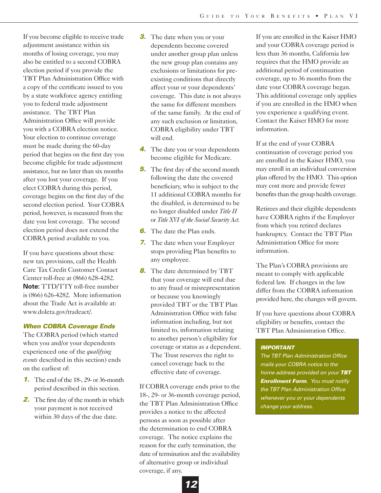If you become eligible to receive trade adjustment assistance within six months of losing coverage, you may also be entitled to a second COBRA election period if you provide the TBT Plan Administration Office with a copy of the certificate issued to you by a state workforce agency entitling you to federal trade adjustment assistance. The TBT Plan Administration Office will provide you with a COBRA election notice. Your election to continue coverage must be made during the 60-day period that begins on the first day you become eligible for trade adjustment assistance, but no later than six months after you lost your coverage. If you elect COBRA during this period, coverage begins on the first day of the second election period. Your COBRA period, however, is measured from the date you lost coverage. The second election period does not extend the COBRA period available to you.

If you have questions about these new tax provisions, call the Health Care Tax Credit Customer Contact Center toll-free at (866) 628-4282. **Note:** TTD/TTY toll-free number is (866) 626-4282. More information about the Trade Act is available at: www.doleta.gov/tradeact/.

# *When COBRA Coverage Ends*

The COBRA period (which started when you and/or your dependents experienced one of the *qualifying events* described in this section) ends on the earliest of:

- *1.* The end of the 18-, 29- or 36-month period described in this section.
- *2.* The first day of the month in which your payment is not received within 30 days of the due date.
- *3.* The date when you or your dependents become covered under another group plan unless the new group plan contains any exclusions or limitations for preexisting conditions that directly affect your or your dependents' coverage. This date is not always the same for different members of the same family. At the end of any such exclusion or limitation, COBRA eligibility under TBT will end.
- *4.* The date you or your dependents become eligible for Medicare.
- *5.* The first day of the second month following the date the covered beneficiary, who is subject to the 11 additional COBRA months for the disabled, is determined to be no longer disabled under *Title II* or *Title XVI of the Social Security Act*.
- *6.* The date the Plan ends.
- *7.* The date when your Employer stops providing Plan benefits to any employee.
- *8.* The date determined by TBT that your coverage will end due to any fraud or misrepresentation or because you knowingly provided TBT or the TBT Plan Administration Office with false information including, but not limited to, information relating to another person's eligibility for coverage or status as a dependent. The Trust reserves the right to cancel coverage back to the effective date of coverage.

If COBRA coverage ends prior to the 18-, 29- or 36-month coverage period, the TBT Plan Administration Office provides a notice to the affected persons as soon as possible after the determination to end COBRA coverage. The notice explains the reason for the early termination, the date of termination and the availability of alternative group or individual coverage, if any.

If you are enrolled in the Kaiser HMO and your COBRA coverage period is less than 36 months, California law requires that the HMO provide an additional period of continuation coverage, up to 36 months from the date your COBRA coverage began. This additional coverage only applies if you are enrolled in the HMO when you experience a qualifying event. Contact the Kaiser HMO for more information.

If at the end of your COBRA continuation of coverage period you are enrolled in the Kaiser HMO, you may enroll in an individual conversion plan offered by the HMO. This option may cost more and provide fewer benefits than the group health coverage.

Retirees and their eligible dependents have COBRA rights if the Employer from which you retired declares bankruptcy. Contact the TBT Plan Administration Office for more information.

The Plan's COBRA provisions are meant to comply with applicable federal law. If changes in the law differ from the COBRA information provided here, the changes will govern.

If you have questions about COBRA eligibility or benefits, contact the TBT Plan Administration Office.

# *IMPORTANT*

*The TBT Plan Administration Office mails your COBRA notice to the home address provided on your TBT Enrollment Form. You must notify the TBT Plan Administration Office whenever you or your dependents change your address.*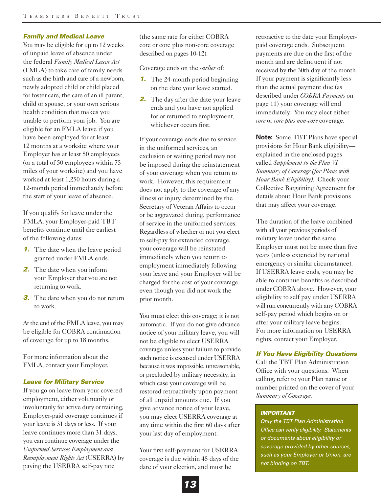# *Family and Medical Leave*

You may be eligible for up to 12 weeks of unpaid leave of absence under the federal *Family Medical Leave Act* (FMLA) to take care of family needs such as the birth and care of a newborn, newly adopted child or child placed for foster care, the care of an ill parent, child or spouse, or your own serious health condition that makes you unable to perform your job. You are eligible for an FMLA leave if you have been employed for at least 12 months at a worksite where your Employer has at least 50 employees (or a total of 50 employees within 75 miles of your worksite) and you have worked at least 1,250 hours during a 12-month period immediately before the start of your leave of absence.

If you qualify for leave under the FMLA, your Employer-paid TBT benefits continue until the earliest of the following dates:

- *1.* The date when the leave period granted under FMLA ends.
- *2.* The date when you inform your Employer that you are not returning to work.
- **3.** The date when you do not return to work.

At the end of the FMLA leave, you may be eligible for COBRA continuation of coverage for up to 18 months.

For more information about the FMLA, contact your Employer.

# *Leave for Military Service*

If you go on leave from your covered employment, either voluntarily or involuntarily for active duty or training, Employer-paid coverage continues if your leave is 31 days or less. If your leave continues more than 31 days, you can continue coverage under the *Uniformed Services Employment and Reemployment Rights Act* (USERRA) by paying the USERRA self-pay rate

(the same rate for either COBRA core or core plus non-core coverage described on pages 10-12).

Coverage ends on the *earlier* of:

- *1.* The 24-month period beginning on the date your leave started.
- **2.** The day after the date your leave ends and you have not applied for or returned to employment, whichever occurs first.

If your coverage ends due to service in the uniformed services, an exclusion or waiting period may not be imposed during the reinstatement of your coverage when you return to work. However, this requirement does not apply to the coverage of any illness or injury determined by the Secretary of Veteran Affairs to occur or be aggravated during, performance of service in the uniformed services. Regardless of whether or not you elect to self-pay for extended coverage, your coverage will be reinstated immediately when you return to employment immediately following your leave and your Employer will be charged for the cost of your coverage even though you did not work the prior month.

You must elect this coverage; it is not automatic. If you do not give advance notice of your military leave, you will not be eligible to elect USERRA coverage unless your failure to provide such notice is excused under USERRA because it was impossible, unreasonable, or precluded by military necessity, in which case your coverage will be restored retroactively upon payment of all unpaid amounts due. If you give advance notice of your leave, you may elect USERRA coverage at any time within the first 60 days after your last day of employment.

Your first self-payment for USERRA coverage is due within 45 days of the date of your election, and must be

retroactive to the date your Employerpaid coverage ends. Subsequent payments are due on the first of the month and are delinquent if not received by the 30th day of the month. If your payment is significantly less than the actual payment due (as described under *COBRA Payments* on page 11) your coverage will end immediately. You may elect either *core* or *core plus non-core* coverage.

**Note:** Some TBT Plans have special provisions for Hour Bank eligibility explained in the enclosed pages called *Supplement to the Plan VI Summary of Coverage (for Plans with Hour Bank Eligibility)*. Check your Collective Bargaining Agreement for details about Hour Bank provisions that may affect your coverage.

The duration of the leave combined with all your previous periods of military leave under the same Employer must not be more than five years (unless extended by national emergency or similar circumstance). If USERRA leave ends, you may be able to continue benefits as described under COBRA above. However, your eligibility to self pay under USERRA will run concurrently with any COBRA self-pay period which begins on or after your military leave begins. For more information on USERRA rights, contact your Employer.

# *If You Have Eligibility Questions*

Call the TBT Plan Administration Office with your questions. When calling, refer to your Plan name or number printed on the cover of your *Summary of Coverage*.

# *IMPORTANT*

*Only the TBT Plan Administration Office can verify eligibility. Statements or documents about eligibility or coverage provided by other sources, such as your Employer or Union, are not binding on TBT.*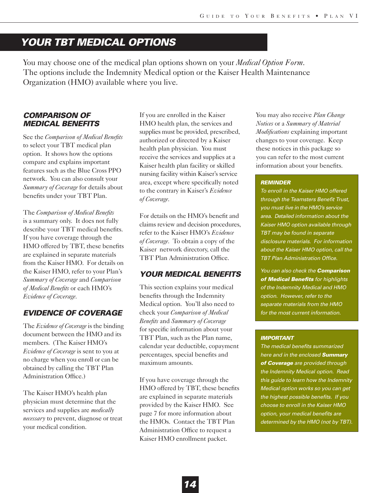# *YOUR TBT MEDICAL OPTIONS*

You may choose one of the medical plan options shown on your *Medical Option Form*. The options include the Indemnity Medical option or the Kaiser Health Maintenance Organization (HMO) available where you live.

# *COMPARISON OF MEDICAL BENEFITS*

See the *Comparison of Medical Benefits* to select your TBT medical plan option. It shows how the options compare and explains important features such as the Blue Cross PPO network. You can also consult your *Summary of Coverage* for details about benefits under your TBT Plan.

The *Comparison of Medical Benefits* is a summary only. It does not fully describe your TBT medical benefits. If you have coverage through the HMO offered by TBT, these benefits are explained in separate materials from the Kaiser HMO. For details on the Kaiser HMO, refer to your Plan's *Summary of Coverage* and *Comparison of Medical Benefits* or each HMO's *Evidence of Coverage*.

# *EVIDENCE OF COVERAGE*

The *Evidence of Coverage* is the binding document between the HMO and its members. (The Kaiser HMO's *Evidence of Coverage* is sent to you at no charge when you enroll or can be obtained by calling the TBT Plan Administration Office.)

The Kaiser HMO's health plan physician must determine that the services and supplies are *medically necessary* to prevent, diagnose or treat your medical condition.

If you are enrolled in the Kaiser HMO health plan, the services and supplies must be provided, prescribed, authorized or directed by a Kaiser health plan physician. You must receive the services and supplies at a Kaiser health plan facility or skilled nursing facility within Kaiser's service area, except where specifically noted to the contrary in Kaiser's *Evidence of Coverage*.

For details on the HMO's benefit and claims review and decision procedures, refer to the Kaiser HMO's *Evidence of Coverage*. To obtain a copy of the Kaiser network directory, call the TBT Plan Administration Office.

# *YOUR MEDICAL BENEFITS*

This section explains your medical benefits through the Indemnity Medical option. You'll also need to check your *Comparison of Medical Benefits* and *Summary of Coverage* for specific information about your TBT Plan, such as the Plan name, calendar year deductible, copayment percentages, special benefits and maximum amounts.

If you have coverage through the HMO offered by TBT, these benefits are explained in separate materials provided by the Kaiser HMO. See page 7 for more information about the HMOs. Contact the TBT Plan Administration Office to request a Kaiser HMO enrollment packet.

You may also receive *Plan Change Notices* or a *Summary of Material Modifications* explaining important changes to your coverage. Keep these notices in this package so you can refer to the most current information about your benefits.

# *REMINDER*

*To enroll in the Kaiser HMO offered through the Teamsters Benefit Trust, you must live in the HMO's service area. Detailed information about the Kaiser HMO option available through TBT may be found in separate disclosure materials. For information about the Kaiser HMO option, call the TBT Plan Administration Office.* 

*You can also check the Comparison of Medical Benefits for highlights of the Indemnity Medical and HMO option. However, refer to the separate materials from the HMO for the most current information.*

# *IMPORTANT*

*The medical benefits summarized here and in the enclosed Summary of Coverage are provided through the Indemnity Medical option. Read this guide to learn how the Indemnity Medical option works so you can get the highest possible benefits. If you choose to enroll in the Kaiser HMO option, your medical benefits are determined by the HMO (not by TBT).*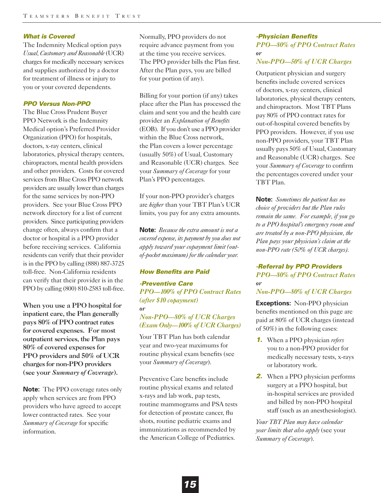# *What is Covered*

The Indemnity Medical option pays *Usual, Customary and Reasonable* (UCR) charges for medically necessary services and supplies authorized by a doctor for treatment of illness or injury to you or your covered dependents.

# *PPO Versus Non-PPO*

The Blue Cross Prudent Buyer PPO Network is the Indemnity Medical option's Preferred Provider Organization (PPO) for hospitals, doctors, x-ray centers, clinical laboratories, physical therapy centers, chiropractors, mental health providers and other providers. Costs for covered services from Blue Cross PPO network providers are usually lower than charges for the same services by non-PPO providers. See your Blue Cross PPO network directory for a list of current providers. Since participating providers change often, always confirm that a doctor or hospital is a PPO provider before receiving services. California residents can verify that their provider is in the PPO by calling (888) 887-3725 toll-free. Non-California residents can verify that their provider is in the PPO by calling (800) 810-2583 toll-free.

When you use a PPO hospital for inpatient care, the Plan generally pays 80% of PPO contract rates for covered expenses. For most outpatient services, the Plan pays 80% of covered expenses for PPO providers and 50% of UCR charges for non-PPO providers (see your *Summary of Coverage*).

**Note:** The PPO coverage rates only apply when services are from PPO providers who have agreed to accept lower contracted rates. See your *Summary of Coverage* for specific information.

Normally, PPO providers do not require advance payment from you at the time you receive services. The PPO provider bills the Plan first. After the Plan pays, you are billed for your portion (if any).

Billing for your portion (if any) takes place after the Plan has processed the claim and sent you and the health care provider an *Explanation of Benefits* (EOB). If you don't use a PPO provider within the Blue Cross network, the Plan covers a lower percentage (usually 50%) of Usual, Customary and Reasonable (UCR) charges. See your *Summary of Coverage* for your Plan's PPO percentages.

If your non-PPO provider's charges are *higher* than your TBT Plan's UCR limits, you pay for any extra amounts.

**Note:** *Because the extra amount is not a covered expense, its payment by you does not apply toward your copayment limit (outof-pocket maximum) for the calendar year.* 

# *How Benefits are Paid*

*-Preventive Care PPO—100% of PPO Contract Rates (after \$10 copayment) or*

*Non-PPO—80% of UCR Charges (Exam Only—100% of UCR Charges)*

Your TBT Plan has both calendar year and two-year maximums for routine physical exam benefits (see your *Summary of Coverage*).

Preventive Care benefits include routine physical exams and related x-rays and lab work, pap tests, routine mammograms and PSA tests for detection of prostate cancer, flu shots, routine pediatric exams and immunizations as recommended by the American College of Pediatrics.

# *-Physician Benefits PPO—80% of PPO Contract Rates or*

# *Non-PPO—50% of UCR Charges*

Outpatient physician and surgery benefits include covered services of doctors, x-ray centers, clinical laboratories, physical therapy centers, and chiropractors. Most TBT Plans pay 80% of PPO contract rates for out-of-hospital covered benefits by PPO providers. However, if you use non-PPO providers, your TBT Plan usually pays 50% of Usual, Customary and Reasonable (UCR) charges. See your *Summary of Coverage* to confirm the percentages covered under your TBT Plan.

**Note:** *Sometimes the patient has no choice of providers but the Plan rules remain the same. For example, if you go to a PPO hospital's emergency room and are treated by a non-PPO physician, the Plan pays your physician's claim at the non-PPO rate (50% of UCR charges).* 

# *-Referral by PPO Providers PPO—80% of PPO Contract Rates or*

# *Non-PPO—80% of UCR Charges*

**Exceptions:** Non-PPO physician benefits mentioned on this page are paid at 80% of UCR charges (instead of 50%) in the following cases:

- *1.* When a PPO physician *refers* you to a non-PPO provider for medically necessary tests, x-rays or laboratory work.
- *2.* When a PPO physician performs surgery at a PPO hospital, but in-hospital services are provided and billed by non-PPO hospital staff (such as an anesthesiologist).

*Your TBT Plan may have calendar year limits that also apply* (see your *Summary of Coverage*).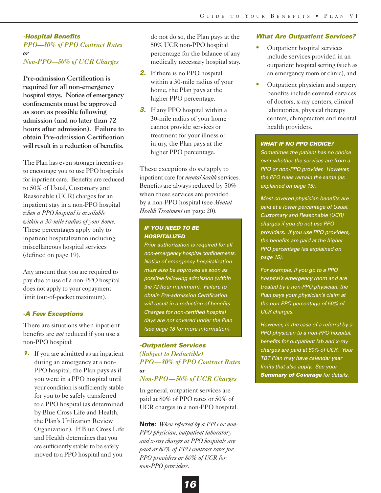# *-Hospital Benefits PPO—80% of PPO Contract Rates or Non-PPO—50% of UCR Charges*

Pre-admission Certification is required for all non-emergency hospital stays. Notice of emergency confinements must be approved as soon as possible following admission (and no later than 72 hours after admission). Failure to obtain Pre-admission Certification will result in a reduction of benefits.

The Plan has even stronger incentives to encourage you to use PPO hospitals for inpatient care. Benefits are reduced to 50% of Usual, Customary and Reasonable (UCR) charges for an inpatient stay in a non-PPO hospital *when a PPO hospital is available within a 30-mile radius of your home*. These percentages apply only to inpatient hospitalization including miscellaneous hospital services (defined on page 19).

Any amount that you are required to pay due to use of a non-PPO hospital does not apply to your copayment limit (out-of-pocket maximum).

# *-A Few Exceptions*

There are situations when inpatient benefits are *not* reduced if you use a non-PPO hospital:

*1.* If you are admitted as an inpatient during an emergency at a non-PPO hospital, the Plan pays as if you were in a PPO hospital until your condition is sufficiently stable for you to be safely transferred to a PPO hospital (as determined by Blue Cross Life and Health, the Plan's Utilization Review Organization). If Blue Cross Life and Health determines that you are sufficiently stable to be safely moved to a PPO hospital and you

do not do so, the Plan pays at the 50% UCR non-PPO hospital percentage for the balance of any medically necessary hospital stay.

- **2.** If there is no PPO hospital within a 30-mile radius of your home, the Plan pays at the higher PPO percentage.
- *3.* If any PPO hospital within a 30-mile radius of your home cannot provide services or treatment for your illness or injury, the Plan pays at the higher PPO percentage.

These exceptions do *not* apply to inpatient care for *mental health* services. Benefits are always reduced by 50% when these services are provided by a non-PPO hospital (see *Mental Health Treatment* on page 20)*.*

# *IF YOU NEED TO BE HOSPITALIZED*

*Prior authorization is required for all non-emergency hospital confinements. Notice of emergency hospitalization must also be approved as soon as possible following admission (within the 72-hour maximum). Failure to obtain Pre-admission Certification will result in a reduction of benefits. Charges for non-certified hospital days are not covered under the Plan (see page 18 for more information).*

# *-Outpatient Services (Subject to Deductible) PPO—80% of PPO Contract Rates or Non-PPO—50% of UCR Charges*

In general, outpatient services are paid at 80% of PPO rates or 50% of UCR charges in a non-PPO hospital.

**Note:** *When referred by a PPO or non-PPO physician, outpatient laboratory and x-ray charges at PPO hospitals are paid at 80% of PPO contract rates for PPO providers or 80% of UCR for non-PPO providers.* 

# *What Are Outpatient Services?*

- **•** Outpatient hospital services include services provided in an outpatient hospital setting (such as an emergency room or clinic), and
- Outpatient physician and surgery benefits include covered services of doctors, x-ray centers, clinical laboratories, physical therapy centers, chiropractors and mental health providers.

# *WHAT IF NO PPO CHOICE?*

*Sometimes the patient has no choice over whether the services are from a PPO or non-PPO provider. However, the PPO rules remain the same (as explained on page 15).*

*Most covered physician benefits are paid at a lower percentage of Usual, Customary and Reasonable (UCR) charges if you do not use PPO providers. If you use PPO providers, the benefits are paid at the higher PPO percentage (as explained on page 15).*

*For example, if you go to a PPO hospital's emergency room and are treated by a non-PPO physician, the Plan pays your physician's claim at the non-PPO percentage of 50% of UCR charges.* 

*However, in the case of a referral by a PPO physician to a non-PPO hospital, benefits for outpatient lab and x-ray charges are paid at 80% of UCR. Your TBT Plan may have calendar year limits that also apply. See your Summary of Coverage for details.*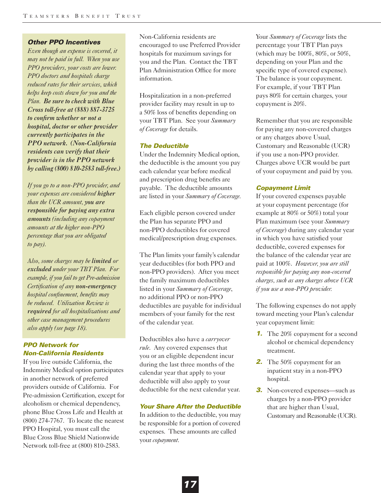# *Other PPO Incentives*

*Even though an expense is covered, it may not be paid in full. When you use PPO providers, your costs are lower. PPO doctors and hospitals charge reduced rates for their services, which helps keep costs down for you and the Plan. Be sure to check with Blue Cross toll-free at (888) 887-3725 to confirm whether or not a hospital, doctor or other provider currently participates in the PPO network. (Non-California residents can verify that their provider is in the PPO network by calling (800) 810-2583 toll-free.)*

*If you go to a non-PPO provider, and your expenses are considered higher than the UCR amount, you are responsible for paying any extra amounts (including any copayment amounts at the higher non-PPO percentage that you are obligated to pay).* 

*Also, some charges may be limited or excluded under your TBT Plan. For example, if you fail to get Pre-admission Certification of any non-emergency hospital confinement, benefits may be reduced. Utilization Review is required for all hospitalizations and other case management procedures also apply (see page 18).*

# *PPO Network for Non-California Residents*

If you live outside California, the Indemnity Medical option participates in another network of preferred providers outside of California. For Pre-admission Certification, except for alcoholism or chemical dependency, phone Blue Cross Life and Health at (800) 274-7767. To locate the nearest PPO Hospital, you must call the Blue Cross Blue Shield Nationwide Network toll-free at (800) 810-2583.

Non-California residents are encouraged to use Preferred Provider hospitals for maximum savings for you and the Plan. Contact the TBT Plan Administration Office for more information.

Hospitalization in a non-preferred provider facility may result in up to a 50% loss of benefits depending on your TBT Plan. See your *Summary of Coverage* for details.

# *The Deductible*

Under the Indemnity Medical option, the deductible is the amount you pay each calendar year before medical and prescription drug benefits are payable. The deductible amounts are listed in your *Summary of Coverage.*

Each eligible person covered under the Plan has separate PPO and non-PPO deductibles for covered medical/prescription drug expenses.

The Plan limits your family's calendar year deductibles (for both PPO and non-PPO providers). After you meet the family maximum deductibles listed in your *Summary of Coverage*, no additional PPO or non-PPO deductibles are payable for individual members of your family for the rest of the calendar year.

Deductibles also have a *carryover rule*. Any covered expenses that you or an eligible dependent incur during the last three months of the calendar year that apply to your deductible will also apply to your deductible for the next calendar year.

# *Your Share After the Deductible*

In addition to the deductible, you may be responsible for a portion of covered expenses. These amounts are called your *copayment*.

Your *Summary of Coverage* lists the percentage your TBT Plan pays (which may be 100%, 80%, or 50%, depending on your Plan and the specific type of covered expense). The balance is your copayment. For example, if your TBT Plan pays 80% for certain charges, your copayment is 20%.

Remember that you are responsible for paying any non-covered charges or any charges above Usual, Customary and Reasonable (UCR) if you use a non-PPO provider. Charges above UCR would be part of your copayment and paid by you.

# *Copayment Limit*

If your covered expenses payable at your copayment percentage (for example at 80% or 50%) total your Plan maximum (see your *Summary of Coverage*) during any calendar year in which you have satisfied your deductible, covered expenses for the balance of the calendar year are paid at 100%. *However, you are still responsible for paying any non-covered charges, such as any charges above UCR if you use a non-PPO provider.*

The following expenses do not apply toward meeting your Plan's calendar year copayment limit:

- **1.** The 20% copayment for a second alcohol or chemical dependency treatment.
- *2.* The 50% copayment for an inpatient stay in a non-PPO hospital.
- **3.** Non-covered expenses—such as charges by a non-PPO provider that are higher than Usual, Customary and Reasonable (UCR).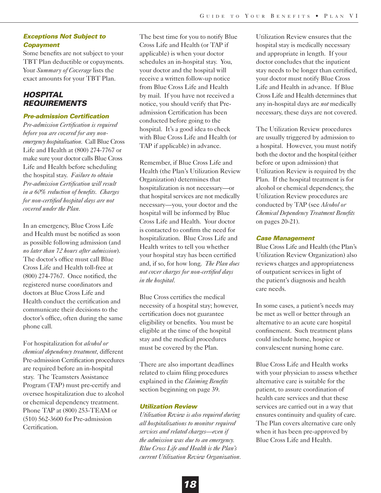# *Exceptions Not Subject to Copayment*

Some benefits are not subject to your TBT Plan deductible or copayments. Your *Summary of Coverage* lists the exact amounts for your TBT Plan.

# *HOSPITAL REQUIREMENTS*

# *Pre-admission Certification*

*Pre-admission Certification is required before you are covered for any nonemergency hospitalization.* Call Blue Cross Life and Health at (800) 274-7767 or make sure your doctor calls Blue Cross Life and Health before scheduling the hospital stay. *Failure to obtain Pre-admission Certification will result in a 60% reduction of benefits. Charges for non-certified hospital days are not covered under the Plan.* 

In an emergency, Blue Cross Life and Health must be notified as soon as possible following admission (and *no later than 72 hours after admission*). The doctor's office must call Blue Cross Life and Health toll-free at (800) 274-7767. Once notified, the registered nurse coordinators and doctors at Blue Cross Life and Health conduct the certification and communicate their decisions to the doctor's office, often during the same phone call.

For hospitalization for *alcohol or chemical dependency treatment*, different Pre-admission Certification procedures are required before an in-hospital stay. The Teamsters Assistance Program (TAP) must pre-certify and oversee hospitalization due to alcohol or chemical dependency treatment. Phone TAP at (800) 253-TEAM or (510) 562-3600 for Pre-admission Certification.

The best time for you to notify Blue Cross Life and Health (or TAP if applicable) is when your doctor schedules an in-hospital stay. You, your doctor and the hospital will receive a written follow-up notice from Blue Cross Life and Health by mail. If you have not received a notice, you should verify that Preadmission Certification has been conducted before going to the hospital. It's a good idea to check with Blue Cross Life and Health (or TAP if applicable) in advance.

Remember, if Blue Cross Life and Health (the Plan's Utilization Review Organization) determines that hospitalization is not necessary—or that hospital services are not medically necessary—you, your doctor and the hospital will be informed by Blue Cross Life and Health. Your doctor is contacted to confirm the need for hospitalization. Blue Cross Life and Health writes to tell you whether your hospital stay has been certified and, if so, for how long. *The Plan does not cover charges for non-certified days in the hospital.*

Blue Cross certifies the medical necessity of a hospital stay; however, certification does not guarantee eligibility or benefits. You must be eligible at the time of the hospital stay and the medical procedures must be covered by the Plan.

There are also important deadlines related to claim filing procedures explained in the *Claiming Benefits* section beginning on page 39.

# *Utilization Review*

*Utilization Review is also required during all hospitalizations to monitor required services and related charges—even if the admission was due to an emergency. Blue Cross Life and Health is the Plan's current Utilization Review Organization.*

Utilization Review ensures that the hospital stay is medically necessary and appropriate in length. If your doctor concludes that the inpatient stay needs to be longer than certified, your doctor must notify Blue Cross Life and Health in advance. If Blue Cross Life and Health determines that any in-hospital days are *not* medically necessary, these days are not covered.

The Utilization Review procedures are usually triggered by admission to a hospital. However, you must notify both the doctor and the hospital (either before or upon admission) that Utilization Review is required by the Plan. If the hospital treatment is for alcohol or chemical dependency, the Utilization Review procedures are conducted by TAP (see *Alcohol or Chemical Dependency Treatment Benefits* on pages 20-21).

### *Case Management*

Blue Cross Life and Health (the Plan's Utilization Review Organization) also reviews charges and appropriateness of outpatient services in light of the patient's diagnosis and health care needs.

In some cases, a patient's needs may be met as well or better through an alternative to an acute care hospital confinement. Such treatment plans could include home, hospice or convalescent nursing home care.

Blue Cross Life and Health works with your physician to assess whether alternative care is suitable for the patient, to assure coordination of health care services and that these services are carried out in a way that ensures continuity and quality of care. The Plan covers alternative care only when it has been pre-approved by Blue Cross Life and Health.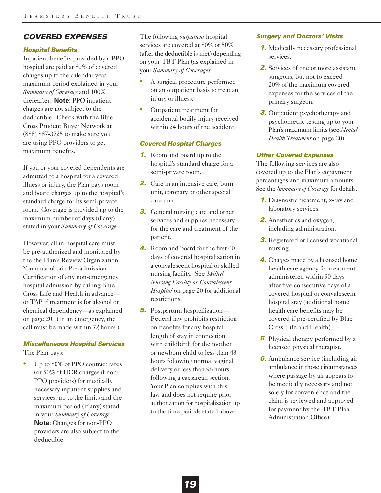# *COVERED EXPENSES*

# *Hospital Benefits*

Inpatient benefits provided by a PPO hospital are paid at 80% of covered charges up to the calendar year maximum period explained in your *Summary of Coverage* and 100% thereafter. **Note:** PPO inpatient charges are not subject to the deductible. Check with the Blue Cross Prudent Buyer Network at (888) 887-3725 to make sure you are using PPO providers to get maximum benefits.

If you or your covered dependents are admitted to a hospital for a covered illness or injury, the Plan pays room and board charges up to the hospital's standard charge for its semi-private room. Coverage is provided up to the maximum number of days (if any) stated in your *Summary of Coverage*.

However, all in-hospital care must be pre-authorized and monitored by the the Plan's Review Organization. You must obtain Pre-admission Certification of any non-emergency hospital admission by calling Blue Cross Life and Health in advance or TAP if treatment is for alcohol or chemical dependency—as explained on page 20. (In an emergency, the call must be made within 72 hours.)

# *Miscellaneous Hospital Services*

The Plan pays:

**•** Up to 80% of PPO contract rates (or 50% of UCR charges if non-PPO providers) for medically necessary inpatient supplies and services, up to the limits and the maximum period (if any) stated in your *Summary of Coverage*. **Note:** Changes for non-PPO providers are also subject to the deductible.

The following *outpatient* hospital services are covered at 80% or 50% (after the deductible is met) depending on your TBT Plan (as explained in your *Summary of Coverage*):

- **•** A surgical procedure performed on an outpatient basis to treat an injury or illness.
- **•** Outpatient treatment for accidental bodily injury received within 24 hours of the accident.

# *Covered Hospital Charges*

- *1.* Room and board up to the hospital's standard charge for a semi-private room.
- *2.* Care in an intensive care, burn unit, coronary or other special care unit.
- **3.** General nursing care and other services and supplies necessary for the care and treatment of the patient.
- *4.* Room and board for the first 60 days of covered hospitalization in a convalescent hospital or skilled nursing facility. See *Skilled Nursing Facility or Convalescent Hospital* on page 20 for additional restrictions.
- *5.* Postpartum hospitalization— Federal law prohibits restriction on benefits for any hospital length of stay in connection with childbirth for the mother or newborn child to less than 48 hours following normal vaginal delivery or less than 96 hours following a caesarean section. Your Plan complies with this law and does not require prior authorization for hospitalization up to the time periods stated above.

# *Surgery and Doctors' Visits*

- *1.* Medically necessary professional services.
- *2.* Services of one or more assistant surgeons, but not to exceed 20% of the maximum covered expenses for the services of the primary surgeon.
- **3.** Outpatient psychotherapy and psychometric testing up to your Plan's maximum limits (see *Mental Health Treatment* on page 20).

# *Other Covered Expenses*

The following services are also covered up to the Plan's copayment percentages and maximum amounts. See the *Summary of Coverage* for details.

- *1.* Diagnostic treatment, x-ray and laboratory services.
- **2.** Anesthetics and oxygen, including administration.
- *3.* Registered or licensed vocational nursing.
- *4.* Charges made by a licensed home health care agency for treatment administered within 90 days after five consecutive days of a covered hospital or convalescent hospital stay (additional home health care benefits may be covered if pre-certified by Blue Cross Life and Health).
- **5.** Physical therapy performed by a licensed physical therapist.
- *6.* Ambulance service (including air ambulance in those circumstances where passage by air appears to be medically necessary and not solely for convenience and the claim is reviewed and approved for payment by the TBT Plan Administration Office).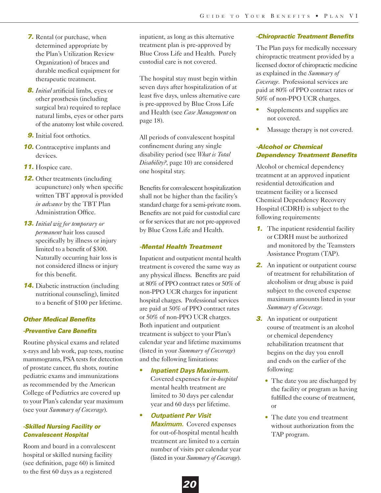- *7.* Rental (or purchase, when determined appropriate by the Plan's Utilization Review Organization) of braces and durable medical equipment for therapeutic treatment.
- *8. Initial* artificial limbs, eyes or other prosthesis (including surgical bra) required to replace natural limbs, eyes or other parts of the anatomy lost while covered.
- **9.** Initial foot orthotics.
- **10.** Contraceptive implants and devices.
- *11.* Hospice care.
- *12.* Other treatments (including acupuncture) only when specific written TBT approval is provided *in advance* by the TBT Plan Administration Office.
- *13. Initial wig for temporary or permanent* hair loss caused specifically by illness or injury limited to a benefit of \$300. Naturally occurring hair loss is not considered illness or injury for this benefit.
- *14.* Diabetic instruction (including nutritional counseling), limited to a benefit of \$100 per lifetime.

# *Other Medical Benefits -Preventive Care Benefits*

Routine physical exams and related x-rays and lab work, pap tests, routine mammograms, PSA tests for detection of prostate cancer, flu shots, routine pediatric exams and immunizations as recommended by the American College of Pediatrics are covered up to your Plan's calendar year maximum (see your *Summary of Coverage*).

# *-Skilled Nursing Facility or Convalescent Hospital*

Room and board in a convalescent hospital or skilled nursing facility (see definition, page 60) is limited to the first 60 days as a registered

inpatient, as long as this alternative treatment plan is pre-approved by Blue Cross Life and Health. Purely custodial care is not covered.

The hospital stay must begin within seven days after hospitalization of at least five days, unless alternative care is pre-approved by Blue Cross Life and Health (see *Case Management* on page 18).

All periods of convalescent hospital confinement during any single disability period (see *What is Total Disability?*, page 10) are considered one hospital stay.

Benefits for convalescent hospitalization shall not be higher than the facility's standard charge for a semi-private room. Benefits are not paid for custodial care or for services that are not pre-approved by Blue Cross Life and Health.

# *-Mental Health Treatment*

Inpatient and outpatient mental health treatment is covered the same way as any physical illness. Benefits are paid at 80% of PPO contract rates or 50% of non-PPO UCR charges for inpatient hospital charges. Professional services are paid at 50% of PPO contract rates or 50% of non-PPO UCR charges. Both inpatient and outpatient treatment is subject to your Plan's calendar year and lifetime maximums (listed in your *Summary of Coverage*) and the following limitations:

**•** *Inpatient Days Maximum.*

Covered expenses for *in-hospital* mental health treatment are limited to 30 days per calendar year and 60 days per lifetime.

**•** *Outpatient Per Visit*

*Maximum.* Covered expenses for out-of-hospital mental health treatment are limited to a certain number of visits per calendar year (listed in your *Summary of Coverage*).

# *-Chiropractic Treatment Benefits*

The Plan pays for medically necessary chiropractic treatment provided by a licensed doctor of chiropractic medicine as explained in the *Summary of Coverage*. Professional services are paid at 80% of PPO contract rates or 50% of non-PPO UCR charges.

- Supplements and supplies are not covered.
- **•** Massage therapy is not covered.

# *-Alcohol or Chemical Dependency Treatment Benefits*

Alcohol or chemical dependency treatment at an approved inpatient residential detoxification and treatment facility or a licensed Chemical Dependency Recovery Hospital (CDRH) is subject to the following requirements:

- *1.* The inpatient residential facility or CDRH must be authorized and monitored by the Teamsters Assistance Program (TAP).
- 2. An inpatient or outpatient course of treatment for rehabilitation of alcoholism or drug abuse is paid subject to the covered expense maximum amounts listed in your *Summary of Coverage*.
- *3.* An inpatient or outpatient course of treatment is an alcohol or chemical dependency rehabilitation treatment that begins on the day you enroll and ends on the earlier of the following:
	- The date you are discharged by the facility or program as having fulfilled the course of treatment, or
	- The date you end treatment without authorization from the TAP program.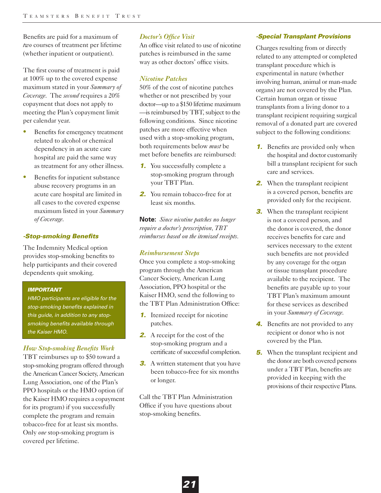Benefits are paid for a maximum of *two* courses of treatment per lifetime (whether inpatient or outpatient).

The first course of treatment is paid at 100% up to the covered expense maximum stated in your *Summary of Coverage*. The *second* requires a 20% copayment that does not apply to meeting the Plan's copayment limit per calendar year.

- **•** Benefits for emergency treatment related to alcohol or chemical dependency in an acute care hospital are paid the same way as treatment for any other illness.
- Benefits for inpatient substance abuse recovery programs in an acute care hospital are limited in all cases to the covered expense maximum listed in your *Summary of Coverage*.

# *-Stop-smoking Benefits*

The Indemnity Medical option provides stop-smoking benefits to help participants and their covered dependents quit smoking.

# *IMPORTANT*

*HMO participants are eligible for the stop-smoking benefits explained in this guide, in addition to any stopsmoking benefits available through the Kaiser HMO.*

# *How Stop-smoking Benefits Work*

TBT reimburses up to \$50 toward a stop-smoking program offered through the American Cancer Society, American Lung Association, one of the Plan's PPO hospitals or the HMO option (if the Kaiser HMO requires a copayment for its program) if you successfully complete the program and remain tobacco-free for at least six months. Only *one* stop-smoking program is covered per lifetime.

# *Doctor's Office Visit*

An office visit related to use of nicotine patches is reimbursed in the same way as other doctors' office visits.

# *Nicotine Patches*

50% of the cost of nicotine patches whether or not prescribed by your doctor—up to a \$150 lifetime maximum —is reimbursed by TBT, subject to the following conditions. Since nicotine patches are more effective when used with a stop-smoking program, both requirements below *must* be met before benefits are reimbursed:

- *1.* You successfully complete a stop-smoking program through your TBT Plan.
- *2.* You remain tobacco-free for at least six months.

**Note:** *Since nicotine patches no longer require a doctor's prescription, TBT reimburses based on the itemized receipts.*

# *Reimbursement Steps*

Once you complete a stop-smoking program through the American Cancer Society, American Lung Association, PPO hospital or the Kaiser HMO, send the following to the TBT Plan Administration Office:

- *1.* Itemized receipt for nicotine patches.
- *2.* A receipt for the cost of the stop-smoking program and a certificate of successful completion.
- **3.** A written statement that you have been tobacco-free for six months or longer.

Call the TBT Plan Administration Office if you have questions about stop-smoking benefits.

# *-Special Transplant Provisions*

Charges resulting from or directly related to any attempted or completed transplant procedure which is experimental in nature (whether involving human, animal or man-made organs) are not covered by the Plan. Certain human organ or tissue transplants from a living donor to a transplant recipient requiring surgical removal of a donated part are covered subject to the following conditions:

- *1.* Benefits are provided only when the hospital and doctor customarily bill a transplant recipient for such care and services.
- *2.* When the transplant recipient is a covered person, benefits are provided only for the recipient.
- **3.** When the transplant recipient is not a covered person, and the donor is covered, the donor receives benefits for care and services necessary to the extent such benefits are not provided by any coverage for the organ or tissue transplant procedure available to the recipient. The benefits are payable up to your TBT Plan's maximum amount for these services as described in your *Summary of Coverage*.
- *4.* Benefits are not provided to any recipient or donor who is not covered by the Plan.
- **5.** When the transplant recipient and the donor are both covered persons under a TBT Plan, benefits are provided in keeping with the provisions of their respective Plans.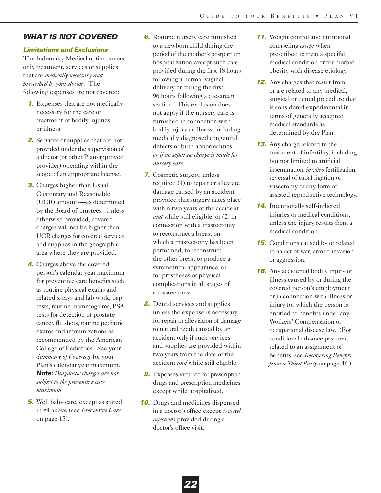# *WHAT IS NOT COVERED*

# *Limitations and Exclusions*

The Indemnity Medical option covers only treatment, services or supplies that are *medically necessary and prescribed by your doctor*. The following expenses are not covered:

- *1.* Expenses that are not medically necessary for the care or treatment of bodily injuries or illness.
- *2.* Services or supplies that are not provided under the supervision of a doctor (or other Plan-approved provider) operating within the scope of an appropriate license.
- *3.* Charges higher than Usual, Customary and Reasonable (UCR) amounts—as determined by the Board of Trustees. Unless otherwise provided, covered charges will not be higher than UCR charges for covered services and supplies in the geographic area where they are provided.
- *4.* Charges above the covered person's calendar year maximum for preventive care benefits such as routine physical exams and related x-rays and lab work, pap tests, routine mammograms, PSA tests for detection of prostate cancer, flu shots, routine pediatric exams and immunizations as recommended by the American College of Pediatrics. See your *Summary of Coverage* for your Plan's calendar year maximum. **Note:** *Diagnostic charges are not subject to the preventive care maximum.*
- **5.** Well baby care, except as stated in #4 above (see *Preventive Care* on page 15).
- *6.* Routine nursery care furnished to a newborn child during the period of the mother's postpartum hospitalization except such care provided during the first 48 hours following a normal vaginal delivery or during the first 96 hours following a caesarean section. This exclusion does not apply if the nursery care is furnished in connection with bodily injury or illness, including medically diagnosed congenital defects or birth abnormalities, *or if no separate charge is made for nursery care*.
- *7.* Cosmetic surgery, unless required (1) to repair or alleviate damage caused by an accident provided that surgery takes place within two years of the accident *and* while still eligible; or (2) in connection with a mastectomy, to reconstruct a breast on which a mastectomy has been performed, to reconstruct the other breast to produce a symmetrical appearance, or for prostheses or physical complications in all stages of a mastectomy.
- **8.** Dental services and supplies unless the expense is necessary for repair or alleviation of damage to natural teeth caused by an accident only if such services and supplies are provided within two years from the date of the accident *and* while still eligible.
- *9.* Expenses incurred for prescription drugs and prescription medicines except while hospitalized.
- **10.** Drugs and medicines dispensed in a doctor's office except *covered injections* provided during a doctor's office visit.
- **11.** Weight control and nutritional counseling *except* when prescribed to treat a specific medical condition or for morbid obesity with disease etiology.
- *12.* Any charges that result from or are related to any medical, surgical or dental procedure that is considered experimental in terms of generally accepted medical standards as determined by the Plan.
- *13.* Any charge related to the treatment of infertility, including but not limited to artificial insemination, *in vitro* fertilization, reversal of tubal ligation or vasectomy or any form of assisted reproductive technology.
- *14.* Intentionally self-inflicted injuries or medical conditions, unless the injury results from a medical condition.
- **15.** Conditions caused by or related to an act of war, armed invasion or aggression.
- **16.** Any accidental bodily injury or illness caused by or during the covered person's employment or in connection with illness or injury for which the person is entitled to benefits under any Workers' Compensation or occupational disease law. (For conditional advance payment related to an assignment of benefits, see *Recovering Benefits from a Third Party* on page 46.)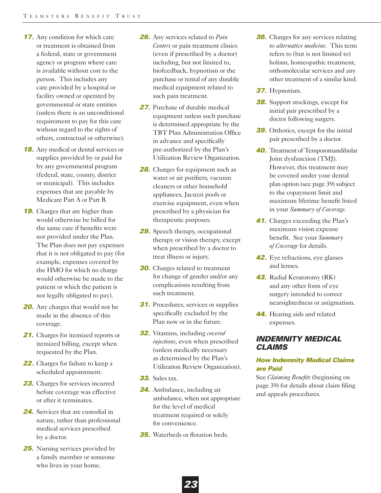- **17.** Any condition for which care or treatment is obtained from a federal, state or government agency or program where care is available without cost to the person. This includes any care provided by a hospital or facility owned or operated by governmental or state entities (unless there is an unconditional requirement to pay for this care without regard to the rights of others, contractual or otherwise).
- *18.* Any medical or dental services or supplies provided by or paid for by any governmental program (federal, state, county, district or municipal). This includes expenses that are payable by Medicare Part A or Part B.
- **19.** Charges that are higher than would otherwise be billed for the same care if benefits were not provided under the Plan. The Plan does not pay expenses that it is not obligated to pay (for example, expenses covered by the HMO for which no charge would otherwise be made to the patient or which the patient is not legally obligated to pay).
- **20.** Any charges that would not be made in the absence of this coverage.
- 21. Charges for itemized reports or itemized billing, except when requested by the Plan.
- *22.* Charges for failure to keep a scheduled appointment.
- 23. Charges for services incurred before coverage was effective or after it terminates.
- *24.* Services that are custodial in nature, rather than professional medical services prescribed by a doctor.
- **25.** Nursing services provided by a family member or someone who lives in your home.
- *26.* Any services related to *Pain Centers* or pain treatment clinics (even if prescribed by a doctor) including, but not limited to, biofeedback, hypnotism or the purchase or rental of any durable medical equipment related to such pain treatment.
- *27.* Purchase of durable medical equipment unless such purchase is determined appropriate by the TBT Plan Administration Office in advance and specifically pre-authorized by the Plan's Utilization Review Organization.
- **28.** Charges for equipment such as water or air purifiers, vacuum cleaners or other household appliances, Jacuzzi pools or exercise equipment, even when prescribed by a physician for therapeutic purposes.
- *29.* Speech therapy, occupational therapy or vision therapy, except when prescribed by a doctor to treat illness or injury.
- **30.** Charges related to treatment for change of gender and/or any complications resulting from such treatment.
- **31.** Procedures, services or supplies specifically excluded by the Plan now or in the future.
- *32.* Vitamins, including *covered injections*, even when prescribed (unless medically necessary as determined by the Plan's Utilization Review Organization).
- *33.* Sales tax.
- *34.* Ambulance, including air ambulance, when not appropriate for the level of medical treatment required or solely for convenience.

*23*

**35.** Waterbeds or flotation beds.

- **36.** Charges for any services relating to *alternative medicine*. This term refers to (but is not limited to) holism, homeopathic treatment, orthomolecular services and any other treatment of a similar kind.
- *37.* Hypnotism.
- **38.** Support stockings, except for initial pair prescribed by a doctor following surgery.
- *39.* Orthotics, except for the initial pair prescribed by a doctor.
- **40.** Treatment of Temporomandibular Joint dysfunction (TMJ). However, this treatment may be covered under your dental plan option (see page 39) subject to the copayment limit and maximum lifetime benefit listed in your *Summary of Coverage*.
- **41.** Charges exceeding the Plan's maximum vision expense benefit. See your *Summary of Coverage* for details.
- *42.* Eye refractions, eye glasses and lenses.
- *43.* Radial Keratotomy (RK) and any other form of eye surgery intended to correct nearsightedness or astigmatism.
- *44.* Hearing aids and related expenses.

# *INDEMNITY MEDICAL CLAIMS*

# *How Indemnity Medical Claims are Paid*

See *Claiming Benefits* (beginning on page 39) for details about claim filing and appeals procedures.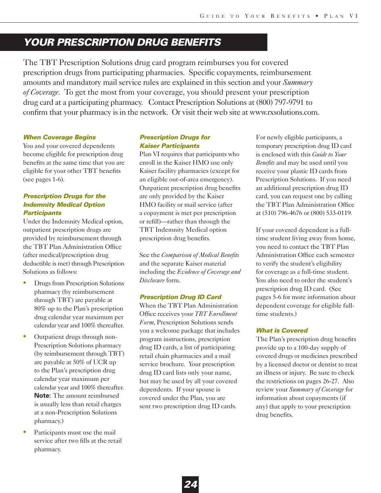# *YOUR PRESCRIPTION DRUG BENEFITS*

The TBT Prescription Solutions drug card program reimburses you for covered prescription drugs from participating pharmacies. Specific copayments, reimbursement amounts and mandatory mail service rules are explained in this section and your *Summary of Coverage*. To get the most from your coverage, you should present your prescription drug card at a participating pharmacy. Contact Prescription Solutions at (800) 797-9791 to confirm that your pharmacy is in the network. Or visit their web site at www.rxsolutions.com.

# *When Coverage Begins*

You and your covered dependents become eligible for prescription drug benefits at the same time that you are eligible for your other TBT benefits (see pages 1-6).

# *Prescription Drugs for the Indemnity Medical Option Participants*

Under the Indemnity Medical option, outpatient prescription drugs are provided by reimbursement through the TBT Plan Administration Office (after medical/prescription drug deductible is met) through Prescription Solutions as follows:

- **•** Drugs from Prescription Solutions pharmacy (by reimbursement through TBT) are payable at 80% up to the Plan's prescription drug calendar year maximum per calendar year and 100% thereafter.
- **•** Outpatient drugs through non-Prescription Solutions pharmacy (by reimbursement through TBT) are payable at 50% of UCR up to the Plan's prescription drug calendar year maximum per calendar year and 100% thereafter. **Note:** The amount reimbursed is usually less than retail charges at a non-Prescription Solutions pharmacy.)
- **•** Participants must use the mail service after two fills at the retail pharmacy.

# *Prescription Drugs for Kaiser Participants*

Plan VI requires that participants who enroll in the Kaiser HMO use only Kaiser facility pharmacies (except for an eligible out-of-area emergency). Outpatient prescription drug benefits are only provided by the Kaiser HMO facility or mail service (after a copayment is met per prescription or refill)—rather than through the TBT Indemnity Medical option prescription drug benefits.

See the *Comparison of Medical Benefits* and the separate Kaiser material including the *Evidence of Coverage and Disclosure* form.

# *Prescription Drug ID Card*

When the TBT Plan Administration Office receives your *TBT Enrollment Form*, Prescription Solutions sends you a welcome package that includes program instructions, prescription drug ID cards, a list of participating retail chain pharmacies and a mail service brochure. Your prescription drug ID card lists only your name, but may be used by all your covered dependents. If your spouse is covered under the Plan, you are sent two prescription drug ID cards.

For newly eligible participants, a temporary prescription drug ID card is enclosed with this *Guide to Your Benefits* and may be used until you receive your plastic ID cards from Prescription Solutions. If you need an additional prescription drug ID card, you can request one by calling the TBT Plan Administration Office at (510) 796-4676 or (800) 533-0119.

If your covered dependent is a fulltime student living away from home, you need to contact the TBT Plan Administration Office each semester to verify the student's eligibility for coverage as a full-time student. You also need to order the student's prescription drug ID card. (See pages 5-6 for more information about dependent coverage for eligible fulltime students.)

# *What is Covered*

The Plan's prescription drug benefits provide up to a 100-day supply of covered drugs or medicines prescribed by a licensed doctor or dentist to treat an illness or injury. Be sure to check the restrictions on pages 26-27. Also review your *Summary of Coverage* for information about copayments (if any) that apply to your prescription drug benefits.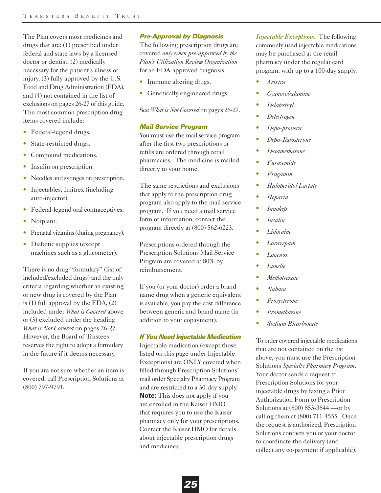The Plan covers most medicines and drugs that are: (1) prescribed under federal and state laws by a licensed doctor or dentist, (2) medically necessary for the patient's illness or injury, (3) fully approved by the U.S. Food and Drug Administration (FDA), and (4) not contained in the list of exclusions on pages 26-27 of this guide. The most common prescription drug items covered include:

- Federal-legend drugs.
- State-restricted drugs.
- Compound medications.
- Insulin on prescription.
- Needles and syringes on prescription.
- Injectables, Imitrex (including auto-injector).
- Federal-legend oral contraceptives.
- Norplant.
- Prenatal vitamins (during pregnancy).
- Diabetic supplies (except machines such as a glucometer).

There is no drug "formulary" (list of included/excluded drugs) and the only criteria regarding whether an existing or new drug is covered by the Plan is (1) full approval by the FDA, (2) included under *What is Covered* above or (3) excluded under the heading *What is Not Covered* on pages 26-27. However, the Board of Trustees reserves the right to adopt a formulary in the future if it deems necessary.

If you are not sure whether an item is covered, call Prescription Solutions at (800) 797-9791.

# *Pre-Approval by Diagnosis*

The following prescription drugs are covered *only when pre-approved by the Plan's Utilization Review Organization* for an FDA-approved diagnosis:

- Immune altering drugs.
- Genetically engineered drugs.

See *What is Not Covered* on pages 26-27.

# *Mail Service Program*

You must use the mail service program after the first two prescriptions or refills are ordered through retail pharmacies. The medicine is mailed directly to your home.

The same restrictions and exclusions that apply to the prescription drug program also apply to the mail service program. If you need a mail service form or information, contact the program directly at (800) 562-6223.

Prescriptions ordered through the Prescription Solutions Mail Service Program are covered at 80% by reimbursement.

If you (or your doctor) order a brand name drug when a generic equivalent is available, you pay the cost difference between generic and brand name (in addition to your copayment).

# *If You Need Injectable Medication*

Injectable medication (except those listed on this page under Injectable Exceptions) are ONLY covered when filled through Prescription Solutions' mail order Specialty Pharmacy Program and are restricted to a 30-day supply. **Note:** This does not apply if you are enrolled in the Kaiser HMO that requires you to use the Kaiser pharmacy only for your prescriptions. Contact the Kaiser HMO for details about injectable prescription drugs and medicines.

*Injectable Exceptions.* The following commonly used injectable medications may be purchased at the retail pharmacy under the regular card program, with up to a 100-day supply.

- **•** *Arixtra*
- **•** *Cyanocobalamine*
- **•** *Delatestryl*
- **•** *Delestrogen*
- **•** *Depo-provera*
- **•** *Depo-Testosterone*
- **•** *Dexamethasone*
- **•** *Furosemide*
- **•** *Fragamin*
- **•** *Haloperidol Lactate*
- **•** *Heparin*
- **•** *Innohep*
- **•** *Insulin*
- **•** *Lidocaine*
- **•** *Lorazepam*
- **•** *Lovenox*
- **•** *Lunelle*
- **•** *Methotrexate*
- **•** *Nubain*
- **•** *Progesterone*
- **•** *Promethazine*
- **•** *Sodium Bicarbonate*

To order covered injectable medications that are not contained on the list above, you must use the Prescription Solutions *Specialty Pharmacy Program*. Your doctor sends a request to Prescription Solutions for your injectable drugs by faxing a Prior Authorization Form to Prescription Solutions at (800) 853-3844 —or by calling them at (800) 711-4555. Once the request is authorized, Prescription Solutions contacts you or your doctor to coordinate the delivery (and collect any co-payment if applicable).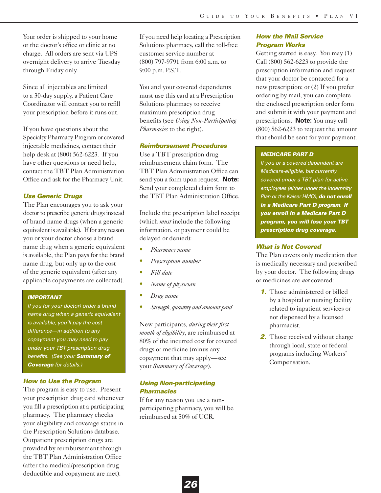Your order is shipped to your home or the doctor's office or clinic at no charge. All orders are sent via UPS overnight delivery to arrive Tuesday through Friday only.

Since all injectables are limited to a 30-day supply, a Patient Care Coordinator will contact you to refill your prescription before it runs out.

If you have questions about the Specialty Pharmacy Program or covered injectable medicines, contact their help desk at (800) 562-6223. If you have other questions or need help, contact the TBT Plan Administration Office and ask for the Pharmacy Unit.

# *Use Generic Drugs*

The Plan encourages you to ask your doctor to prescribe generic drugs instead of brand name drugs (when a generic equivalent is available). If for any reason you or your doctor choose a brand name drug when a generic equivalent is available, the Plan pays for the brand name drug, but only up to the cost of the generic equivalent (after any applicable copayments are collected).

# *IMPORTANT*

*If you (or your doctor) order a brand name drug when a generic equivalent is available, you'll pay the cost difference—in addition to any copayment you may need to pay under your TBT prescription drug benefits. (See your Summary of Coverage for details.)*

# *How to Use the Program*

The program is easy to use. Present your prescription drug card whenever you fill a prescription at a participating pharmacy. The pharmacy checks your eligibility and coverage status in the Prescription Solutions database. Outpatient prescription drugs are provided by reimbursement through the TBT Plan Administration Office (after the medical/prescription drug deductible and copayment are met).

If you need help locating a Prescription Solutions pharmacy, call the toll-free customer service number at (800) 797-9791 from 6:00 a.m. to 9:00 p.m. P.S.T.

You and your covered dependents must use this card at a Prescription Solutions pharmacy to receive maximum prescription drug benefits (see *Using Non-Participating Pharmacies* to the right).

# *Reimbursement Procedures*

Use a TBT prescription drug reimbursement claim form. The TBT Plan Administration Office can send you a form upon request. **Note:** Send your completed claim form to the TBT Plan Administration Office.

Include the prescription label receipt (which *must* include the following information, or payment could be delayed or denied):

- **•** *Pharmacy name*
- **•** *Prescription number*
- **•** *Fill date*
- **•** *Name of physician*
- **•** *Drug name*
- **•** *Strength, quantity and amount paid*

New participants, *during their first month of eligibility*, are reimbursed at 80% of the incurred cost for covered drugs or medicine (minus any copayment that may apply—see your *Summary of Coverage*).

# *Using Non-participating Pharmacies*

If for any reason you use a nonparticipating pharmacy, you will be reimbursed at 50% of UCR.

# *How the Mail Service Program Works*

Getting started is easy. You may (1) Call (800) 562-6223 to provide the prescription information and request that your doctor be contacted for a new prescription; or (2) If you prefer ordering by mail, you can complete the enclosed prescription order form and submit it with your payment and prescriptions. **Note:** You may call (800) 562-6223 to request the amount that should be sent for your payment.

# *MEDICARE PART D*

*If you or a covered dependent are Medicare-eligible, but currently covered under a TBT plan for active employees (either under the Indemnity Plan or the Kaiser HMO), do not enroll in a Medicare Part D program. If you enroll in a Medicare Part D program, you will lose your TBT prescription drug coverage.*

# *What is Not Covered*

The Plan covers only medication that is medically necessary and prescribed by your doctor. The following drugs or medicines are *not* covered:

- *1.* Those administered or billed by a hospital or nursing facility related to inpatient services or not dispensed by a licensed pharmacist.
- **2.** Those received without charge through local, state or federal programs including Workers' Compensation.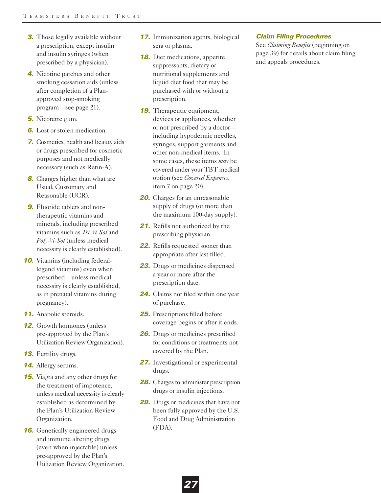- **3.** Those legally available without a prescription, except insulin and insulin syringes (when prescribed by a physician).
- *4.* Nicotine patches and other smoking cessation aids (unless after completion of a Planapproved stop-smoking program—see page 21).
- *5.* Nicorette gum.
- *6.* Lost or stolen medication.
- *7.* Cosmetics, health and beauty aids or drugs prescribed for cosmetic purposes and not medically necessary (such as Retin-A).
- **8.** Charges higher than what are Usual, Customary and Reasonable (UCR).
- **9.** Fluoride tablets and nontherapeutic vitamins and minerals, including prescribed vitamins such as *Tri-Vi-Sol* and *Poly-Vi-Sol* (unless medical necessity is clearly established).
- **10.** Vitamins (including federallegend vitamins) even when prescribed—unless medical necessity is clearly established, as in prenatal vitamins during pregnancy).
- *11.* Anabolic steroids.
- *12.* Growth hormones (unless pre-approved by the Plan's Utilization Review Organization).
- *13.* Fertility drugs.
- *14.* Allergy serums.
- *15.* Viagra and any other drugs for the treatment of impotence, unless medical necessity is clearly established as determined by the Plan's Utilization Review Organization.
- **16.** Genetically engineered drugs and immune altering drugs (even when injectable) unless pre-approved by the Plan's Utilization Review Organization.
- *17.* Immunization agents, biological sera or plasma.
- **18.** Diet medications, appetite suppressants, dietary or nutritional supplements and liquid diet food that may be purchased with or without a prescription.
- **19.** Therapeutic equipment, devices or appliances, whether or not prescribed by a doctor including hypodermic needles, syringes, support garments and other non-medical items. In some cases, these items *may* be covered under your TBT medical option (see *Covered Expenses*, item 7 on page 20).
- **20.** Charges for an unreasonable supply of drugs (or more than the maximum 100-day supply).
- 21. Refills not authorized by the prescribing physician.
- *22.* Refills requested sooner than appropriate after last filled.
- *23.* Drugs or medicines dispensed a year or more after the prescription date.
- *24.* Claims not filed within one year of purchase.
- *25.* Prescriptions filled before coverage begins or after it ends.
- *26.* Drugs or medicines prescribed for conditions or treatments not covered by the Plan.
- *27.* Investigational or experimental drugs.
- 28. Charges to administer prescription drugs or insulin injections.
- *29.* Drugs or medicines that have not been fully approved by the U.S. Food and Drug Administration (FDA).

*27*

# *Claim Filing Procedures*

See *Claiming Benefits* (beginning on page 39) for details about claim filing and appeals procedures.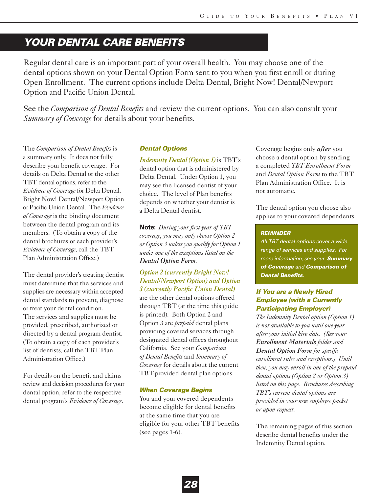# *YOUR DENTAL CARE BENEFITS*

Regular dental care is an important part of your overall health. You may choose one of the dental options shown on your Dental Option Form sent to you when you first enroll or during Open Enrollment. The current options include Delta Dental, Bright Now! Dental/Newport Option and Pacific Union Dental.

See the *Comparison of Dental Benefits* and review the current options. You can also consult your *Summary of Coverage* for details about your benefits.

The *Comparison of Dental Benefits* is a summary only. It does not fully describe your benefit coverage. For details on Delta Dental or the other TBT dental options, refer to the *Evidence of Coverage* for Delta Dental, Bright Now! Dental/Newport Option or Pacific Union Dental. The *Evidence of Coverage* is the binding document between the dental program and its members. (To obtain a copy of the dental brochures or each provider's *Evidence of Coverage*, call the TBT Plan Administration Office.)

The dental provider's treating dentist must determine that the services and supplies are necessary within accepted dental standards to prevent, diagnose or treat your dental condition. The services and supplies must be provided, prescribed, authorized or directed by a dental program dentist. (To obtain a copy of each provider's list of dentists, call the TBT Plan Administration Office.)

For details on the benefit and claims review and decision procedures for your dental option, refer to the respective dental program's *Evidence of Coverage*.

# *Dental Options*

*Indemnity Dental (Option 1)* is TBT's dental option that is administered by Delta Dental. Under Option 1, you may see the licensed dentist of your choice. The level of Plan benefits depends on whether your dentist is a Delta Dental dentist.

**Note:** *During your first year of TBT coverage, you may only choose Option 2 or Option 3 unless you qualify for Option 1 under one of the exceptions listed on the Dental Option Form.*

# *Option 2 (currently Bright Now! Dental/Newport Option) and Option 3 (currently Pacific Union Dental)*

are the other dental options offered through TBT (at the time this guide is printed). Both Option 2 and Option 3 are *prepaid* dental plans providing covered services through designated dental offices throughout California. See your *Comparison of Dental Benefits* and *Summary of Coverage* for details about the current TBT-provided dental plan options.

# *When Coverage Begins*

You and your covered dependents become eligible for dental benefits at the same time that you are eligible for your other TBT benefits (see pages 1-6).

Coverage begins only *after* you choose a dental option by sending a completed *TBT Enrollment Form* and *Dental Option Form* to the TBT Plan Administration Office. It is not automatic.

The dental option you choose also applies to your covered dependents.

# *REMINDER*

*All TBT dental options cover a wide range of services and supplies. For more information, see your Summary of Coverage and Comparison of Dental Benefits.*

# *If You are a Newly Hired Employee (with a Currently Participating Employer)*

*The Indemnity Dental option (Option 1) is not available to you until one year after your initial hire date. (See your Enrollment Materials folder and Dental Option Form for specific enrollment rules and exceptions.) Until then, you may enroll in one of the prepaid dental options (Option 2 or Option 3) listed on this page. Brochures describing TBT's current dental options are provided in your new employee packet or upon request.* 

The remaining pages of this section describe dental benefits under the Indemnity Dental option.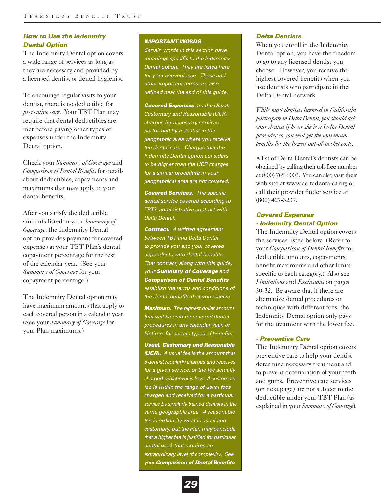# *How to Use the Indemnity Dental Option*

The Indemnity Dental option covers a wide range of services as long as they are necessary and provided by a licensed dentist or dental hygienist.

To encourage regular visits to your dentist, there is no deductible for *preventive care*. Your TBT Plan may require that dental deductibles are met before paying other types of expenses under the Indemnity Dental option.

Check your *Summary of Coverage* and *Comparison of Dental Benefits* for details about deductibles, copayments and maximums that may apply to your dental benefits.

After you satisfy the deductible amounts listed in your *Summary of Coverage*, the Indemnity Dental option provides payment for covered expenses at your TBT Plan's dental copayment percentage for the rest of the calendar year. (See your *Summary of Coverage* for your copayment percentage.)

The Indemnity Dental option may have maximum amounts that apply to each covered person in a calendar year. (See your *Summary of Coverage* for your Plan maximums.)

### *IMPORTANT WORDS*

*Certain words in this section have meanings specific to the Indemnity Dental option. They are listed here for your convenience. These and other important terms are also defined near the end of this guide.*

*Covered Expenses are the Usual, Customary and Reasonable (UCR) charges for necessary services performed by a dentist in the geographic area where you receive the dental care. Charges that the Indemnity Dental option considers to be higher than the UCR charges for a similar procedure in your geographical area are not covered.*

*Covered Services. The specific dental service covered according to TBT's administrative contract with Delta Dental.*

*Contract. A written agreement between TBT and Delta Dental to provide you and your covered dependents with dental benefits. That contract, along with this guide, your Summary of Coverage and Comparison of Dental Benefits establish the terms and conditions of the dental benefits that you receive.* 

*Maximum. The highest dollar amount that will be paid for covered dental procedures in any calendar year, or lifetime, for certain types of benefits.*

*Usual, Customary and Reasonable (UCR). A usual fee is the amount that a dentist regularly charges and receives for a given service, or the fee actually charged, whichever is less. A customary fee is within the range of usual fees charged and received for a particular service by similarly trained dentists in the same geographic area. A reasonable fee is ordinarily what is usual and customary, but the Plan may conclude that a higher fee is justified for particular dental work that requires an extraordinary level of complexity. See your Comparison of Dental Benefits.*

# *Delta Dentists*

When you enroll in the Indemnity Dental option, you have the freedom to go to any licensed dentist you choose. However, you receive the highest covered benefits when you use dentists who participate in the Delta Dental network.

*While most dentists licensed in California participate in Delta Dental, you should ask your dentist if he or she is a Delta Dental provider so you will get the maximum benefits for the lowest out-of-pocket costs.*

A list of Delta Dental's dentists can be obtained by calling their toll-free number at (800) 765-6003. You can also visit their web site at www.deltadentalca.org or call their provider finder service at (800) 427-3237.

# *Covered Expenses - Indemnity Dental Option*

The Indemnity Dental option covers the services listed below. (Refer to your *Comparison of Dental Benefits* for deductible amounts, copayments, benefit maximums and other limits specific to each category.) Also see *Limitations* and *Exclusions* on pages 30-32. Be aware that if there are alternative dental procedures or techniques with different fees, the Indemnity Dental option only pays for the treatment with the lower fee.

# *- Preventive Care*

The Indemnity Dental option covers preventive care to help your dentist determine necessary treatment and to prevent deterioration of your teeth and gums. Preventive care services (on next page) are not subject to the deductible under your TBT Plan (as explained in your *Summary of Coverage*).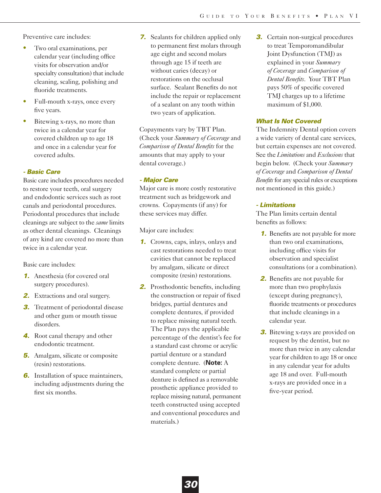Preventive care includes:

- **•** Two oral examinations, per calendar year (including office visits for observation and/or specialty consultation) that include cleaning, scaling, polishing and fluoride treatments.
- **•** Full-mouth x-rays, once every five years.
- **•** Bitewing x-rays, no more than twice in a calendar year for covered children up to age 18 and once in a calendar year for covered adults.

# *- Basic Care*

Basic care includes procedures needed to restore your teeth, oral surgery and endodontic services such as root canals and periodontal procedures. Periodontal procedures that include cleanings are subject to the *same* limits as other dental cleanings. Cleanings of any kind are covered no more than twice in a calendar year.

Basic care includes:

- *1.* Anesthesia (for covered oral surgery procedures).
- **2.** Extractions and oral surgery.
- **3.** Treatment of periodontal disease and other gum or mouth tissue disorders.
- *4.* Root canal therapy and other endodontic treatment.
- **5.** Amalgam, silicate or composite (resin) restorations.
- *6.* Installation of space maintainers, including adjustments during the first six months.

*7.* Sealants for children applied only to permanent first molars through age eight and second molars through age 15 if teeth are without caries (decay) or restorations on the occlusal surface. Sealant Benefits do not include the repair or replacement of a sealant on any tooth within two years of application.

Copayments vary by TBT Plan. (Check your *Summary of Coverage* and *Comparison of Dental Benefits* for the amounts that may apply to your dental coverage.)

# *- Major Care*

Major care is more costly restorative treatment such as bridgework and crowns. Copayments (if any) for these services may differ.

Major care includes:

- *1.* Crowns, caps, inlays, onlays and cast restorations needed to treat cavities that cannot be replaced by amalgam, silicate or direct composite (resin) restorations.
- *2.* Prosthodontic benefits, including the construction or repair of fixed bridges, partial dentures and complete dentures, if provided to replace missing natural teeth. The Plan pays the applicable percentage of the dentist's fee for a standard cast chrome or acrylic partial denture or a standard complete denture. (**Note:** A standard complete or partial denture is defined as a removable prosthetic appliance provided to replace missing natural, permanent teeth constructed using accepted and conventional procedures and materials.)

**3.** Certain non-surgical procedures to treat Temporomandibular Joint Dysfunction (TMJ) as explained in your *Summary of Coverage* and *Comparison of Dental Benefits*. Your TBT Plan pays 50% of specific covered TMJ charges up to a lifetime maximum of \$1,000.

# *What Is Not Covered*

The Indemnity Dental option covers a wide variety of dental care services, but certain expenses are not covered. See the *Limitations* and *Exclusions* that begin below. (Check your *Summary of Coverage* and *Comparison of Dental Benefits* for any special rules or exceptions not mentioned in this guide.)

# *- Limitations*

The Plan limits certain dental benefits as follows:

- *1.* Benefits are not payable for more than two oral examinations, including office visits for observation and specialist consultations (or a combination).
- *2.* Benefits are not payable for more than two prophylaxis (except during pregnancy), fluoride treatments or procedures that include cleanings in a calendar year.
- **3.** Bitewing x-rays are provided on request by the dentist, but no more than twice in any calendar year for children to age 18 or once in any calendar year for adults age 18 and over. Full-mouth x-rays are provided once in a five-year period.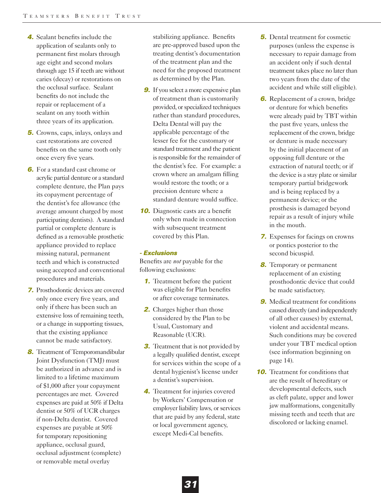- *4.* Sealant benefits include the application of sealants only to permanent first molars through age eight and second molars through age 15 if teeth are without caries (decay) or restorations on the occlusal surface. Sealant benefits do not include the repair or replacement of a sealant on any tooth within three years of its application.
- *5.* Crowns, caps, inlays, onlays and cast restorations are covered benefits on the same tooth only once every five years.
- *6.* For a standard cast chrome or acrylic partial denture or a standard complete denture, the Plan pays its copayment percentage of the dentist's fee allowance (the average amount charged by most participating dentists). A standard partial or complete denture is defined as a removable prosthetic appliance provided to replace missing natural, permanent teeth and which is constructed using accepted and conventional procedures and materials.
- *7.* Prosthodontic devices are covered only once every five years, and only if there has been such an extensive loss of remaining teeth, or a change in supporting tissues, that the existing appliance cannot be made satisfactory.
- **8.** Treatment of Temporomandibular Joint Dysfunction (TMJ) must be authorized in advance and is limited to a lifetime maximum of \$1,000 after your copayment percentages are met. Covered expenses are paid at 50% if Delta dentist or 50% of UCR charges if non-Delta dentist. Covered expenses are payable at 50% for temporary repositioning appliance, occlusal guard, occlusal adjustment (complete) or removable metal overlay

stabilizing appliance. Benefits are pre-approved based upon the treating dentist's documentation of the treatment plan and the need for the proposed treatment as determined by the Plan.

- **9.** If you select a more expensive plan of treatment than is customarily provided, or specialized techniques rather than standard procedures, Delta Dental will pay the applicable percentage of the lesser fee for the customary or standard treatment and the patient is responsible for the remainder of the dentist's fee. For example: a crown where an amalgam filling would restore the tooth; or a precision denture where a standard denture would suffice.
- **10.** Diagnostic casts are a benefit only when made in connection with subsequent treatment covered by this Plan.

# *- Exclusions*

Benefits are *not* payable for the following exclusions:

- *1.* Treatment before the patient was eligible for Plan benefits or after coverage terminates.
- *2.* Charges higher than those considered by the Plan to be Usual, Customary and Reasonable (UCR).
- **3.** Treatment that is not provided by a legally qualified dentist, except for services within the scope of a dental hygienist's license under a dentist's supervision.
- *4.* Treatment for injuries covered by Workers' Compensation or employer liability laws, or services that are paid by any federal, state or local government agency, except Medi-Cal benefits.
- *5.* Dental treatment for cosmetic purposes (unless the expense is necessary to repair damage from an accident only if such dental treatment takes place no later than two years from the date of the accident and while still eligible).
- **6.** Replacement of a crown, bridge or denture for which benefits were already paid by TBT within the past five years, unless the replacement of the crown, bridge or denture is made necessary by the initial placement of an opposing full denture or the extraction of natural teeth; or if the device is a stay plate or similar temporary partial bridgework and is being replaced by a permanent device; or the prosthesis is damaged beyond repair as a result of injury while in the mouth.
- *7.* Expenses for facings on crowns or pontics posterior to the second bicuspid.
- *8.* Temporary or permanent replacement of an existing prosthodontic device that could be made satisfactory.
- **9.** Medical treatment for conditions caused directly (and independently of all other causes) by external, violent and accidental means. Such conditions may be covered under your TBT medical option (see information beginning on page 14).
- **10.** Treatment for conditions that are the result of hereditary or developmental defects, such as cleft palate, upper and lower jaw malformations, congenitally missing teeth and teeth that are discolored or lacking enamel.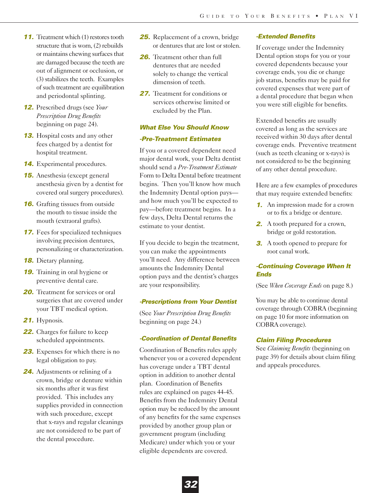- *11.* Treatment which (1) restores tooth structure that is worn, (2) rebuilds or maintains chewing surfaces that are damaged because the teeth are out of alignment or occlusion, or (3) stabilizes the teeth. Examples of such treatment are equilibration and periodontal splinting.
- *12.* Prescribed drugs (see *Your Prescription Drug Benefits* beginning on page 24).
- *13.* Hospital costs and any other fees charged by a dentist for hospital treatment.
- *14.* Experimental procedures.
- *15.* Anesthesia (except general anesthesia given by a dentist for covered oral surgery procedures).
- **16.** Grafting tissues from outside the mouth to tissue inside the mouth (extraoral grafts).
- **17.** Fees for specialized techniques involving precision dentures, personalizing or characterization.
- *18.* Dietary planning.
- *19.* Training in oral hygiene or preventive dental care.
- **20.** Treatment for services or oral surgeries that are covered under your TBT medical option.
- *21.* Hypnosis.
- *22.* Charges for failure to keep scheduled appointments.
- *23.* Expenses for which there is no legal obligation to pay.
- *24.* Adjustments or relining of a crown, bridge or denture within six months after it was first provided. This includes any supplies provided in connection with such procedure, except that x-rays and regular cleanings are not considered to be part of the dental procedure.
- *25.* Replacement of a crown, bridge or dentures that are lost or stolen.
- *26.* Treatment other than full dentures that are needed solely to change the vertical dimension of teeth.
- 27. Treatment for conditions or services otherwise limited or excluded by the Plan.

# *What Else You Should Know*

# *-Pre-Treatment Estimates*

If you or a covered dependent need major dental work, your Delta dentist should send a *Pre-Treatment Estimate* Form to Delta Dental before treatment begins. Then you'll know how much the Indemnity Dental option pays and how much you'll be expected to pay—before treatment begins. In a few days, Delta Dental returns the estimate to your dentist.

If you decide to begin the treatment, you can make the appointments you'll need. Any difference between amounts the Indemnity Dental option pays and the dentist's charges are your responsibility.

### *-Prescriptions from Your Dentist*

(See *Your Prescription Drug Benefits* beginning on page 24.)

### *-Coordination of Dental Benefits*

Coordination of Benefits rules apply whenever you or a covered dependent has coverage under a TBT dental option in addition to another dental plan. Coordination of Benefits rules are explained on pages 44-45. Benefits from the Indemnity Dental option may be reduced by the amount of any benefits for the same expenses provided by another group plan or government program (including Medicare) under which you or your eligible dependents are covered.

#### *-Extended Benefits*

If coverage under the Indemnity Dental option stops for you or your covered dependents because your coverage ends, you die or change job status, benefits may be paid for covered expenses that were part of a dental procedure that began when you were still eligible for benefits.

Extended benefits are usually covered as long as the services are received within 30 days after dental coverage ends. Preventive treatment (such as teeth cleaning or x-rays) is not considered to be the beginning of any other dental procedure.

Here are a few examples of procedures that may require extended benefits:

- *1.* An impression made for a crown or to fix a bridge or denture.
- *2.* A tooth prepared for a crown, bridge or gold restoration.
- **3.** A tooth opened to prepare for root canal work.

# *-Continuing Coverage When It Ends*

(See *When Coverage Ends* on page 8.)

You may be able to continue dental coverage through COBRA (beginning on page 10 for more information on COBRA coverage).

### *Claim Filing Procedures*

See *Claiming Benefits* (beginning on page 39) for details about claim filing and appeals procedures.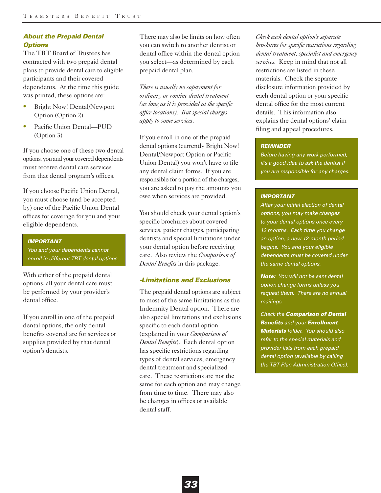# *About the Prepaid Dental Options*

The TBT Board of Trustees has contracted with two prepaid dental plans to provide dental care to eligible participants and their covered dependents. At the time this guide was printed, these options are:

- **•** Bright Now! Dental/Newport Option (Option 2)
- **•** Pacific Union Dental—PUD (Option 3)

If you choose one of these two dental options, you and your covered dependents must receive dental care services from that dental program's offices.

If you choose Pacific Union Dental, you must choose (and be accepted by) one of the Pacific Union Dental offices for coverage for you and your eligible dependents.

#### *IMPORTANT*

*You and your dependents cannot enroll in different TBT dental options.*

With either of the prepaid dental options, all your dental care must be performed by your provider's dental office.

If you enroll in one of the prepaid dental options, the only dental benefits covered are for services or supplies provided by that dental option's dentists.

There may also be limits on how often you can switch to another dentist or dental office within the dental option you select—as determined by each prepaid dental plan.

*There is usually no copayment for ordinary or routine dental treatment (as long as it is provided at the specific office locations). But special charges apply to some services.*

If you enroll in one of the prepaid dental options (currently Bright Now! Dental/Newport Option or Pacific Union Dental) you won't have to file any dental claim forms. If you are responsible for a portion of the charges, you are asked to pay the amounts you owe when services are provided.

You should check your dental option's specific brochures about covered services, patient charges, participating dentists and special limitations under your dental option before receiving care. Also review the *Comparison of Dental Benefits* in this package.

### *-Limitations and Exclusions*

The prepaid dental options are subject to most of the same limitations as the Indemnity Dental option. There are also special limitations and exclusions specific to each dental option (explained in your *Comparison of Dental Benefits*). Each dental option has specific restrictions regarding types of dental services, emergency dental treatment and specialized care. These restrictions are not the same for each option and may change from time to time. There may also be changes in offices or available dental staff.

*Check each dental option's separate brochures for specific restrictions regarding dental treatment, specialist and emergency services.* Keep in mind that not all restrictions are listed in these materials. Check the separate disclosure information provided by each dental option or your specific dental office for the most current details. This information also explains the dental options' claim filing and appeal procedures.

#### *REMINDER*

*Before having any work performed, it's a good idea to ask the dentist if you are responsible for any charges.*

#### *IMPORTANT*

*After your initial election of dental options, you may make changes to your dental options once every 12 months. Each time you change an option, a new 12-month period begins. You and your eligible dependents must be covered under the same dental options.*

*Note: You will not be sent dental option change forms unless you request them. There are no annual mailings.*

*Check the Comparison of Dental Benefits and your Enrollment Materials folder. You should also refer to the special materials and provider lists from each prepaid dental option (available by calling the TBT Plan Administration Office).*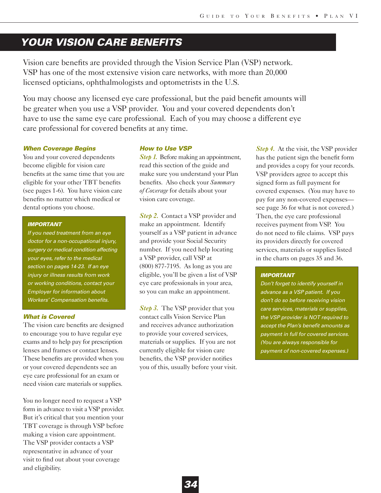# *YOUR VISION CARE BENEFITS*

Vision care benefits are provided through the Vision Service Plan (VSP) network. VSP has one of the most extensive vision care networks, with more than 20,000 licensed opticians, ophthalmologists and optometrists in the U.S.

You may choose any licensed eye care professional, but the paid benefit amounts will be greater when you use a VSP provider. You and your covered dependents don't have to use the same eye care professional. Each of you may choose a different eye care professional for covered benefits at any time.

#### *When Coverage Begins*

You and your covered dependents become eligible for vision care benefits at the same time that you are eligible for your other TBT benefits (see pages 1-6). You have vision care benefits no matter which medical or dental options you choose.

### *IMPORTANT*

*If you need treatment from an eye doctor for a non-occupational injury, surgery or medical condition affecting your eyes, refer to the medical section on pages 14-23. If an eye injury or illness results from work or working conditions, contact your Employer for information about Workers' Compensation benefits.* 

#### *What is Covered*

The vision care benefits are designed to encourage you to have regular eye exams and to help pay for prescription lenses and frames or contact lenses. These benefits are provided when you or your covered dependents see an eye care professional for an exam or need vision care materials or supplies.

You no longer need to request a VSP form in advance to visit a VSP provider. But it's critical that you mention your TBT coverage is through VSP before making a vision care appointment. The VSP provider contacts a VSP representative in advance of your visit to find out about your coverage and eligibility.

#### *How to Use VSP*

*Step 1.* Before making an appointment, read this section of the guide and make sure you understand your Plan benefits. Also check your *Summary of Coverage* for details about your vision care coverage.

Step 2. Contact a VSP provider and make an appointment. Identify yourself as a VSP patient in advance and provide your Social Security number. If you need help locating a VSP provider, call VSP at (800) 877-7195. As long as you are eligible, you'll be given a list of VSP eye care professionals in your area, so you can make an appointment.

*Step 3.* The VSP provider that you contact calls Vision Service Plan and receives advance authorization to provide your covered services, materials or supplies. If you are not currently eligible for vision care benefits, the VSP provider notifies you of this, usually before your visit.

*Step 4.* At the visit, the VSP provider has the patient sign the benefit form and provides a copy for your records. VSP providers agree to accept this signed form as full payment for covered expenses. (You may have to pay for any non-covered expenses see page 36 for what is not covered.) Then, the eye care professional receives payment from VSP. You do not need to file claims. VSP pays its providers directly for covered services, materials or supplies listed in the charts on pages 35 and 36.

### *IMPORTANT*

*Don't forget to identify yourself in advance as a VSP patient. If you don't do so before receiving vision care services, materials or supplies, the VSP provider is NOT required to accept the Plan's benefit amounts as payment in full for covered services. (You are always responsible for payment of non-covered expenses.)*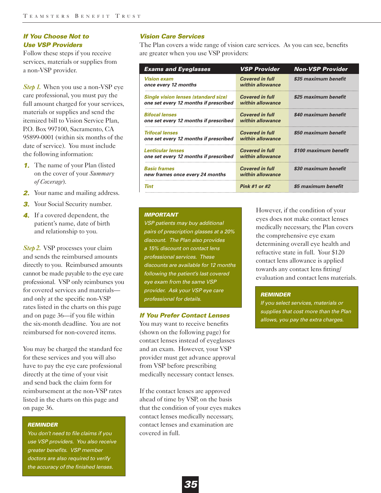# *If You Choose Not to Use VSP Providers*

Follow these steps if you receive services, materials or supplies from a non-VSP provider.

*Step 1.* When you use a non-VSP eye care professional, you must pay the full amount charged for your services, materials or supplies and send the itemized bill to Vision Service Plan, P.O. Box 997100, Sacramento, CA 95899-0001 (within six months of the date of service). You must include the following information:

- **1.** The name of your Plan (listed on the cover of your *Summary of Coverage*).
- **2.** Your name and mailing address.
- **3.** Your Social Security number.
- *4.* If a covered dependent, the patient's name, date of birth and relationship to you.

*Step 2.* VSP processes your claim and sends the reimbursed amounts directly to you. Reimbursed amounts cannot be made payable to the eye care professional. VSP only reimburses you for covered services and materials and only at the specific non-VSP rates listed in the charts on this page and on page 36—if you file within the six-month deadline. You are not reimbursed for non-covered items.

You may be charged the standard fee for these services and you will also have to pay the eye care professional directly at the time of your visit and send back the claim form for reimbursement at the non-VSP rates listed in the charts on this page and on page 36.

#### *REMINDER*

*You don't need to file claims if you use VSP providers. You also receive greater benefits. VSP member doctors are also required to verify the accuracy of the finished lenses.* 

### *Vision Care Services*

The Plan covers a wide range of vision care services. As you can see, benefits are greater when you use VSP providers:

| <b>Exams and Eyeglasses</b>                                                          | <b>VSP Provider</b>                        | <b>Non-VSP Provider</b> |
|--------------------------------------------------------------------------------------|--------------------------------------------|-------------------------|
| Vision exam<br>once every 12 months                                                  | <b>Covered in full</b><br>within allowance | \$35 maximum benefit    |
| <b>Single vision lenses (standard size)</b><br>one set every 12 months if prescribed | <b>Covered in full</b><br>within allowance | \$25 maximum benefit    |
| <b>Bifocal lenses</b><br>one set every 12 months if prescribed                       | <b>Covered in full</b><br>within allowance | \$40 maximum benefit    |
| <i><b>Trifocal lenses</b></i><br>one set every 12 months if prescribed               | <b>Covered in full</b><br>within allowance | \$50 maximum benefit    |
| <b>Lenticular lenses</b><br>one set every 12 months if prescribed                    | <b>Covered in full</b><br>within allowance | \$100 maximum benefit   |
| <b>Basic frames</b><br>new frames once every 24 months                               | <b>Covered in full</b><br>within allowance | \$30 maximum benefit    |
| Tint                                                                                 | Pink #1 or #2                              | \$5 maximum benefit     |

#### *IMPORTANT*

*VSP patients may buy additional pairs of prescription glasses at a 20% discount. The Plan also provides a 15% discount on contact lens professional services. These discounts are available for 12 months following the patient's last covered eye exam from the same VSP provider. Ask your VSP eye care professional for details.*

### *If You Prefer Contact Lenses*

You may want to receive benefits (shown on the following page) for contact lenses instead of eyeglasses and an exam. However, your VSP provider must get advance approval from VSP before prescribing medically necessary contact lenses.

If the contact lenses are approved ahead of time by VSP, on the basis that the condition of your eyes makes contact lenses medically necessary, contact lenses and examination are covered in full.

However, if the condition of your eyes does not make contact lenses medically necessary, the Plan covers the comprehensive eye exam determining overall eye health and refractive state in full. Your \$120 contact lens allowance is applied towards any contact lens fitting/ evaluation and contact lens materials.

#### *REMINDER*

*If you select services, materials or supplies that cost more than the Plan allows, you pay the extra charges.*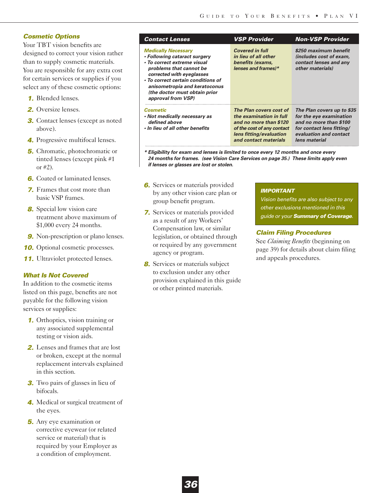# *Cosmetic Options*

Your TBT vision benefits are designed to correct your vision rather than to supply cosmetic materials. You are responsible for any extra cost for certain services or supplies if you select any of these cosmetic options:

- *1.* Blended lenses.
- *2.* Oversize lenses.
- **3.** Contact lenses (except as noted above).
- *4.* Progressive multifocal lenses.
- *5.* Chromatic, photochromatic or tinted lenses (except pink #1 or #2).
- **6.** Coated or laminated lenses.
- *7.* Frames that cost more than basic VSP frames.
- *8.* Special low vision care treatment above maximum of \$1,000 every 24 months.
- **9.** Non-prescription or plano lenses.
- **10.** Optional cosmetic processes.
- **11.** Ultraviolet protected lenses.

## *What Is Not Covered*

In addition to the cosmetic items listed on this page, benefits are not payable for the following vision services or supplies:

- *1.* Orthoptics, vision training or any associated supplemental testing or vision aids.
- *2.* Lenses and frames that are lost or broken, except at the normal replacement intervals explained in this section.
- **3.** Two pairs of glasses in lieu of bifocals.
- *4.* Medical or surgical treatment of the eyes.
- *5.* Any eye examination or corrective eyewear (or related service or material) that is required by your Employer as a condition of employment.

| <b>Contact Lenses</b>                                                                                                                                                                                                                                                           | <b>VSP Provider</b>                                                                                                                                            | <b>Non-VSP Provider</b>                                                                                                                                 |
|---------------------------------------------------------------------------------------------------------------------------------------------------------------------------------------------------------------------------------------------------------------------------------|----------------------------------------------------------------------------------------------------------------------------------------------------------------|---------------------------------------------------------------------------------------------------------------------------------------------------------|
| <b>Medically Necessary</b><br>• Following cataract surgery<br>• To correct extreme visual<br>problems that cannot be<br>corrected with eyeglasses<br>• To correct certain conditions of<br>anisometropia and keratoconus<br>(the doctor must obtain prior<br>approval from VSP) | <b>Covered in full</b><br>in lieu of all other<br>benefits (exams,<br>lenses and frames)*                                                                      | \$250 maximum benefit<br>(includes cost of exam,<br>contact lenses and any<br>other materials)                                                          |
| <b>Cosmetic</b><br>• Not medically necessary as<br>defined above<br>. In lieu of all other benefits                                                                                                                                                                             | The Plan covers cost of<br>the examination in full<br>and no more than \$120<br>of the cost of any contact<br>lens fitting/evaluation<br>and contact materials | The Plan covers up to \$35<br>for the eye examination<br>and no more than \$100<br>for contact lens fitting/<br>evaluation and contact<br>lens material |

*\* Eligibility for exam and lenses is limited to once every 12 months and once every 24 months for frames. (see Vision Care Services on page 35.) These limits apply even if lenses or glasses are lost or stolen.*

- **6.** Services or materials provided by any other vision care plan or group benefit program.
- *7.* Services or materials provided as a result of any Workers' Compensation law, or similar legislation, or obtained through or required by any government agency or program.
- *8.* Services or materials subject to exclusion under any other provision explained in this guide or other printed materials.

#### *IMPORTANT*

*Vision benefits are also subject to any other exclusions mentioned in this guide or your Summary of Coverage.*

## *Claim Filing Procedures*

See *Claiming Benefits* (beginning on page 39) for details about claim filing and appeals procedures.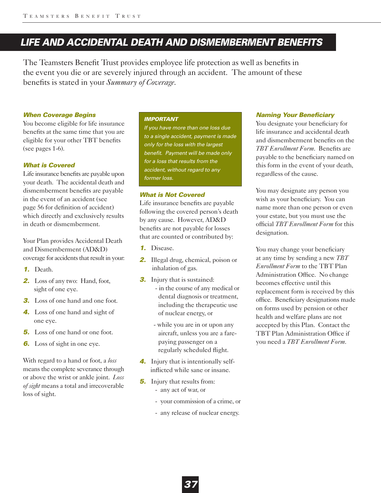# *LIFE AND ACCIDENTAL DEATH AND DISMEMBERMENT BENEFITS*

The Teamsters Benefit Trust provides employee life protection as well as benefits in the event you die or are severely injured through an accident. The amount of these benefits is stated in your *Summary of Coverage*.

#### *When Coverage Begins*

You become eligible for life insurance benefits at the same time that you are eligible for your other TBT benefits (see pages 1-6).

## *What is Covered*

Life insurance benefits are payable upon your death. The accidental death and dismemberment benefits are payable in the event of an accident (see page 56 for definition of accident) which directly and exclusively results in death or dismemberment.

Your Plan provides Accidental Death and Dismemberment (AD&D) coverage for accidents that result in your:

- *1.* Death.
- *2.* Loss of any two: Hand, foot, sight of one eye.
- **3.** Loss of one hand and one foot.
- *4.* Loss of one hand and sight of one eye.
- *5.* Loss of one hand or one foot.
- *6.* Loss of sight in one eye.

With regard to a hand or foot, a *loss* means the complete severance through or above the wrist or ankle joint. *Loss of sight* means a total and irrecoverable loss of sight.

#### *IMPORTANT*

*If you have more than one loss due to a single accident, payment is made only for the loss with the largest benefit. Payment will be made only for a loss that results from the accident, without regard to any former loss.* 

# *What is Not Covered*

Life insurance benefits are payable following the covered person's death by any cause. However, AD&D benefits are not payable for losses that are counted or contributed by:

- *1.* Disease.
- 2. Illegal drug, chemical, poison or inhalation of gas.
- **3.** Injury that is sustained:
	- in the course of any medical or dental diagnosis or treatment, including the therapeutic use of nuclear energy, or
	- while you are in or upon any aircraft, unless you are a farepaying passenger on a regularly scheduled flight.
- *4.* Injury that is intentionally selfinflicted while sane or insane.
- *5.* Injury that results from:
	- any act of war, or
	- your commission of a crime, or
	- any release of nuclear energy.

#### *Naming Your Beneficiary*

You designate your beneficiary for life insurance and accidental death and dismemberment benefits on the *TBT Enrollment Form*. Benefits are payable to the beneficiary named on this form in the event of your death, regardless of the cause.

You may designate any person you wish as your beneficiary. You can name more than one person or even your estate, but you must use the official *TBT Enrollment Form* for this designation.

You may change your beneficiary at any time by sending a new *TBT Enrollment Form* to the TBT Plan Administration Office. No change becomes effective until this replacement form is received by this office. Beneficiary designations made on forms used by pension or other health and welfare plans are not accepted by this Plan. Contact the TBT Plan Administration Office if you need a *TBT Enrollment Form*.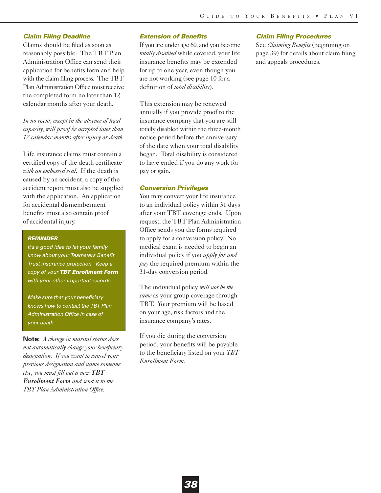#### *Claim Filing Deadline*

Claims should be filed as soon as reasonably possible. The TBT Plan Administration Office can send their application for benefits form and help with the claim filing process. The TBT Plan Administration Office must receive the completed form no later than 12 calendar months after your death.

*In no event, except in the absence of legal capacity, will proof be accepted later than 12 calendar months after injury or death.*

Life insurance claims must contain a certified copy of the death certificate *with an embossed seal*. If the death is caused by an accident, a copy of the accident report must also be supplied with the application. An application for accidental dismemberment benefits must also contain proof of accidental injury.

#### *REMINDER*

*It's a good idea to let your family know about your Teamsters Benefit Trust insurance protection. Keep a copy of your TBT Enrollment Form with your other important records.* 

*Make sure that your beneficiary knows how to contact the TBT Plan Administration Office in case of your death.*

**Note:** *A change in marital status does not automatically change your beneficiary designation. If you want to cancel your previous designation and name someone else, you must fill out a new TBT Enrollment Form and send it to the TBT Plan Administration Office.* 

### *Extension of Benefits*

If you are under age 60, and you become *totally disabled* while covered, your life insurance benefits may be extended for up to one year, even though you are not working (see page 10 for a definition of *total disability*).

This extension may be renewed annually if you provide proof to the insurance company that you are still totally disabled within the three-month notice period before the anniversary of the date when your total disability began. Total disability is considered to have ended if you do any work for pay or gain.

### *Conversion Privileges*

You may convert your life insurance to an individual policy within 31 days after your TBT coverage ends. Upon request, the TBT Plan Administration Office sends you the forms required to apply for a conversion policy. No medical exam is needed to begin an individual policy if you *apply for and pay* the required premium within the 31-day conversion period.

The individual policy *will not be the same* as your group coverage through TBT. Your premium will be based on your age, risk factors and the insurance company's rates.

If you die during the conversion period, your benefits will be payable to the beneficiary listed on your *TBT Enrollment Form*.

#### *Claim Filing Procedures*

See *Claiming Benefits* (beginning on page 39) for details about claim filing and appeals procedures.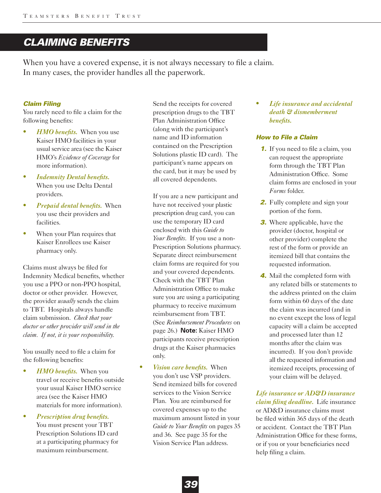# *CLAIMING BENEFITS*

When you have a covered expense, it is not always necessary to file a claim. In many cases, the provider handles all the paperwork.

### *Claim Filing*

You rarely need to file a claim for the following benefits:

- **•** *HMO benefits.* When you use Kaiser HMO facilities in your usual service area (see the Kaiser HMO's *Evidence of Coverage* for more information).
- **•** *Indemnity Dental benefits.* When you use Delta Dental providers.
- **•** *Prepaid dental benefits.* When you use their providers and facilities.
- **•** When your Plan requires that Kaiser Enrollees use Kaiser pharmacy only.

Claims must always be filed for Indemnity Medical benefits, whether you use a PPO or non-PPO hospital, doctor or other provider. However, the provider *usually* sends the claim to TBT. Hospitals always handle claim submission. *Check that your doctor or other provider will send in the claim. If not, it is your responsibility.* 

You usually need to file a claim for the following benefits:

- **•** *HMO benefits.* When you travel or receive benefits outside your usual Kaiser HMO service area (see the Kaiser HMO materials for more information).
- **•** *Prescription drug benefits.* You must present your TBT Prescription Solutions ID card at a participating pharmacy for maximum reimbursement.

Send the receipts for covered prescription drugs to the TBT Plan Administration Office (along with the participant's name and ID information contained on the Prescription Solutions plastic ID card). The participant's name appears on the card, but it may be used by all covered dependents.

If you are a new participant and have not received your plastic prescription drug card, you can use the temporary ID card enclosed with this *Guide to Your Benefits*. If you use a non-Prescription Solutions pharmacy. Separate direct reimbursement claim forms are required for you and your covered dependents. Check with the TBT Plan Administration Office to make sure you are using a participating pharmacy to receive maximum reimbursement from TBT. (See *Reimbursement Procedures* on page 26.) **Note:** Kaiser HMO participants receive prescription drugs at the Kaiser pharmacies only.

**•** *Vision care benefits.* When you don't use VSP providers. Send itemized bills for covered services to the Vision Service Plan. You are reimbursed for covered expenses up to the maximum amount listed in your *Guide to Your Benefits* on pages 35 and 36. See page 35 for the Vision Service Plan address.

**•** *Life insurance and accidental death & dismemberment benefits.*

# *How to File a Claim*

- **1.** If you need to file a claim, you can request the appropriate form through the TBT Plan Administration Office. Some claim forms are enclosed in your *Forms* folder.
- **2.** Fully complete and sign your portion of the form.
- *3.* Where applicable, have the provider (doctor, hospital or other provider) complete the rest of the form or provide an itemized bill that contains the requested information.
- *4.* Mail the completed form with any related bills or statements to the address printed on the claim form within 60 days of the date the claim was incurred (and in no event except the loss of legal capacity will a claim be accepted and processed later than 12 months after the claim was incurred). If you don't provide all the requested information and itemized receipts, processing of your claim will be delayed.

*Life insurance or AD&D insurance claim filing deadline.* Life insurance or AD&D insurance claims must be filed within 365 days of the death or accident. Contact the TBT Plan Administration Office for these forms, or if you or your beneficiaries need help filing a claim.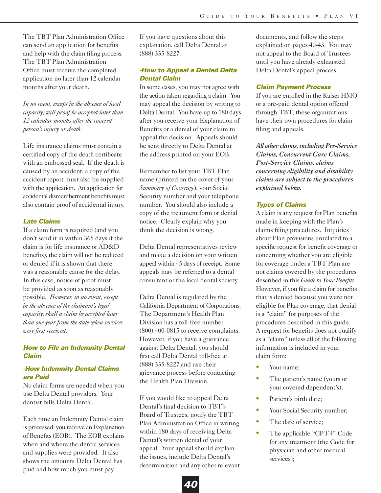The TBT Plan Administration Office can send an application for benefits and help with the claim filing process. The TBT Plan Administration Office must receive the completed application no later than 12 calendar months after your death.

*In no event, except in the absence of legal capacity, will proof be accepted later than 12 calendar months after the covered person's injury or death.*

Life insurance claims must contain a certified copy of the death certificate with an embossed seal. If the death is caused by an accident, a copy of the accident report must also be supplied with the application. An application for accidental dismemberment benefits must also contain proof of accidental injury.

#### *Late Claims*

If a claim form is required (and you don't send it in within 365 days if the claim is for life insurance or AD&D benefits), the claim will not be reduced or denied if it is shown that there was a reasonable cause for the delay. In this case, notice of proof must be provided as soon as reasonably possible. *However, in no event, except in the absence of the claimant's legal capacity, shall a claim be accepted later than one year from the date when services were first received.*

# *How to File an Indemnity Dental Claim*

# *-How Indemnity Dental Claims are Paid*

No claim forms are needed when you use Delta Dental providers. Your dentist bills Delta Dental.

Each time an Indemnity Dental claim is processed, you receive an Explanation of Benefits (EOB). The EOB explains when and where the dental services and supplies were provided. It also shows the amounts Delta Dental has paid and how much you must pay.

If you have questions about this explanation, call Delta Dental at (888) 335-8227.

# *-How to Appeal a Denied Delta Dental Claim*

In some cases, you may not agree with the action taken regarding a claim. You may appeal the decision by writing to Delta Dental. You have up to 180 days after you receive your Explanation of Benefits or a denial of your claim to appeal the decision. Appeals should be sent directly to Delta Dental at the address printed on your EOB.

Remember to list your TBT Plan name (printed on the cover of your *Summary of Coverage*), your Social Security number and your telephone number. You should also include a copy of the treatment form or denial notice. Clearly explain why you think the decision is wrong.

Delta Dental representatives review and make a decision on your written appeal within 45 days of receipt. Some appeals may be referred to a dental consultant or the local dental society.

Delta Dental is regulated by the California Department of Corporations. The Department's Health Plan Division has a toll-free number (800) 400-0815 to receive complaints. However, if you have a grievance against Delta Dental, you should first call Delta Dental toll-free at (888) 335-8227 and use their grievance process before contacting the Health Plan Division.

If you would like to appeal Delta Dental's final decision to TBT's Board of Trustees, notify the TBT Plan Administration Office in writing within 180 days of receiving Delta Dental's written denial of your appeal. Your appeal should explain the issues, include Delta Dental's determination and any other relevant

documents, and follow the steps explained on pages 40-43. You may not appeal to the Board of Trustees until you have already exhausted Delta Dental's appeal process.

#### *Claim Payment Process*

If you are enrolled in the Kaiser HMO or a pre-paid dental option offered through TBT, these organizations have their own procedures for claim filing and appeals.

*All other claims, including Pre-Service Claims, Concurrent Care Claims, Post-Service Claims, claims concerning eligibility and disability claims are subject to the procedures explained below.*

### *Types of Claims*

A claim is any request for Plan benefits made in keeping with the Plan's claims filing procedures. Inquiries about Plan provisions unrelated to a specific request for benefit coverage or concerning whether you are eligible for coverage under a TBT Plan are not claims covered by the procedures described in this *Guide to Your Benefits*. However, if you file a claim for benefits that is denied because you were not eligible for Plan coverage, that denial is a "claim" for purposes of the procedures described in this guide. A request for benefits does not qualify as a "claim" unless all of the following information is included in your claim form:

- **•** Your name;
- The patient's name (yours or your covered dependent's);
- **•** Patient's birth date;
- Your Social Security number;
- The date of service;
- The applicable "CPT-4" Code for any treatment (the Code for physician and other medical services);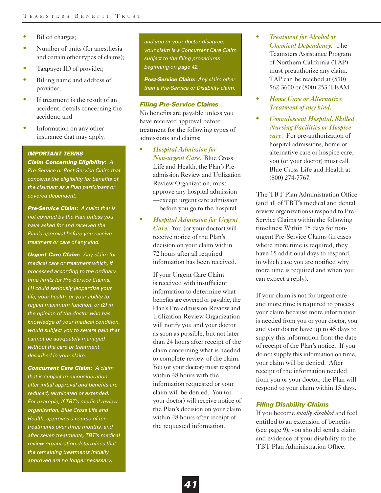- **•** Billed charges;
- **•** Number of units (for anesthesia and certain other types of claims);
- **•** Taxpayer ID of provider;
- **•** Billing name and address of provider;
- **•** If treatment is the result of an accident, details concerning the accident; and
- **•** Information on any other insurance that may apply.

#### *IMPORTANT TERMS*

*Claim Concerning Eligibility: A Pre-Service or Post-Service Claim that concerns the eligibility for benefits of the claimant as a Plan participant or covered dependent.*

*Pre-Service Claim: A claim that is not covered by the Plan unless you have asked for and received the Plan's approval before you receive treatment or care of any kind.*

*Urgent Care Claim: Any claim for medical care or treatment which, if processed according to the ordinary time limits for Pre-Service Claims, (1) could seriously jeopardize your life, your health, or your ability to regain maximum function, or (2) in the opinion of the doctor who has knowledge of your medical condition, would subject you to severe pain that cannot be adequately managed without the care or treatment described in your claim.*

*Concurrent Care Claim: A claim that is subject to reconsideration after initial approval and benefits are reduced, terminated or extended. For example, if TBT's medical review organization, Blue Cross Life and Health, approves a course of ten treatments over three months, and after seven treatments, TBT's medical review organization determines that the remaining treatments initially approved are no longer necessary,*

*and you or your doctor disagree, your claim is a Concurrent Care Claim subject to the filing procedures beginning on page 42.*

*Post-Service Claim: Any claim other than a Pre-Service or Disability claim.*

#### *Filing Pre-Service Claims*

No benefits are payable unless you have received approval before treatment for the following types of admissions and claims:

- **•** *Hospital Admission for Non-urgent Care.* Blue Cross Life and Health, the Plan's Preadmission Review and Utilization Review Organization, must approve any hospital admission —except urgent care admission —before you go to the hospital.
- **•** *Hospital Admission for Urgent Care.* You (or your doctor) will receive notice of the Plan's decision on your claim within 72 hours after all required information has been received.

If your Urgent Care Claim is received with insufficient information to determine what benefits are covered or payable, the Plan's Pre-admission Review and Utilization Review Organization will notify you and your doctor as soon as possible, but not later than 24 hours after receipt of the claim concerning what is needed to complete review of the claim. You (or your doctor) must respond within 48 hours with the information requested or your claim will be denied. You (or your doctor) will receive notice of the Plan's decision on your claim within 48 hours after receipt of the requested information.

- **•** *Treatment for Alcohol or Chemical Dependency.* The Teamsters Assistance Program of Northern California (TAP) must preauthorize any claim. TAP can be reached at (510) 562-3600 or (800) 253-TEAM.
- **•** *Home Care or Alternative Treatment of any kind.*
- **•** *Convalescent Hospital, Skilled Nursing Facilities or Hospice care.* For pre-authorization of hospital admissions, home or alternative care or hospice care, you (or your doctor) must call Blue Cross Life and Health at (800) 274-7767.

The TBT Plan Administration Office (and all of TBT's medical and dental review organizations) respond to Pre-Service Claims within the following timelines: Within 15 days for nonurgent Pre-Service Claims (in cases where more time is required, they have 15 additional days to respond, in which case you are notified why more time is required and when you can expect a reply).

If your claim is not for urgent care and more time is required to process your claim because more information is needed from you or your doctor, you and your doctor have up to 45 days to supply this information from the date of receipt of the Plan's notice. If you do not supply this information on time, your claim will be denied. After receipt of the information needed from you or your doctor, the Plan will respond to your claim within 15 days.

### *Filing Disability Claims*

If you become *totally disabled* and feel entitled to an extension of benefits (see page 9), you should send a claim and evidence of your disability to the TBT Plan Administration Office.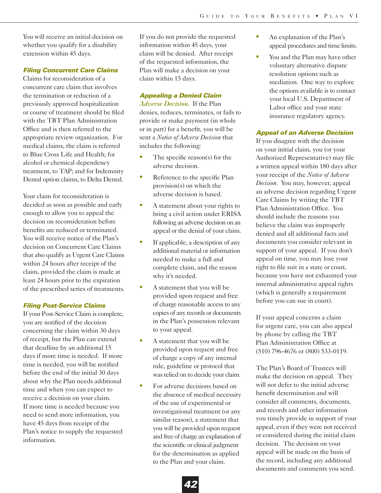You will receive an initial decision on whether you qualify for a disability extension within 45 days.

#### *Filing Concurrent Care Claims*

Claims for reconsideration of a concurrent care claim that involves the termination or reduction of a previously approved hospitalization or course of treatment should be filed with the TBT Plan Administration Office and is then referred to the appropriate review organization. For medical claims, the claim is referred to Blue Cross Life and Health; for alcohol or chemical dependency treatment, to TAP; and for Indemnity Dental option claims, to Delta Dental.

Your claim for reconsideration is decided as soon as possible and early enough to allow you to appeal the decision on reconsideration before benefits are reduced or terminated. You will receive notice of the Plan's decision on Concurrent Care Claims that also qualify as Urgent Care Claims within 24 hours after receipt of the claim, provided the claim is made at least 24 hours prior to the expiration of the prescribed series of treatments.

### *Filing Post-Service Claims*

If your Post-Service Claim is complete, you are notified of the decision concerning the claim within 30 days of receipt, but the Plan can extend that deadline by an additional 15 days if more time is needed. If more time is needed, you will be notified before the end of the initial 30 days about why the Plan needs additional time and when you can expect to receive a decision on your claim. If more time is needed because you need to send more information, you have 45 days from receipt of the Plan's notice to supply the requested information.

If you do not provide the requested information within 45 days, your claim will be denied. After receipt of the requested information, the Plan will make a decision on your claim within 15 days.

## *Appealing a Denied Claim*

*Adverse Decision.* If the Plan denies, reduces, terminates, or fails to provide or make payment (in whole or in part) for a benefit, you will be sent a *Notice of Adverse Decision* that includes the following:

- The specific reason(s) for the adverse decision.
- Reference to the specific Plan provision(s) on which the adverse decision is based.
- A statement about your rights to bring a civil action under ERISA following an adverse decision on an appeal or the denial of your claim.
- **•** If applicable, a description of any additional material or information needed to make a full and complete claim, and the reason why it's needed.
- A statement that you will be provided upon request and free of charge reasonable access to any copies of any records or documents in the Plan's possession relevant to your appeal.
- **•** A statement that you will be provided upon request and free of charge a copy of any internal rule, guideline or protocol that was relied on to decide your claim.
- For adverse decisions based on the absence of medical necessity of the use of experimental or investigational treatment (or any similar reason), a statement that you will be provided upon request and free of charge an explanation of the scientific or clinical judgment for the determination as applied to the Plan and your claim.
- **•** An explanation of the Plan's appeal procedures and time limits.
- **•** You and the Plan may have other voluntary alternative dispute resolution options such as mediation. One way to explore the options available is to contact your local U.S. Department of Labor office and your state insurance regulatory agency.

### *Appeal of an Adverse Decision*

If you disagree with the decision on your initial claim, you (or your Authorized Representative) may file a written appeal within 180 days after your receipt of the *Notice of Adverse Decision*. You may, however, appeal an adverse decision regarding Urgent Care Claims by writing the TBT Plan Administration Office. You should include the reasons you believe the claim was improperly denied and all additional facts and documents you consider relevant in support of your appeal. If you don't appeal on time, you may lose your right to file suit in a state or court, because you have not exhausted your internal administrative appeal rights (which is generally a requirement before you can sue in court).

If your appeal concerns a claim for urgent care, you can also appeal by phone by calling the TBT Plan Administration Office at (510) 796-4676 or (800) 533-0119.

The Plan's Board of Trustees will make the decision on appeal. They will not defer to the initial adverse benefit determination and will consider all comments, documents, and records and other information you timely provide in support of your appeal, even if they were not received or considered during the initial claim decision. The decision on your appeal will be made on the basis of the record, including any additional documents and comments you send.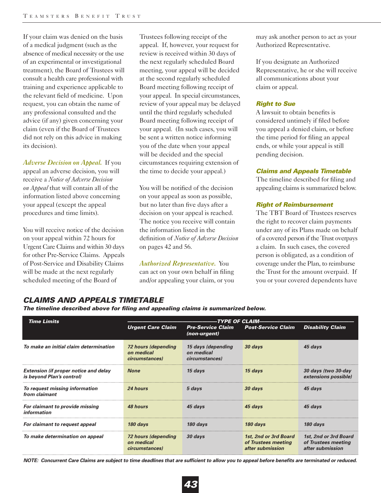If your claim was denied on the basis of a medical judgment (such as the absence of medical necessity or the use of an experimental or investigational treatment), the Board of Trustees will consult a health care professional with training and experience applicable to the relevant field of medicine. Upon request, you can obtain the name of any professional consulted and the advice (if any) given concerning your claim (even if the Board of Trustees did not rely on this advice in making its decision).

*Adverse Decision on Appeal.* If you appeal an adverse decision, you will receive a *Notice of Adverse Decision on Appeal* that will contain all of the information listed above concerning your appeal (except the appeal procedures and time limits).

You will receive notice of the decision on your appeal within 72 hours for Urgent Care Claims and within 30 days for other Pre-Service Claims. Appeals of Post-Service and Disability Claims will be made at the next regularly scheduled meeting of the Board of

Trustees following receipt of the appeal. If, however, your request for review is received within 30 days of the next regularly scheduled Board meeting, your appeal will be decided at the second regularly scheduled Board meeting following receipt of your appeal. In special circumstances, review of your appeal may be delayed until the third regularly scheduled Board meeting following receipt of your appeal. (In such cases, you will be sent a written notice informing you of the date when your appeal will be decided and the special circumstances requiring extension of the time to decide your appeal.)

You will be notified of the decision on your appeal as soon as possible, but no later than five days after a decision on your appeal is reached. The notice you receive will contain the information listed in the definition of *Notice of Adverse Decision* on pages 42 and 56.

*Authorized Representative.* You can act on your own behalf in filing and/or appealing your claim, or you

may ask another person to act as your Authorized Representative.

If you designate an Authorized Representative, he or she will receive all communications about your claim or appeal.

# *Right to Sue*

A lawsuit to obtain benefits is considered untimely if filed before you appeal a denied claim, or before the time period for filing an appeal ends, or while your appeal is still pending decision.

## *Claims and Appeals Timetable*

The timeline described for filing and appealing claims is summarized below.

# *Right of Reimbursement*

The TBT Board of Trustees reserves the right to recover claim payments under any of its Plans made on behalf of a covered person if the Trust overpays a claim. In such cases, the covered person is obligated, as a condition of coverage under the Plan, to reimburse the Trust for the amount overpaid. If you or your covered dependents have

| The uniquite described above for ming and appealing claims is summarized below. |                                                     |                                                    |                                                                  |                                                                  |  |
|---------------------------------------------------------------------------------|-----------------------------------------------------|----------------------------------------------------|------------------------------------------------------------------|------------------------------------------------------------------|--|
| <b>Time Limits</b>                                                              | TYPE OF CLAIM-                                      |                                                    |                                                                  |                                                                  |  |
|                                                                                 | <b>Urgent Care Claim</b>                            | <b>Pre-Service Claim</b><br>(non-urgent)           | <b>Post-Service Claim</b>                                        | <b>Disability Claim</b>                                          |  |
| To make an initial claim determination                                          | 72 hours (depending<br>on medical<br>circumstances) | 15 days (depending<br>on medical<br>circumstances) | 30 days                                                          | 45 days                                                          |  |
| <b>Extension (if proper notice and delay</b><br>is beyond Plan's control)       | <b>None</b>                                         | 15 days                                            | 15 days                                                          | 30 days (two 30-day<br>extensions possible)                      |  |
| To request missing information<br>from claimant                                 | 24 hours                                            | 5 days                                             | 30 days                                                          | 45 days                                                          |  |
| For claimant to provide missing<br>information                                  | 48 hours                                            | 45 days                                            | 45 days                                                          | 45 days                                                          |  |
| For claimant to request appeal                                                  | 180 days                                            | $180$ days                                         | 180 days                                                         | 180 days                                                         |  |
| To make determination on appeal                                                 | 72 hours (depending<br>on medical<br>circumstances) | 30 days                                            | 1st, 2nd or 3rd Board<br>of Trustees meeting<br>after submission | 1st, 2nd or 3rd Board<br>of Trustees meeting<br>after submission |  |

*CLAIMS AND APPEALS TIMETABLE The timeline described above for filing and appealing claims is summarized below.*

*NOTE: Concurrent Care Claims are subject to time deadlines that are sufficient to allow you to appeal before benefits are terminated or reduced.*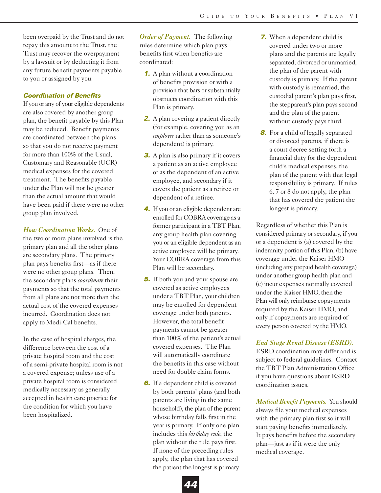been overpaid by the Trust and do not repay this amount to the Trust, the Trust may recover the overpayment by a lawsuit or by deducting it from any future benefit payments payable to you or assigned by you.

#### *Coordination of Benefits*

If you or any of your eligible dependents are also covered by another group plan, the benefit payable by this Plan may be reduced. Benefit payments are coordinated between the plans so that you do not receive payment for more than 100% of the Usual, Customary and Reasonable (UCR) medical expenses for the covered treatment. The benefits payable under the Plan will not be greater than the actual amount that would have been paid if there were no other group plan involved.

*How Coordination Works.* One of the two or more plans involved is the primary plan and all the other plans are secondary plans. The primary plan pays benefits first—as if there were no other group plans. Then, the secondary plans *coordinate* their payments so that the total payments from all plans are not more than the actual cost of the covered expenses incurred. Coordination does not apply to Medi-Cal benefits.

In the case of hospital charges, the difference between the cost of a private hospital room and the cost of a semi-private hospital room is not a covered expense; unless use of a private hospital room is considered medically necessary as generally accepted in health care practice for the condition for which you have been hospitalized.

*Order of Payment.* The following rules determine which plan pays benefits first when benefits are coordinated:

- *1.* A plan without a coordination of benefits provision or with a provision that bars or substantially obstructs coordination with this Plan is primary.
- **2.** A plan covering a patient directly (for example, covering you as an *employee* rather than as someone's dependent) is primary.
- *3.* A plan is also primary if it covers a patient as an active employee or as the dependent of an active employee, and secondary if it covers the patient as a retiree or dependent of a retiree.
- *4.* If you or an eligible dependent are enrolled for COBRA coverage as a former participant in a TBT Plan, any group health plan covering you or an eligible dependent as an active employee will be primary. Your COBRA coverage from this Plan will be secondary.
- **5.** If both you and your spouse are covered as active employees under a TBT Plan, your children may be enrolled for dependent coverage under both parents. However, the total benefit payments cannot be greater than 100% of the patient's actual covered expenses. The Plan will automatically coordinate the benefits in this case without need for double claim forms.
- **6.** If a dependent child is covered by both parents' plans (and both parents are living in the same household), the plan of the parent whose birthday falls first in the year is primary. If only one plan includes this *birthday rule*, the plan without the rule pays first. If none of the preceding rules apply, the plan that has covered the patient the longest is primary.
- *7.* When a dependent child is covered under two or more plans and the parents are legally separated, divorced or unmarried, the plan of the parent with custody is primary. If the parent with custody is remarried, the custodial parent's plan pays first, the stepparent's plan pays second and the plan of the parent without custody pays third.
- *8.* For a child of legally separated or divorced parents, if there is a court decree setting forth a financial duty for the dependent child's medical expenses, the plan of the parent with that legal responsibility is primary. If rules 6, 7 or 8 do not apply, the plan that has covered the patient the longest is primary.

Regardless of whether this Plan is considered primary or secondary, if you or a dependent is (a) covered by the indemnity portion of this Plan, (b) have coverage under the Kaiser HMO (including any prepaid health coverage) under another group health plan and (c) incur expenses normally covered under the Kaiser HMO, then the Plan will only reimburse copayments required by the Kaiser HMO, and only if copayments are required of every person covered by the HMO.

### *End Stage Renal Disease (ESRD).*

ESRD coordination may differ and is subject to federal guidelines. Contact the TBT Plan Administration Office if you have questions about ESRD coordination issues.

*Medical Benefit Payments.* You should always file your medical expenses with the primary plan first so it will start paying benefits immediately. It pays benefits before the secondary plan—just as if it were the only medical coverage.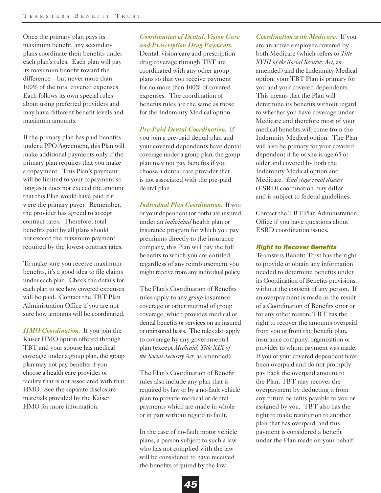Once the primary plan pays its maximum benefit, any secondary plans coordinate their benefits under each plan's rules. Each plan will pay its maximum benefit toward the difference—but never more than 100% of the total covered expenses. Each follows its own special rules about using preferred providers and may have different benefit levels and maximum amounts.

If the primary plan has paid benefits under a PPO Agreement, this Plan will make additional payments only if the primary plan requires that you make a copayment. This Plan's payment will be limited to your copayment so long as it does not exceed the amount that this Plan would have paid if it were the primary payer. Remember, the provider has agreed to accept contract rates. Therefore, total benefits paid by all plans should not exceed the maximum payment required by the lowest contract rates.

To make sure you receive maximum benefits, it's a good idea to file claims under each plan. Check the details for each plan to see how covered expenses will be paid. Contact the TBT Plan Administration Office if you are not sure how amounts will be coordinated.

*HMO Coordination.* If you join the Kaiser HMO option offered through TBT and your spouse has medical coverage under a group plan, the group plan may not pay benefits if you choose a health care provider or facility that is not associated with that HMO. See the separate disclosure materials provided by the Kaiser HMO for more information.

# *Coordination of Dental, Vision Care and Prescription Drug Payments.*

Dental, vision care and prescription drug coverage through TBT are coordinated with any other group plans so that you receive payment for no more than 100% of covered expenses. The coordination of benefits rules are the same as those for the Indemnity Medical option.

*Pre-Paid Dental Coordination.* If you join a pre-paid dental plan and your covered dependents have dental coverage under a group plan, the group plan may not pay benefits if you choose a dental care provider that is not associated with the pre-paid dental plan.

*Individual Plan Coordination.* If you or your dependent (or both) are insured under an *individual* health plan or insurance program for which you pay premiums directly to the insurance company, this Plan will pay the full benefits to which you are entitled, regardless of any reimbursement you might receive from any individual policy.

The Plan's Coordination of Benefits rules apply to any *group* insurance coverage or other method of group coverage, which provides medical or dental benefits or services on an insured or uninsured basis. The rules also apply to coverage by any governmental plan (except *Medicaid, Title XIX of the Social Security Act*, as amended).

The Plan's Coordination of Benefit rules also include any plan that is required by law or by a no-fault vehicle plan to provide medical or dental payments which are made in whole or in part without regard to fault.

In the case of no-fault motor vehicle plans, a person subject to such a law who has not complied with the law will be considered to have received the benefits required by the law.

*Coordination with Medicare.* If you are an active employee covered by both Medicare (which refers to *Title XVIII of the Social Security Act*, as amended) and the Indemnity Medical option, your TBT Plan is primary for you and your covered dependents. This means that the Plan will determine its benefits without regard to whether you have coverage under Medicare and therefore most of your medical benefits will come from the Indemnity Medical option. The Plan will also be primary for your covered dependent if he or she is age 65 or older and covered by both the Indemnity Medical option and Medicare. *End stage renal disease* (ESRD) coordination may differ and is subject to federal guidelines.

Contact the TBT Plan Administration Office if you have questions about ESRD coordination issues.

### *Right to Recover Benefits*

Teamsters Benefit Trust has the right to provide or obtain any information needed to determine benefits under its Coordination of Benefits provisions, without the consent of any person. If an overpayment is made as the result of a Coordination of Benefits error or for any other reason, TBT has the right to recover the amounts overpaid from you or from the benefit plan, insurance company, organization or provider to whom payment was made. If you or your covered dependent have been overpaid and do not promptly pay back the overpaid amount to the Plan, TBT may recover the overpayment by deducting it from any future benefits payable to you or assigned by you. TBT also has the right to make restitution to another plan that has overpaid, and this payment is considered a benefit under the Plan made on your behalf.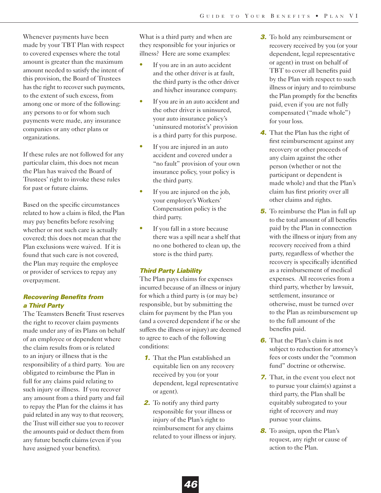Whenever payments have been made by your TBT Plan with respect to covered expenses where the total amount is greater than the maximum amount needed to satisfy the intent of this provision, the Board of Trustees has the right to recover such payments, to the extent of such excess, from among one or more of the following: any persons to or for whom such payments were made, any insurance companies or any other plans or organizations.

If these rules are not followed for any particular claim, this does not mean the Plan has waived the Board of Trustees' right to invoke these rules for past or future claims.

Based on the specific circumstances related to how a claim is filed, the Plan may pay benefits before resolving whether or not such care is actually covered; this does not mean that the Plan exclusions were waived. If it is found that such care is not covered, the Plan may require the employee or provider of services to repay any overpayment.

# *Recovering Benefits from a Third Party*

The Teamsters Benefit Trust reserves the right to recover claim payments made under any of its Plans on behalf of an employee or dependent where the claim results from or is related to an injury or illness that is the responsibility of a third party. You are obligated to reimburse the Plan in full for any claims paid relating to such injury or illness. If you recover any amount from a third party and fail to repay the Plan for the claims it has paid related in any way to that recovery, the Trust will either sue you to recover the amounts paid or deduct them from any future benefit claims (even if you have assigned your benefits).

What is a third party and when are they responsible for your injuries or illness? Here are some examples:

- If you are in an auto accident and the other driver is at fault, the third party is the other driver and his/her insurance company.
- **•** If you are in an auto accident and the other driver is uninsured, your auto insurance policy's 'uninsured motorist's' provision is a third party for this purpose.
- If you are injured in an auto accident and covered under a "no fault" provision of your own insurance policy, your policy is the third party.
- If you are injured on the job, your employer's Workers' Compensation policy is the third party.
- If you fall in a store because there was a spill near a shelf that no one bothered to clean up, the store is the third party.

# *Third Party Liability*

The Plan pays claims for expenses incurred because of an illness or injury for which a third party is (or may be) responsible, but by submitting the claim for payment by the Plan you (and a covered dependent if he or she suffers the illness or injury) are deemed to agree to each of the following conditions:

- *1.* That the Plan established an equitable lien on any recovery received by you (or your dependent, legal representative or agent).
- **2.** To notify any third party responsible for your illness or injury of the Plan's right to reimbursement for any claims related to your illness or injury.
- *3.* To hold any reimbursement or recovery received by you (or your dependent, legal representative or agent) in trust on behalf of TBT to cover all benefits paid by the Plan with respect to such illness or injury and to reimburse the Plan promptly for the benefits paid, even if you are not fully compensated ("made whole") for your loss.
- *4.* That the Plan has the right of first reimbursement against any recovery or other proceeds of any claim against the other person (whether or not the participant or dependent is made whole) and that the Plan's claim has first priority over all other claims and rights.
- *5.* To reimburse the Plan in full up to the total amount of all benefits paid by the Plan in connection with the illness or injury from any recovery received from a third party, regardless of whether the recovery is specifically identified as a reimbursement of medical expenses. All recoveries from a third party, whether by lawsuit, settlement, insurance or otherwise, must be turned over to the Plan as reimbursement up to the full amount of the benefits paid.
- *6.* That the Plan's claim is not subject to reduction for attorney's fees or costs under the "common fund" doctrine or otherwise.
- *7.* That, in the event you elect not to pursue your claim(s) against a third party, the Plan shall be equitably subrogated to your right of recovery and may pursue your claims.
- *8.* To assign, upon the Plan's request, any right or cause of action to the Plan.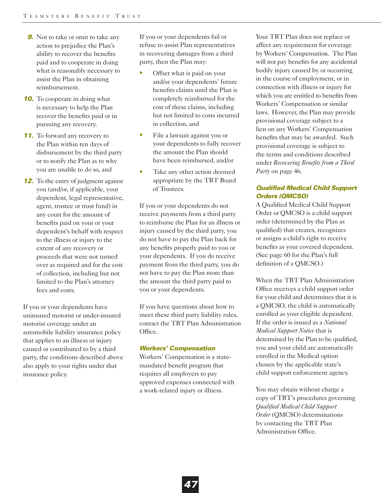- **9.** Not to take or omit to take any action to prejudice the Plan's ability to recover the benefits paid and to cooperate in doing what is reasonably necessary to assist the Plan in obtaining reimbursement.
- **10.** To cooperate in doing what is necessary to help the Plan recover the benefits paid or in pursuing any recovery.
- **11.** To forward any recovery to the Plan within ten days of disbursement by the third party or to notify the Plan as to why you are unable to do so, and
- *12.* To the entry of judgment against you (and/or, if applicable, your dependent, legal representative, agent, trustee or trust fund) in any court for the amount of benefits paid on your or your dependent's behalf with respect to the illness or injury to the extent of any recovery or proceeds that were not turned over as required and for the cost of collection, including but not limited to the Plan's attorney fees and costs.

If you or your dependents have uninsured motorist or under-insured motorist coverage under an automobile liability insurance policy that applies to an illness or injury caused or contributed to by a third party, the conditions described above also apply to your rights under that insurance policy.

If you or your dependents fail or refuse to assist Plan representatives in recovering damages from a third party, then the Plan may:

- **•** Offset what is paid on your and/or your dependents' future benefits claims until the Plan is completely reimbursed for the cost of these claims, including but not limited to costs incurred in collection, and
- File a lawsuit against you or your dependents to fully recover the amount the Plan should have been reimbursed, and/or
- Take any other action deemed appropriate by the TBT Board of Trustees.

If you or your dependents do not receive payments from a third party to reimburse the Plan for an illness or injury caused by the third party, you do not have to pay the Plan back for any benefits properly paid to you or your dependents. If you do receive payment from the third party, you do not have to pay the Plan more than the amount the third party paid to you or your dependents.

If you have questions about how to meet these third party liability rules, contact the TBT Plan Administration Office.

#### *Workers' Compensation*

Workers' Compensation is a statemandated benefit program that requires all employers to pay approved expenses connected with a work-related injury or illness.

Your TBT Plan does not replace or affect any requirement for coverage by Workers' Compensation. The Plan will not pay benefits for any accidental bodily injury caused by or occurring in the course of employment, or in connection with illness or injury for which you are entitled to benefits from Workers' Compensation or similar laws. However, the Plan may provide provisional coverage subject to a lien on any Workers' Compensation benefits that may be awarded. Such provisional coverage is subject to the terms and conditions described under *Recovering Benefits from a Third Party* on page 46.

# *Qualified Medical Child Support Orders (QMCSO)*

A Qualified Medical Child Support Order or QMCSO is a child support order (determined by the Plan as qualified) that creates, recognizes or assigns a child's right to receive benefits as your covered dependent. (See page 60 for the Plan's full definition of a QMCSO.)

When the TBT Plan Administration Office receives a child support order for your child and determines that it is a QMCSO, the child is automatically enrolled as your eligible dependent. If the order is issued as a *National Medical Support Notice* that is determined by the Plan to be qualified, you and your child are automatically enrolled in the Medical option chosen by the applicable state's child support enforcement agency.

You may obtain without charge a copy of TBT's procedures governing *Qualified Medical Child Support Order* (QMCSO) determinations by contacting the TBT Plan Administration Office.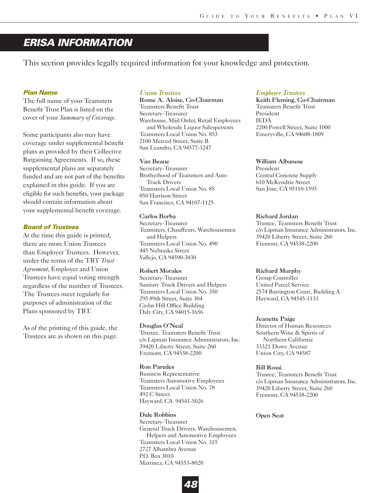# *ERISA INFORMATION*

This section provides legally required information for your knowledge and protection.

### *Plan Name*

The full name of your Teamsters Benefit Trust Plan is listed on the cover of your *Summary of Coverage*.

Some participants also may have coverage under supplemental benefit plans as provided by their Collective Bargaining Agreements. If so, these supplemental plans are separately funded and are not part of the benefits explained in this guide. If you are eligible for such benefits, your package should contain information about your supplemental benefit coverage.

### *Board of Trustees*

At the time this guide is printed, there are more Union Trustees than Employer Trustees. However, under the terms of the TBT *Trust Agreement*, Employer and Union Trustees have equal voting strength regardless of the number of Trustees. The Trustees meet regularly for purposes of administration of the Plans sponsored by TBT.

As of the printing of this guide, the Trustees are as shown on this page.

### *Union Trustees*

Rome A. Aloise, Co-Chairman Teamsters Benefit Trust Secretary-Treasurer Warehouse, Mail Order, Retail Employees and Wholesale Liquor Salespersons Teamsters Local Union No. 853 2100 Merced Street, Suite B San Leandro, CA 94577-3247

#### Van Beane

Secretary-Treasurer Brotherhood of Teamsters and Auto Truck Drivers Teamsters Local Union No. 85 850 Harrison Street San Francisco, CA 94107-1125

### Carlos Borba

Secretary-Treasurer Teamsters, Chauffeurs, Warehousemen and Helpers Teamsters Local Union No. 490 445 Nebraska Street Vallejo, CA 94590-3830

#### Robert Morales

Secretary-Treasurer Sanitary Truck Drivers and Helpers Teamsters Local Union No. 350 295 89th Street, Suite 304 Cedar Hill Office Building Daly City, CA 94015-1656

#### Douglas O'Neal

Trustee, Teamsters Benefit Trust c/o Lipman Insurance Administrators, Inc. 39420 Liberty Street, Suite 260 Fremont, CA 94538-2200

#### Ron Paredes Business Representative

Teamsters Automotive Employees Teamsters Local Union No. 78 492 C Street Hayward, CA 94541-5026

### Dale Robbins

Secretary-Treasurer General Truck Drivers, Warehousemen, Helpers and Automotive Employees Teamsters Local Union No. 315 2727 Alhambra Avenue P.O. Box 3010 Martinez, CA 94553-8020

#### *Employer Trustees*

Keith Fleming, Co-Chairman Teamsters Benefit Trust President IEDA 2200 Powell Street, Suite 1000 Emeryville, CA 94608-1809

#### William Albanese

President Central Concrete Supply 610 McKendrie Street San Jose, CA 95110-1595

#### Richard Jordan

Trustee, Teamsters Benefit Trust c/o Lipman Insurance Administrators, Inc. 39420 Liberty Street, Suite 260 Fremont, CA 94538-2200

#### Richard Murphy

Group Controller United Parcel Service 2574 Barrington Court, Building A Hayward, CA 94545-1133

#### Jeanette Paige

Director of Human Resources Southern Wine & Spirits of Northern California 33321 Dowe Avenue Union City, CA 94587

#### Bill Rossi

Trustee, Teamsters Benefit Trust c/o Lipman Insurance Administrators, Inc. 39420 Liberty Street, Suite 260 Fremont, CA 94538-2200

#### Open Seat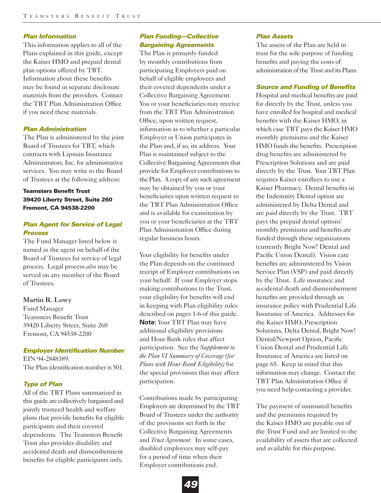### *Plan Information*

This information applies to all of the Plans explained in this guide, except the Kaiser HMO and prepaid dental plan options offered by TBT. Information about these benefits may be found in separate disclosure materials from the providers. Contact the TBT Plan Administration Office if you need these materials.

#### *Plan Administration*

The Plan is administered by the joint Board of Trustees for TBT, which contracts with Lipman Insurance Administrators, Inc. for administrative services. You may write to the Board of Trustees at the following address:

# **Teamsters Benefit Trust 39420 Liberty Street, Suite 260 Fremont, CA 94538-2200**

## *Plan Agent for Service of Legal Process*

The Fund Manager listed below is named as the agent on behalf of the Board of Trustees for service of legal process. Legal process *also* may be served on any member of the Board of Trustees.

### Martin R. Lowy

Fund Manager Teamsters Benefit Trust 39420 Liberty Street, Suite 260 Fremont, CA 94538-2200

### *Employer Identification Number*

EIN 94-2848389. The Plan identification number is 501.

### *Type of Plan*

All of the TBT Plans summarized in this guide are collectively bargained and jointly trusteed health and welfare plans that provide benefits for eligible participants and their covered dependents. The Teamsters Benefit Trust also provides disability and accidental death and dismemberment benefits for eligible participants only.

# *Plan Funding—Collective Bargaining Agreements*

The Plan is primarily funded by monthly contributions from participating Employers paid on behalf of eligible employees and their covered dependents under a Collective Bargaining Agreement. You or your beneficiaries may receive from the TBT Plan Administration Office, upon written request, information as to whether a particular Employer or Union participates in the Plan and, if so, its address. Your Plan is maintained subject to the Collective Bargaining Agreements that provide for Employer contributions to the Plan. A copy of any such agreement may be obtained by you or your beneficiaries upon written request to the TBT Plan Administration Office and is available for examination by you or your beneficiaries at the TBT Plan Administration Office during regular business hours.

Your eligibility for benefits under the Plan depends on the continued receipt of Employer contributions on your behalf. If your Employer stops making contributions to the Trust, your eligibility for benefits will end in keeping with Plan eligibility rules described on pages 1-6 of this guide. **Note:** Your TBT Plan may have additional eligibility provisions and Hour Bank rules that affect participation. See the *Supplement to the Plan VI Summary of Coverage (for Plans with Hour Bank Eligibility)* for the special provisions that may affect participation.

Contributions made by participating Employers are determined by the TBT Board of Trustees under the authority of the provisions set forth in the Collective Bargaining Agreements and *Trust Agreement*. In some cases, disabled employees may self-pay for a period of time when their Employer contributions end.

#### *Plan Assets*

The assets of the Plan are held in trust for the sole purpose of funding benefits and paying the costs of administration of the Trust and its Plans.

### *Source and Funding of Benefits*

Hospital and medical benefits are paid for directly by the Trust, unless you have enrolled for hospital and medical benefits with the Kaiser HMO, in which case TBT pays the Kaiser HMO monthly premiums and the Kaiser HMO funds the benefits. Prescription drug benefits are administered by Prescription Solutions and are paid directly by the Trust. Your TBT Plan requires Kaiser enrollees to use a Kaiser Pharmacy. Dental benefits in the Indemnity Dental option are administered by Delta Dental and are paid directly by the Trust. TBT pays the prepaid dental options' monthly premiums and benefits are funded through these organizations (currently Bright Now! Dental and Pacific Union Dental). Vision care benefits are administered by Vision Service Plan (VSP) and paid directly by the Trust. Life insurance and accidental death and dismemberment benefits are provided through an insurance policy with Prudential Life Insurance of America. Addresses for the Kaiser HMO, Prescription Solutions, Delta Dental, Bright Now! Dental/Newport Option, Pacific Union Dental and Prudential Life Insurance of America are listed on page 65. Keep in mind that this information may change. Contact the TBT Plan Administration Office if you need help contacting a provider.

The payment of uninsured benefits and the premiums required by the Kaiser HMO are payable out of the Trust Fund and are limited to the availability of assets that are collected and available for this purpose.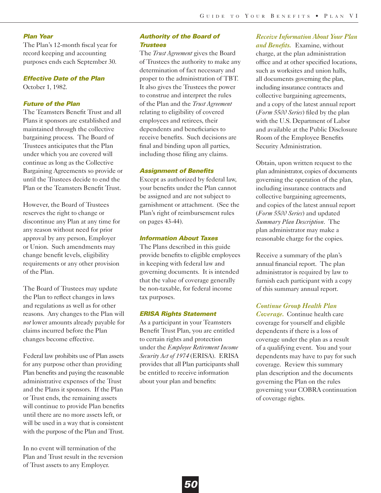#### *Plan Year*

The Plan's 12-month fiscal year for record keeping and accounting purposes ends each September 30.

### *Effective Date of the Plan*

October 1, 1982.

## *Future of the Plan*

The Teamsters Benefit Trust and all Plans it sponsors are established and maintained through the collective bargaining process. The Board of Trustees anticipates that the Plan under which you are covered will continue as long as the Collective Bargaining Agreements so provide or until the Trustees decide to end the Plan or the Teamsters Benefit Trust.

However, the Board of Trustees reserves the right to change or discontinue any Plan at any time for any reason without need for prior approval by any person, Employer or Union. Such amendments may change benefit levels, eligibility requirements or any other provision of the Plan.

The Board of Trustees may update the Plan to reflect changes in laws and regulations as well as for other reasons. Any changes to the Plan will *not* lower amounts already payable for claims incurred before the Plan changes become effective.

Federal law prohibits use of Plan assets for any purpose other than providing Plan benefits and paying the reasonable administrative expenses of the Trust and the Plans it sponsors. If the Plan or Trust ends, the remaining assets will continue to provide Plan benefits until there are no more assets left, or will be used in a way that is consistent with the purpose of the Plan and Trust.

In no event will termination of the Plan and Trust result in the reversion of Trust assets to any Employer.

### *Authority of the Board of Trustees*

The *Trust Agreement* gives the Board of Trustees the authority to make any determination of fact necessary and proper to the administration of TBT. It also gives the Trustees the power to construe and interpret the rules of the Plan and the *Trust Agreement* relating to eligibility of covered employees and retirees, their dependents and beneficiaries to receive benefits. Such decisions are final and binding upon all parties, including those filing any claims.

#### *Assignment of Benefits*

Except as authorized by federal law, your benefits under the Plan cannot be assigned and are not subject to garnishment or attachment. (See the Plan's right of reimbursement rules on pages 43-44).

#### *Information About Taxes*

The Plans described in this guide provide benefits to eligible employees in keeping with federal law and governing documents. It is intended that the value of coverage generally be non-taxable, for federal income tax purposes.

#### *ERISA Rights Statement*

As a participant in your Teamsters Benefit Trust Plan, you are entitled to certain rights and protection under the *Employee Retirement Income Security Act of 1974* (ERISA). ERISA provides that all Plan participants shall be entitled to receive information about your plan and benefits:

*Receive Information About Your Plan and Benefits.* Examine, without charge, at the plan administration office and at other specified locations, such as worksites and union halls, all documents governing the plan, including insurance contracts and collective bargaining agreements, and a copy of the latest annual report (*Form 5500 Series*) filed by the plan with the U.S. Department of Labor and available at the Public Disclosure Room of the Employee Benefits Security Administration.

Obtain, upon written request to the plan administrator, copies of documents governing the operation of the plan, including insurance contracts and collective bargaining agreements, and copies of the latest annual report (*Form 5500 Series*) and updated *Summary Plan Description*. The plan administrator may make a reasonable charge for the copies.

Receive a summary of the plan's annual financial report. The plan administrator is required by law to furnish each participant with a copy of this summary annual report.

### *Continue Group Health Plan*

*Coverage.* Continue health care coverage for yourself and eligible dependents if there is a loss of coverage under the plan as a result of a qualifying event. You and your dependents may have to pay for such coverage. Review this summary plan description and the documents governing the Plan on the rules governing your COBRA continuation of coverage rights.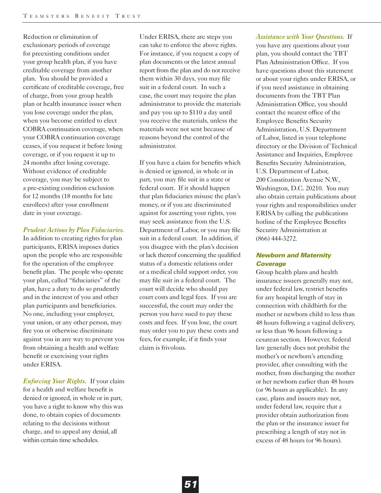Reduction or elimination of exclusionary periods of coverage for preexisting conditions under your group health plan, if you have creditable coverage from another plan. You should be provided a certificate of creditable coverage, free of charge, from your group health plan or health insurance issuer when you lose coverage under the plan, when you become entitled to elect COBRA continuation coverage, when your COBRA continuation coverage ceases, if you request it before losing coverage, or if you request it up to 24 months after losing coverage. Without evidence of creditable coverage, you may be subject to a pre-existing condition exclusion for 12 months (18 months for late enrollees) after your enrollment date in your coverage.

### *Prudent Actions by Plan Fiduciaries.*

In addition to creating rights for plan participants, ERISA imposes duties upon the people who are responsible for the operation of the employee benefit plan. The people who operate your plan, called "fiduciaries" of the plan, have a duty to do so prudently and in the interest of you and other plan participants and beneficiaries. No one, including your employer, your union, or any other person, may fire you or otherwise discriminate against you in any way to prevent you from obtaining a health and welfare benefit or exercising your rights under ERISA.

*Enforcing Your Rights.* If your claim for a health and welfare benefit is denied or ignored, in whole or in part, you have a right to know why this was done, to obtain copies of documents relating to the decisions without charge, and to appeal any denial, all within certain time schedules.

Under ERISA, there are steps you can take to enforce the above rights. For instance, if you request a copy of plan documents or the latest annual report from the plan and do not receive them within 30 days, you may file suit in a federal court. In such a case, the court may require the plan administrator to provide the materials and pay you up to \$110 a day until you receive the materials, unless the materials were not sent because of reasons beyond the control of the administrator.

If you have a claim for benefits which is denied or ignored, in whole or in part, you may file suit in a state or federal court. If it should happen that plan fiduciaries misuse the plan's money, or if you are discriminated against for asserting your rights, you may seek assistance from the U.S. Department of Labor, or you may file suit in a federal court. In addition, if you disagree with the plan's decision or lack thereof concerning the qualified status of a domestic relations order or a medical child support order, you may file suit in a federal court. The court will decide who should pay court costs and legal fees. If you are successful, the court may order the person you have sued to pay these costs and fees. If you lose, the court may order you to pay these costs and fees, for example, if it finds your claim is frivolous.

# *Assistance with Your Questions.* If you have any questions about your plan, you should contact the TBT Plan Administration Office. If you have questions about this statement or about your rights under ERISA, or if you need assistance in obtaining documents from the TBT Plan Administration Office, you should contact the nearest office of the Employee Benefits Security Administration, U.S. Department of Labor, listed in your telephone directory or the Division of Technical Assistance and Inquiries, Employee Benefits Security Administration, U.S. Department of Labor, 200 Constitution Avenue N.W., Washington, D.C. 20210. You may also obtain certain publications about your rights and responsibilities under ERISA by calling the publications hotline of the Employee Benefits

# *Newborn and Maternity Coverage*

Security Administration at

(866) 444-3272.

Group health plans and health insurance issuers generally may not, under federal law, restrict benefits for any hospital length of stay in connection with childbirth for the mother or newborn child to less than 48 hours following a vaginal delivery, or less than 96 hours following a cesarean section. However, federal law generally does not prohibit the mother's or newborn's attending provider, after consulting with the mother, from discharging the mother or her newborn earlier than 48 hours (or 96 hours as applicable). In any case, plans and issuers may not, under federal law, require that a provider obtain authorization from the plan or the insurance issuer for prescribing a length of stay not in excess of 48 hours (or 96 hours).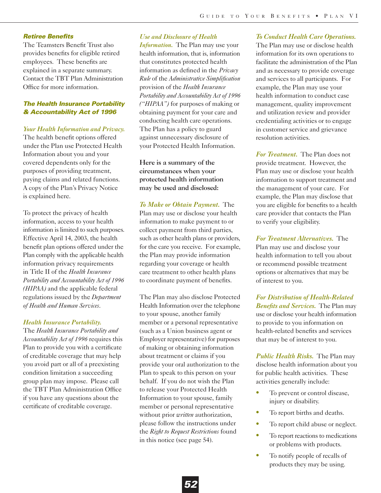#### *Retiree Benefits*

The Teamsters Benefit Trust also provides benefits for eligible retired employees. These benefits are explained in a separate summary. Contact the TBT Plan Administration Office for more information.

# *The Health Insurance Portability & Accountability Act of 1996*

#### *Your Health Information and Privacy.*

The health benefit options offered under the Plan use Protected Health Information about you and your covered dependents only for the purposes of providing treatment, paying claims and related functions. A copy of the Plan's Privacy Notice is explained here.

To protect the privacy of health information, access to your health information is limited to such purposes. Effective April 14, 2003, the health benefit plan options offered under the Plan comply with the applicable health information privacy requirements in Title II of the *Health Insurance Portability and Accountability Act of 1996 (HIPAA)* and the applicable federal regulations issued by the *Department of Health and Human Services*.

#### *Health Insurance Portability.*

The *Health Insurance Portability and Accountability Act of 1996* requires this Plan to provide you with a certificate of creditable coverage that may help you avoid part or all of a preexisting condition limitation a succeeding group plan may impose. Please call the TBT Plan Administration Office if you have any questions about the certificate of creditable coverage.

### *Use and Disclosure of Health*

*Information.* The Plan may use your health information, that is, information that constitutes protected health information as defined in the *Privacy Rule* of the *Administrative Simplification* provision of the *Health Insurance Portability and Accountability Act of 1996 ("HIPAA")* for purposes of making or obtaining payment for your care and conducting health care operations. The Plan has a policy to guard against unnecessary disclosure of your Protected Health Information.

# Here is a summary of the circumstances when your protected health information may be used and disclosed:

*To Make or Obtain Payment.* The Plan may use or disclose your health information to make payment to or collect payment from third parties, such as other health plans or providers, for the care you receive. For example, the Plan may provide information regarding your coverage or health care treatment to other health plans to coordinate payment of benefits.

The Plan may also disclose Protected Health Information over the telephone to your spouse, another family member or a personal representative (such as a Union business agent or Employer representative) for purposes of making or obtaining information about treatment or claims if you provide your oral authorization to the Plan to speak to this person on your behalf. If you do not wish the Plan to release your Protected Health Information to your spouse, family member or personal representative without prior *written* authorization, please follow the instructions under the *Right to Request Restrictions* found in this notice (see page 54).

#### *To Conduct Health Care Operations.*

The Plan may use or disclose health information for its own operations to facilitate the administration of the Plan and as necessary to provide coverage and services to all participants. For example, the Plan may use your health information to conduct case management, quality improvement and utilization review and provider credentialing activities or to engage in customer service and grievance resolution activities.

*For Treatment.* The Plan does not provide treatment. However, the Plan may use or disclose your health information to support treatment and the management of your care. For example, the Plan may disclose that you are eligible for benefits to a health care provider that contacts the Plan to verify your eligibility.

*For Treatment Alternatives.* The Plan may use and disclose your health information to tell you about or recommend possible treatment options or alternatives that may be of interest to you.

*For Distribution of Health-Related Benefits and Services.* The Plan may use or disclose your health information to provide to you information on health-related benefits and services that may be of interest to you.

*Public Health Risks.* The Plan may disclose health information about you for public health activities. These activities generally include:

- **•** To prevent or control disease, injury or disability.
- To report births and deaths.
- **•** To report child abuse or neglect.
- To report reactions to medications or problems with products.
- To notify people of recalls of products they may be using.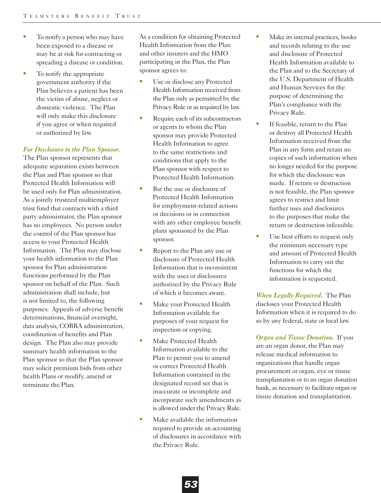- **•** To notify a person who may have been exposed to a disease or may be at risk for contracting or spreading a disease or condition.
- **•** To notify the appropriate government authority if the Plan believes a patient has been the victim of abuse, neglect or domestic violence. The Plan will only make this disclosure if you agree or when required or authorized by law.

#### *For Disclosure to the Plan Sponsor.*

The Plan sponsor represents that adequate separation exists between the Plan and Plan sponsor so that Protected Health Information will be used only for Plan administration. As a jointly trusteed multiemployer trust fund that contracts with a third party administrator, the Plan sponsor has no employees. No person under the control of the Plan sponsor has access to your Protected Health Information. The Plan may disclose your health information to the Plan sponsor for Plan administration functions performed by the Plan sponsor on behalf of the Plan. Such administration shall include, but is not limited to, the following purposes: Appeals of adverse benefit determinations, financial oversight, data analysis, COBRA administration, coordination of benefits and Plan design. The Plan also may provide summary health information to the Plan sponsor so that the Plan sponsor may solicit premium bids from other health Plans or modify, amend or terminate the Plan.

As a condition for obtaining Protected Health Information from the Plan and other insurers and the HMO participating in the Plan, the Plan sponsor agrees to:

- **•** Use or disclose any Protected Health Information received from the Plan only as permitted by the Privacy Rule or as required by law.
- Require each of its subcontractors or agents to whom the Plan sponsor may provide Protected Health Information to agree to the same restrictions and conditions that apply to the Plan sponsor with respect to Protected Health Information.
- Bar the use or disclosure of Protected Health Information for employment-related actions or decisions or in connection with any other employee benefit plans sponsored by the Plan sponsor.
- Report to the Plan any use or disclosure of Protected Health Information that is inconsistent with the uses or disclosures authorized by the Privacy Rule of which it becomes aware.
- Make your Protected Health Information available for purposes of your request for inspection or copying.
- **•** Make Protected Health Information available to the Plan to permit you to amend or correct Protected Health Information contained in the designated record set that is inaccurate or incomplete and incorporate such amendments as is allowed under the Privacy Rule.
- Make available the information required to provide an accounting of disclosures in accordance with the Privacy Rule.
- **•** Make its internal practices, books and records relating to the use and disclosure of Protected Health Information available to the Plan and to the Secretary of the U.S. Department of Health and Human Services for the purpose of determining the Plan's compliance with the Privacy Rule.
- If feasible, return to the Plan or destroy all Protected Health Information received from the Plan in any form and retain no copies of such information when no longer needed for the purpose for which the disclosure was made. If return or destruction is not feasible, the Plan sponsor agrees to restrict and limit further uses and disclosures to the purposes that make the return or destruction infeasible.
- **•** Use best efforts to request only the minimum necessary type and amount of Protected Health Information to carry out the functions for which the information is requested.

*When Legally Required.* The Plan discloses your Protected Health Information when it is required to do so by any federal, state or local law.

*Organ and Tissue Donation.* If you are an organ donor, the Plan may release medical information to organizations that handle organ procurement or organ, eye or tissue transplantation or to an organ donation bank, as necessary to facilitate organ or tissue donation and transplantation.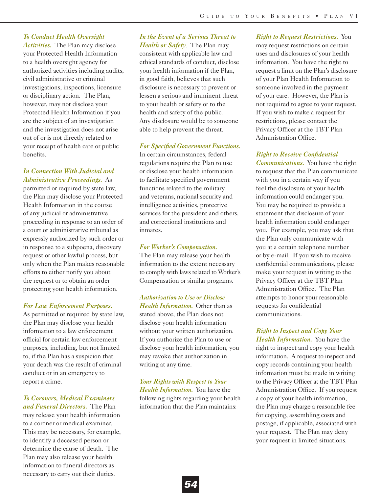# *To Conduct Health Oversight*

*Activities.* The Plan may disclose your Protected Health Information to a health oversight agency for authorized activities including audits, civil administrative or criminal investigations, inspections, licensure or disciplinary action. The Plan, however, may not disclose your Protected Health Information if you are the subject of an investigation and the investigation does not arise out of or is not directly related to your receipt of health care or public benefits.

# *In Connection With Judicial and Administrative Proceedings.* As

permitted or required by state law, the Plan may disclose your Protected Health Information in the course of any judicial or administrative proceeding in response to an order of a court or administrative tribunal as expressly authorized by such order or in response to a subpoena, discovery request or other lawful process, but only when the Plan makes reasonable efforts to either notify you about the request or to obtain an order protecting your health information.

#### *For Law Enforcement Purposes.*

As permitted or required by state law, the Plan may disclose your health information to a law enforcement official for certain law enforcement purposes, including, but not limited to, if the Plan has a suspicion that your death was the result of criminal conduct or in an emergency to report a crime.

*To Coroners, Medical Examiners and Funeral Directors.* The Plan may release your health information

to a coroner or medical examiner. This may be necessary, for example, to identify a deceased person or determine the cause of death. The Plan may also release your health information to funeral directors as necessary to carry out their duties.

# *In the Event of a Serious Threat to*

*Health or Safety*. The Plan may, consistent with applicable law and ethical standards of conduct, disclose your health information if the Plan, in good faith, believes that such disclosure is necessary to prevent or lessen a serious and imminent threat to your health or safety or to the health and safety of the public. Any disclosure would be to someone able to help prevent the threat.

#### *For Specified Government Functions.*

In certain circumstances, federal regulations require the Plan to use or disclose your health information to facilitate specified government functions related to the military and veterans, national security and intelligence activities, protective services for the president and others, and correctional institutions and inmates.

#### *For Worker's Compensation.*

The Plan may release your health information to the extent necessary to comply with laws related to Worker's Compensation or similar programs.

*Authorization to Use or Disclose Health Information.* Other than as stated above, the Plan does not disclose your health information without your written authorization. If you authorize the Plan to use or disclose your health information, you may revoke that authorization in writing at any time.

*Your Rights with Respect to Your Health Information.* You have the following rights regarding your health information that the Plan maintains:

# *Right to Request Restrictions.* You may request restrictions on certain uses and disclosures of your health information. You have the right to request a limit on the Plan's disclosure of your Plan Health Information to someone involved in the payment of your care. However, the Plan is not required to agree to your request.

If you wish to make a request for restrictions, please contact the Privacy Officer at the TBT Plan Administration Office.

### *Right to Receive Confidential*

*Communications.* You have the right to request that the Plan communicate with you in a certain way if you feel the disclosure of your health information could endanger you. You may be required to provide a statement that disclosure of your health information could endanger you. For example, you may ask that the Plan only communicate with you at a certain telephone number or by e-mail. If you wish to receive confidential communications, please make your request in writing to the Privacy Officer at the TBT Plan Administration Office. The Plan attempts to honor your reasonable requests for confidential communications.

*Right to Inspect and Copy Your Health Information.* You have the right to inspect and copy your health information. A request to inspect and copy records containing your health information must be made in writing to the Privacy Officer at the TBT Plan Administration Office. If you request a copy of your health information, the Plan may charge a reasonable fee for copying, assembling costs and postage, if applicable, associated with your request. The Plan may deny your request in limited situations.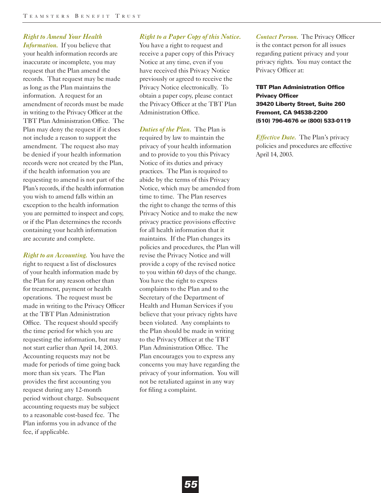# *Right to Amend Your Health*

*Information.* If you believe that your health information records are inaccurate or incomplete, you may request that the Plan amend the records. That request may be made as long as the Plan maintains the information. A request for an amendment of records must be made in writing to the Privacy Officer at the TBT Plan Administration Office. The Plan may deny the request if it does not include a reason to support the amendment. The request also may be denied if your health information records were not created by the Plan, if the health information you are requesting to amend is not part of the Plan's records, if the health information you wish to amend falls within an exception to the health information you are permitted to inspect and copy, or if the Plan determines the records containing your health information are accurate and complete.

*Right to an Accounting.* You have the right to request a list of disclosures of your health information made by the Plan for any reason other than for treatment, payment or health operations. The request must be made in writing to the Privacy Officer at the TBT Plan Administration Office. The request should specify the time period for which you are requesting the information, but may not start earlier than April 14, 2003. Accounting requests may not be made for periods of time going back more than six years. The Plan provides the first accounting you request during any 12-month period without charge. Subsequent accounting requests may be subject to a reasonable cost-based fee. The Plan informs you in advance of the fee, if applicable.

#### *Right to a Paper Copy of this Notice.*

You have a right to request and receive a paper copy of this Privacy Notice at any time, even if you have received this Privacy Notice previously or agreed to receive the Privacy Notice electronically. To obtain a paper copy, please contact the Privacy Officer at the TBT Plan Administration Office.

*Duties of the Plan.* The Plan is required by law to maintain the privacy of your health information and to provide to you this Privacy Notice of its duties and privacy practices. The Plan is required to abide by the terms of this Privacy Notice, which may be amended from time to time. The Plan reserves the right to change the terms of this Privacy Notice and to make the new privacy practice provisions effective for all health information that it maintains. If the Plan changes its policies and procedures, the Plan will revise the Privacy Notice and will provide a copy of the revised notice to you within 60 days of the change. You have the right to express complaints to the Plan and to the Secretary of the Department of Health and Human Services if you believe that your privacy rights have been violated. Any complaints to the Plan should be made in writing to the Privacy Officer at the TBT Plan Administration Office. The Plan encourages you to express any concerns you may have regarding the privacy of your information. You will not be retaliated against in any way for filing a complaint.

*Contact Person.* The Privacy Officer is the contact person for all issues regarding patient privacy and your privacy rights. You may contact the Privacy Officer at:

**TBT Plan Administration Office Privacy Officer 39420 Liberty Street, Suite 260 Fremont, CA 94538-2200 (510) 796-4676 or (800) 533-0119**

*Effective Date.* The Plan's privacy policies and procedures are effective April 14, 2003.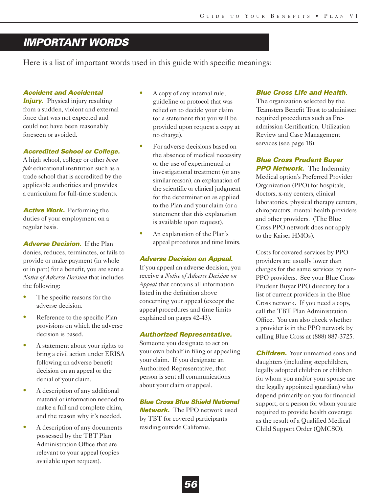# *IMPORTANT WORDS*

Here is a list of important words used in this guide with specific meanings:

# *Accident and Accidental*

*Injury.* Physical injury resulting from a sudden, violent and external force that was not expected and could not have been reasonably foreseen or avoided.

### *Accredited School or College.*

A high school, college or other *bona fide* educational institution such as a trade school that is accredited by the applicable authorities and provides a curriculum for full-time students.

*Active Work.* Performing the duties of your employment on a regular basis.

*Adverse Decision.* If the Plan denies, reduces, terminates, or fails to provide or make payment (in whole or in part) for a benefit, you are sent a *Notice of Adverse Decision* that includes the following:

- **•** The specific reasons for the adverse decision.
- **•** Reference to the specific Plan provisions on which the adverse decision is based.
- **•** A statement about your rights to bring a civil action under ERISA following an adverse benefit decision on an appeal or the denial of your claim.
- **•** A description of any additional material or information needed to make a full and complete claim, and the reason why it's needed.
- **•** A description of any documents possessed by the TBT Plan Administration Office that are relevant to your appeal (copies available upon request).
- **•** A copy of any internal rule, guideline or protocol that was relied on to decide your claim (or a statement that you will be provided upon request a copy at no charge).
- For adverse decisions based on the absence of medical necessity or the use of experimental or investigational treatment (or any similar reason), an explanation of the scientific or clinical judgment for the determination as applied to the Plan and your claim (or a statement that this explanation is available upon request).
- **•** An explanation of the Plan's appeal procedures and time limits.

### *Adverse Decision on Appeal.*

If you appeal an adverse decision, you receive a *Notice of Adverse Decision on Appeal* that contains all information listed in the definition above concerning your appeal (except the appeal procedures and time limits explained on pages 42-43).

### *Authorized Representative.*

Someone you designate to act on your own behalf in filing or appealing your claim. If you designate an Authorized Representative, that person is sent all communications about your claim or appeal.

# *Blue Cross Blue Shield National*

*Network.* The PPO network used by TBT for covered participants residing outside California.

# *Blue Cross Life and Health.*

The organization selected by the Teamsters Benefit Trust to administer required procedures such as Preadmission Certification, Utilization Review and Case Management services (see page 18).

*Blue Cross Prudent Buyer* **PPO Network.** The Indemnity Medical option's Preferred Provider Organization (PPO) for hospitals, doctors, x-ray centers, clinical laboratories, physical therapy centers, chiropractors, mental health providers and other providers. (The Blue Cross PPO network does not apply to the Kaiser HMOs).

Costs for covered services by PPO providers are usually lower than charges for the same services by non-PPO providers. See your Blue Cross Prudent Buyer PPO directory for a list of current providers in the Blue Cross network. If you need a copy, call the TBT Plan Administration Office. You can also check whether a provider is in the PPO network by calling Blue Cross at (888) 887-3725.

*Children.* Your unmarried sons and daughters (including stepchildren, legally adopted children or children for whom you and/or your spouse are the legally appointed guardian) who depend primarily on you for financial support, or a person for whom you are required to provide health coverage as the result of a Qualified Medical Child Support Order (QMCSO).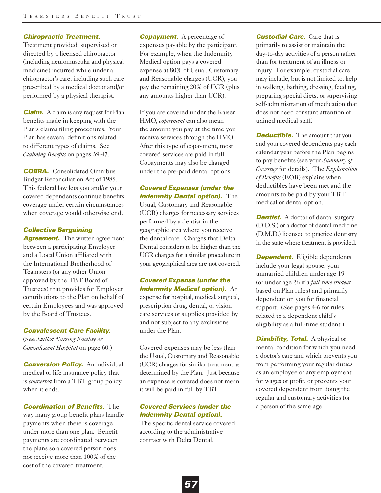### *Chiropractic Treatment.*

Treatment provided, supervised or directed by a licensed chiropractor (including neuromuscular and physical medicine) incurred while under a chiropractor's care, including such care prescribed by a medical doctor and/or performed by a physical therapist.

*Claim.* A claim is any request for Plan benefits made in keeping with the Plan's claims filing procedures. Your Plan has several definitions related to different types of claims. See *Claiming Benefits* on pages 39-47.

*COBRA.* Consolidated Omnibus Budget Reconciliation Act of 1985. This federal law lets you and/or your covered dependents continue benefits coverage under certain circumstances when coverage would otherwise end.

### *Collective Bargaining*

**Agreement.** The written agreement between a participating Employer and a Local Union affiliated with the International Brotherhood of Teamsters (or any other Union approved by the TBT Board of Trustees) that provides for Employer contributions to the Plan on behalf of certain Employees and was approved by the Board of Trustees.

#### *Convalescent Care Facility.*

(See *Skilled Nursing Facility or Convalescent Hospital* on page 60.)

*Conversion Policy.* An individual medical or life insurance policy that is *converted* from a TBT group policy when it ends.

*Coordination of Benefits.* The way many group benefit plans handle payments when there is coverage under more than one plan. Benefit payments are coordinated between the plans so a covered person does not receive more than 100% of the cost of the covered treatment.

*Copayment.* A percentage of expenses payable by the participant. For example, when the Indemnity Medical option pays a covered expense at 80% of Usual, Customary and Reasonable charges (UCR), you pay the remaining 20% of UCR (plus any amounts higher than UCR).

If you are covered under the Kaiser HMO, *copayment* can also mean the amount you pay at the time you receive services through the HMO. After this type of copayment, most covered services are paid in full. Copayments may also be charged under the pre-paid dental options.

*Covered Expenses (under the Indemnity Dental option).* The Usual, Customary and Reasonable (UCR) charges for necessary services performed by a dentist in the geographic area where you receive the dental care. Charges that Delta Dental considers to be higher than the UCR charges for a similar procedure in your geographical area are not covered.

*Covered Expense (under the Indemnity Medical option).* An expense for hospital, medical, surgical, prescription drug, dental, or vision care services or supplies provided by and not subject to any exclusions under the Plan.

Covered expenses may be less than the Usual, Customary and Reasonable (UCR) charges for similar treatment as determined by the Plan. Just because an expense is covered does not mean it will be paid in full by TBT.

# *Covered Services (under the Indemnity Dental option).*

The specific dental service covered according to the administrative contract with Delta Dental.

*Custodial Care.* Care that is primarily to assist or maintain the day-to-day activities of a person rather than for treatment of an illness or injury. For example, custodial care may include, but is not limited to, help in walking, bathing, dressing, feeding, preparing special diets, or supervising self-administration of medication that does not need constant attention of trained medical staff.

*Deductible.* The amount that you and your covered dependents pay each calendar year before the Plan begins to pay benefits (see your *Summary of Coverage* for details). The *Explanation of Benefits* (EOB) explains when deductibles have been met and the amounts to be paid by your TBT medical or dental option.

*Dentist.* A doctor of dental surgery (D.D.S.) or a doctor of dental medicine (D.M.D.) licensed to practice dentistry in the state where treatment is provided.

**Dependent.** Eligible dependents include your legal spouse, your unmarried children under age 19 (or under age 26 if a *full-time student* based on Plan rules) and primarily dependent on you for financial support. (See pages 4-6 for rules related to a dependent child's eligibility as a full-time student.)

*Disability, Total. A physical or* mental condition for which you need a doctor's care and which prevents you from performing your regular duties as an employee or any employment for wages or profit, or prevents your covered dependent from doing the regular and customary activities for a person of the same age.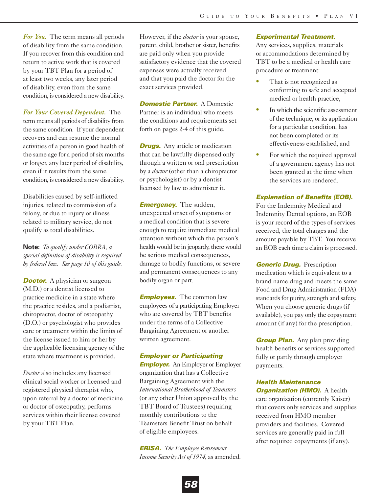*For You.* The term means all periods of disability from the same condition. If you recover from this condition and return to active work that is covered by your TBT Plan for a period of at least two weeks, any later period of disability, even from the same condition, is considered a new disability.

*For Your Covered Dependent.* The term means all periods of disability from the same condition. If your dependent recovers and can resume the normal activities of a person in good health of the same age for a period of six months or longer, any later period of disability, even if it results from the same condition, is considered a new disability.

Disabilities caused by self-inflicted injuries, related to commission of a felony, or due to injury or illness related to military service, do not qualify as total disabilities.

**Note:** *To qualify under COBRA, a special definition of disability is required by federal law. See page 10 of this guide.*

*Doctor.* A physician or surgeon (M.D.) or a dentist licensed to practice medicine in a state where the practice resides, and a podiatrist, chiropractor, doctor of osteopathy (D.O.) or psychologist who provides care or treatment within the limits of the license issued to him or her by the applicable licensing agency of the state where treatment is provided.

*Doctor* also includes any licensed clinical social worker or licensed and registered physical therapist who, upon referral by a doctor of medicine or doctor of osteopathy, performs services within their license covered by your TBT Plan.

However, if the *doctor* is your spouse, parent, child, brother or sister, benefits are paid only when you provide satisfactory evidence that the covered expenses were actually received and that you paid the doctor for the exact services provided.

*Domestic Partner. A Domestic* Partner is an individual who meets the conditions and requirements set forth on pages 2-4 of this guide.

*Drugs.* Any article or medication that can be lawfully dispensed only through a written or oral prescription by a *doctor* (other than a chiropractor or psychologist) or by a dentist licensed by law to administer it.

*Emergency.* The sudden, unexpected onset of symptoms or a medical condition that is severe enough to require immediate medical attention without which the person's health would be in jeopardy, there would be serious medical consequences, damage to bodily functions, or severe and permanent consequences to any bodily organ or part.

*Employees.* The common law employees of a participating Employer who are covered by TBT benefits under the terms of a Collective Bargaining Agreement or another written agreement.

### *Employer or Participating*

*Employer.* An Employer or Employer organization that has a Collective Bargaining Agreement with the *International Brotherhood of Teamsters* (or any other Union approved by the TBT Board of Trustees) requiring monthly contributions to the Teamsters Benefit Trust on behalf of eligible employees.

*ERISA. The Employee Retirement Income Security Act of 1974*, as amended.

#### *Experimental Treatment.*

Any services, supplies, materials or accommodations determined by TBT to be a medical or health care procedure or treatment:

- That is not recognized as conforming to safe and accepted medical or health practice,
- In which the scientific assessment of the technique, or its application for a particular condition, has not been completed or its effectiveness established, and
- For which the required approval of a government agency has not been granted at the time when the services are rendered.

### *Explanation of Benefits (EOB).*

For the Indemnity Medical and Indemnity Dental options, an EOB is your record of the types of services received, the total charges and the amount payable by TBT. You receive an EOB each time a claim is processed.

*Generic Drug.* Prescription medication which is equivalent to a brand name drug and meets the same Food and Drug Administration (FDA) standards for purity, strength and safety. When you choose generic drugs (if available), you pay only the copayment amount (if any) for the prescription.

*Group Plan.* Any plan providing health benefits or services supported fully or partly through employer payments.

*Health Maintenance Organization (HMO).* A health care organization (currently Kaiser) that covers only services and supplies received from HMO member providers and facilities. Covered services are generally paid in full

after required copayments (if any).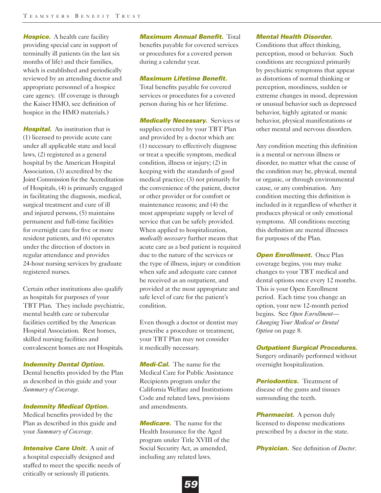**Hospice.** A health care facility providing special care in support of terminally ill patients (in the last six months of life) and their families, which is established and periodically reviewed by an attending doctor and appropriate personnel of a hospice care agency. (If coverage is through the Kaiser HMO, see definition of hospice in the HMO materials.)

**Hospital.** An institution that is (1) licensed to provide acute care under all applicable state and local laws, (2) registered as a general hospital by the American Hospital Association, (3) accredited by the Joint Commission for the Accreditation of Hospitals, (4) is primarily engaged in facilitating the diagnosis, medical, surgical treatment and cure of ill and injured persons, (5) maintains permanent and full-time facilities for overnight care for five or more resident patients, and (6) operates under the direction of doctors in regular attendance and provides 24-hour nursing services by graduate registered nurses.

Certain other institutions also qualify as hospitals for purposes of your TBT Plan. They include psychiatric, mental health care or tubercular facilities certified by the American Hospital Association. Rest homes, skilled nursing facilities and convalescent homes are not Hospitals.

#### *Indemnity Dental Option.*

Dental benefits provided by the Plan as described in this guide and your *Summary of Coverage*.

### *Indemnity Medical Option.*

Medical benefits provided by the Plan as described in this guide and your *Summary of Coverage*.

*Intensive Care Unit.* A unit of a hospital especially designed and staffed to meet the specific needs of critically or seriously ill patients.

*Maximum Annual Benefit.* Total

benefits payable for covered services or procedures for a covered person during a calendar year.

## *Maximum Lifetime Benefit.*

Total benefits payable for covered services or procedures for a covered person during his or her lifetime.

*Medically Necessary.* Services or supplies covered by your TBT Plan and provided by a doctor which are (1) necessary to effectively diagnose or treat a specific symptom, medical condition, illness or injury; (2) in keeping with the standards of good medical practice; (3) not primarily for the convenience of the patient, doctor or other provider or for comfort or maintenance reasons; and (4) the most appropriate supply or level of service that can be safely provided. When applied to hospitalization, *medically necessary* further means that acute care as a bed patient is required due to the nature of the services or the type of illness, injury or condition when safe and adequate care cannot be received as an outpatient, and provided at the most appropriate and safe level of care for the patient's condition.

Even though a doctor or dentist may prescribe a procedure or treatment, your TBT Plan may not consider it medically necessary.

*Medi-Cal.* The name for the Medical Care for Public Assistance Recipients program under the California Welfare and Institutions Code and related laws, provisions and amendments.

*Medicare.* The name for the Health Insurance for the Aged program under Title XVIII of the Social Security Act, as amended, including any related laws.

#### *Mental Health Disorder.*

Conditions that affect thinking, perception, mood or behavior. Such conditions are recognized primarily by psychiatric symptoms that appear as distortions of normal thinking or perception, moodiness, sudden or extreme changes in mood, depression or unusual behavior such as depressed behavior, highly agitated or manic behavior, physical manifestations or other mental and nervous disorders.

Any condition meeting this definition is a mental or nervous illness or disorder, no matter what the cause of the condition may be, physical, mental or organic, or through environmental cause, or any combination. Any condition meeting this definition is included in it regardless of whether it produces physical or only emotional symptoms. All conditions meeting this definition are mental illnesses for purposes of the Plan.

*Open Enrollment.* Once Plan coverage begins, you may make changes to your TBT medical and dental options once every 12 months. This is your Open Enrollment period. Each time you change an option, your new 12-month period begins. See *Open Enrollment— Changing Your Medical or Dental Option* on page 8.

#### *Outpatient Surgical Procedures.*

Surgery ordinarily performed without overnight hospitalization.

*Periodontics.* Treatment of disease of the gums and tissues surrounding the teeth.

**Pharmacist.** A person duly licensed to dispense medications prescribed by a doctor in the state.

*Physician.* See definition of *Doctor*.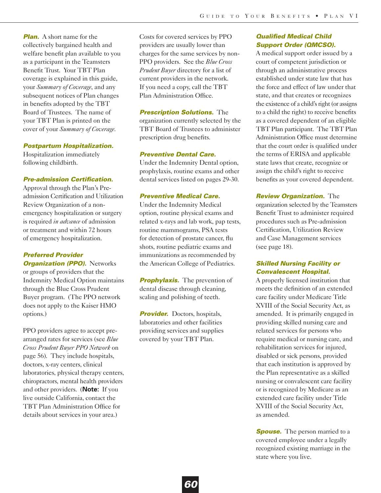*Plan.* A short name for the collectively bargained health and welfare benefit plan available to you as a participant in the Teamsters Benefit Trust. Your TBT Plan coverage is explained in this guide, your *Summary of Coverage*, and any subsequent notices of Plan changes in benefits adopted by the TBT Board of Trustees. The name of your TBT Plan is printed on the cover of your *Summary of Coverage*.

### *Postpartum Hospitalization.*

Hospitalization immediately following childbirth.

#### *Pre-admission Certification.*

Approval through the Plan's Preadmission Certification and Utilization Review Organization of a nonemergency hospitalization or surgery is required *in advance* of admission or treatment and within 72 hours of emergency hospitalization.

# *Preferred Provider*

**Organization (PPO).** Networks or groups of providers that the Indemnity Medical Option maintains through the Blue Cross Prudent Buyer program. (The PPO network does not apply to the Kaiser HMO options.)

PPO providers agree to accept prearranged rates for services (see *Blue Cross Prudent Buyer PPO Network* on page 56). They include hospitals, doctors, x-ray centers, clinical laboratories, physical therapy centers, chiropractors, mental health providers and other providers. (**Note:** If you live outside California, contact the TBT Plan Administration Office for details about services in your area.)

Costs for covered services by PPO providers are usually lower than charges for the same services by non-PPO providers. See the *Blue Cross Prudent Buyer* directory for a list of current providers in the network. If you need a copy, call the TBT Plan Administration Office.

#### *Prescription Solutions.* The

organization currently selected by the TBT Board of Trustees to administer prescription drug benefits.

### *Preventive Dental Care.*

Under the Indemnity Dental option, prophylaxis, routine exams and other dental services listed on pages 29-30.

# *Preventive Medical Care.*

Under the Indemnity Medical option, routine physical exams and related x-rays and lab work, pap tests, routine mammograms, PSA tests for detection of prostate cancer, flu shots, routine pediatric exams and immunizations as recommended by the American College of Pediatrics.

**Prophylaxis.** The prevention of dental disease through cleaning, scaling and polishing of teeth.

*Provider.* Doctors, hospitals, laboratories and other facilities providing services and supplies covered by your TBT Plan.

# *Qualified Medical Child Support Order (QMCSO).*

A medical support order issued by a court of competent jurisdiction or through an administrative process established under state law that has the force and effect of law under that state, and that creates or recognizes the existence of a child's right (or assigns to a child the right) to receive benefits as a covered dependent of an eligible TBT Plan participant. The TBT Plan Administration Office must determine that the court order is qualified under the terms of ERISA and applicable state laws that create, recognize or assign the child's right to receive benefits as your covered dependent.

*Review Organization.* The organization selected by the Teamsters Benefit Trust to administer required procedures such as Pre-admission Certification, Utilization Review and Case Management services (see page 18).

# *Skilled Nursing Facility or Convalescent Hospital.*

A properly licensed institution that meets the definition of an extended care facility under Medicare Title XVIII of the Social Security Act, as amended. It is primarily engaged in providing skilled nursing care and related services for persons who require medical or nursing care, and rehabilitation services for injured, disabled or sick persons, provided that each institution is approved by the Plan representative as a skilled nursing or convalescent care facility or is recognized by Medicare as an extended care facility under Title XVIII of the Social Security Act, as amended.

*Spouse.* The person married to a covered employee under a legally recognized existing marriage in the state where you live.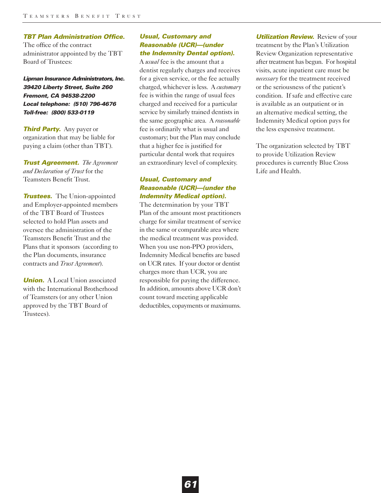#### *TBT Plan Administration Office.*

The office of the contract administrator appointed by the TBT Board of Trustees:

*Lipman Insurance Administrators, Inc. 39420 Liberty Street, Suite 260 Fremont, CA 94538-2200 Local telephone: (510) 796-4676 Toll-free: (800) 533-0119*

*Third Party.* Any payer or organization that may be liable for paying a claim (other than TBT).

*Trust Agreement. The Agreement and Declaration of Trust* for the Teamsters Benefit Trust.

*Trustees.* The Union-appointed and Employer-appointed members of the TBT Board of Trustees selected to hold Plan assets and oversee the administration of the Teamsters Benefit Trust and the Plans that it sponsors (according to the Plan documents, insurance contracts and *Trust Agreement*).

*Union.* A Local Union associated with the International Brotherhood of Teamsters (or any other Union approved by the TBT Board of Trustees).

# *Usual, Customary and Reasonable (UCR)—(under the Indemnity Dental option).*

A *usual* fee is the amount that a dentist regularly charges and receives for a given service, or the fee actually charged, whichever is less. A *customary* fee is within the range of usual fees charged and received for a particular service by similarly trained dentists in the same geographic area. A *reasonable* fee is ordinarily what is usual and customary; but the Plan may conclude that a higher fee is justified for particular dental work that requires an extraordinary level of complexity.

# *Usual, Customary and Reasonable (UCR)—(under the Indemnity Medical option).*

The determination by your TBT Plan of the amount most practitioners charge for similar treatment of service in the same or comparable area where the medical treatment was provided. When you use non-PPO providers, Indemnity Medical benefits are based on UCR rates. If your doctor or dentist charges more than UCR, you are responsible for paying the difference. In addition, amounts above UCR don't count toward meeting applicable deductibles, copayments or maximums.

**Utilization Review.** Review of your treatment by the Plan's Utilization Review Organization representative after treatment has begun. For hospital visits, acute inpatient care must be *necessary* for the treatment received or the seriousness of the patient's condition. If safe and effective care is available as an outpatient or in an alternative medical setting, the Indemnity Medical option pays for the less expensive treatment.

The organization selected by TBT to provide Utilization Review procedures is currently Blue Cross Life and Health.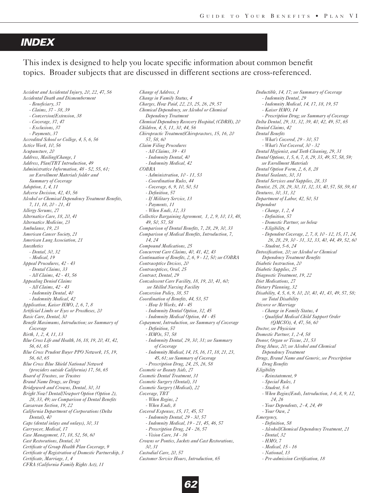# *INDEX*

This index is designed to help you locate specific information about common benefit topics. Broader subjects that are discussed in different sections are cross-referenced.

*Accident and Accidental Injury, 20, 22, 47, 56 Accidental Death and Dismemberment - Beneficiary, 37 - Claims, 37 - 38, 39 - Conversion/Extension, 38 - Coverage, 37, 47 - Exclusions, 37 - Payments, 37 Accredited School or College, 4, 5, 6, 56 Active Work, 10, 56 Acupuncture, 20 Address, Mailing/Change, 1 Address, Plan/TBT Introduction, 49 Administrative Information, 48 - 52, 55, 61; see Enrollment Materials folder and Summary of Coverage Adoption, 1, 4, 11 Adverse Decision, 42, 43, 56 Alcohol or Chemical Dependency Treatment Benefits, 7, 11, 18, 20 - 21, 41 Allergy Serums, 27 Alternative Care, 18, 20, 41 Alternative Medicine, 23 Ambulance, 19, 23 American Cancer Society, 21 American Lung Association, 21 Anesthetics - Dental, 30, 32 - Medical, 19 Appeal Procedures, 42 - 43 - Dental Claims, 33 - All Claims, 42 - 43, 56 Appealing Denied Claims - All Claims, 42 - 43 - Indemnity Dental, 40 - Indemnity Medical, 42 Application, Kaiser HMO, 2, 6, 7, 8 Artificial Limbs or Eyes or Prostheses, 20 Basic Care, Dental, 30 Benefit Maximums, Introduction; see Summary of Coverage Birth, 1, 2, 4, 11, 13 Blue Cross Life and Health, 16, 18, 19, 20, 41, 42, 56, 61, 65 Blue Cross Prudent Buyer PPO Network, 15, 19, 56, 60, 65 Blue Cross Blue Shield National Network (providers outside California) 17, 56, 65 Board of Trustees, see Trustees Brand Name Drugs, see Drugs Bridgework and Crowns, Dental, 30, 31 Bright Now! Dental/Newport Option (Option 2), 28, 33, 49; see Comparison of Dental Benefits Caesarean Section, 19, 22 California Department of Corporations (Delta Dental), 40 Caps (dental inlays and onlays), 30, 31 Carryover, Medical, 17 Case Management, 17, 18, 52, 56, 60 Cast Restorations, Dental, 30 Certificate of Group Health Plan Coverage, 9 Certificate of Registration of Domestic Partnership, 3 Certificate, Marriage, 1, 4 CFRA (California Family Rights Act), 11*

*Change of Address, 1 Change in Family Status, 4 Charges, How Paid, 22, 23, 25, 26, 29, 57 Chemical Dependency, see Alcohol or Chemical Dependency Treatment Chemical Dependency Recovery Hospital, (CDRH), 20 Children, 4, 5, 11, 30, 44, 56 Chiropractic Treatment/Chiropractors, 15, 16, 20 57, 58, 60 Claim Filing Procedures - All Claims, 39 - 43 - Indemnity Dental, 40 - Indemnity Medical, 42 COBRA - Administration, 10 - 11, 53 - Coordination Rules, 44 - Coverage, 6, 9, 10, 50, 51 - Definition, 57 - If Military Service, 13 - Payments, 11 - When Ends, 12, 33 Collective Bargaining Agreement, 1, 2, 9, 10, 13, 48, 49, 50, 57, 58 Comparison of Dental Benefits, 7, 28, 29, 30, 33 Comparison of Medical Benefits, Introduction, 7, 14, 24 Compound Medications, 25 Concurrent Care Claims, 40, 41, 42, 43 Continuation of Benefits, 2, 6, 9 - 12, 50; see COBRA Contraceptive Devices, 20 Contraceptives, Oral, 25 Contract, Dental, 29 Convalescent Care Facility, 18, 19, 20, 41, 60; see Skilled Nursing Facility Conversion Policy, 38, 57 Coordination of Benefits, 44, 53, 57 - How It Works, 44 - 45 - Indemnity Dental Option, 32, 45 - Indemnity Medical Option, 44 - 45 Copayment, Introduction, see Summary of Coverage - Definition, 57 - HMOs, 57, 58 - Indemnity Dental, 29, 30, 31; see Summary of Coverage - Indemnity Medical, 14, 15, 16, 17, 18, 21, 23, 45, 61; see Summary of Coverage - Prescription Drug, 24, 25, 26, 58 Cosmetic or Beauty Aids, 27 Cosmetic Dental Treatment, 31 Cosmetic Surgery (Dental), 31 Cosmetic Surgery (Medical), 22 Coverage, TBT - When Begins, 2 - When Ends, 8 Covered Expenses, 15, 17, 45, 57 - Indemnity Dental, 29 - 30, 57 - Indemnity Medical, 19 - 21, 45, 46, 57 - Prescription Drug, 24 - 26, 57 - Vision Care, 34 - 36 Crowns or Pontics, Jackets and Cast Restorations, 30, 31 Custodial Care, 20, 57 Customer Service Hours, Introduction, 65*

*Deductible, 14, 17; see Summary of Coverage - Indemnity Dental, 29 - Indemnity Medical, 14, 17, 18, 19, 57 - Kaiser HMO, 14 - Prescription Drug; see Summary of Coverage Delta Dental, 29, 31, 32, 39, 40, 42, 49, 57, 65 Denied Claims, 42 Dental Benefits - What's Covered, 29 - 30, 57 - What's Not Covered, 30 - 32 Dental Hygienist, and Teeth Cleaning, 29, 31 Dental Options, 1, 5, 6, 7, 8, 29, 33, 49, 57, 58, 59; see Enrollment Materials Dental Option Form, 2, 6, 8, 28 Dental Sealants, 30, 31 Dental Services and Supplies, 28, 33 Dentist, 25, 28, 29, 30, 31, 32, 33, 40, 57, 58, 59, 61 Dentures, 30, 31, 32 Department of Labor, 42, 50, 51 Dependent - Change, 1, 2, 4 - Definition, 57 - Domestic Partner, see below - Eligibility, 4 - Dependent Coverage, 2, 7, 8, 10 - 12, 15, 17, 24, 26, 28, 29, 30 - 31, 32, 33, 40, 44, 49, 52, 60 - Student, 5-6, 24 Detoxification, 20; see Alcohol or Chemical Dependency Treatment Benefits Diabetic Instruction, 20 Diabetic Supplies, 25 Diagnostic Treatment, 19, 22 Diet Medications, 27 Dietary Planning, 32 Disability, 4, 5, 6, 9, 10, 20, 40, 41, 43, 49, 57, 58; see Total Disability Divorce or Marriage - Change in Family Status, 4 - Qualified Medical Child Support Order (QMCSO), 4, 47, 56, 60 Doctor, see Physician Domestic Partner, 1, 2-4, 58 Donor, Organ or Tissue, 21, 53 Drug Abuse, 20; see Alcohol and Chemical Dependency Treatment Drugs, Brand Name and Generic, see Prescription Drug Benefits Eligibility - Reinstatement, 9 - Special Rules, 1 - Student, 5-6 - When Begins/Ends, Introduction, 1-6, 8, 9, 12, 24, 26 - Your Dependents, 2-4, 24, 49 - Your Own, 2 Emergency, - Definition, 58 - Alcohol/Chemical Dependency Treatment, 21 - Dental, 32 - HMO, 7 - Medical, 15 - 16 - National, 13 - Pre-admission Certification, 18*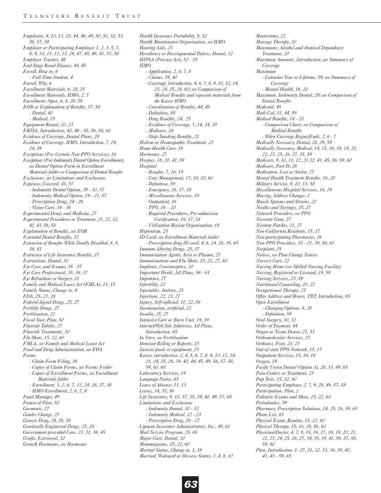*Employees, 4, 10, 13, 28, 44, 46, 49, 50, 51, 52, 53, 56, 57, 58 Employer or Participating Employer, 1, 2, 3, 5, 7, 8, 9, 10, 11, 12, 13, 28, 47, 48, 49, 50, 57, 58 Employer Trustees, 48 End Stage Renal Disease, 44, 45 Enroll, How to, 6 - Full-Time Student, 4 Enroll, Why, 6 Enrollment Materials, 6, 28, 33 Enrollment Materials, HMO, 2, 7 Enrollment, Open, 6, 8, 28, 59 EOB or Explanation of Benefits, 57, 58 - Dental, 40 - Medical, 15 Equipment Rental, 20, 23 ERISA, Introduction, 42, 48 - 55, 56, 58, 60 Evidence of Coverage, Dental Plans, 28 Evidence of Coverage, HMO, Introduction, 7, 14, 24, 39 Exceptions (For Certain Non-PPO Services), 16 Exceptions (For Indemnity Dental Option Enrollment), see Dental Option Form in Enrollment Materials folder or Comparison of Dental Benefits Exclusions, see Limitations and Exclusions Expenses, Covered, 43, 57 - Indemnity Dental Option, 29 - 30, 57 - Indemnity Medical Option, 19 - 21, 57 - Prescription Drug, 24 - 26 - Vision Care, 34 - 36 Experimental Drugs and Medicine, 27 Experimental Procedures or Treatment, 21, 22, 32, 42, 43, 56, 58 Explanation of Benefits, see EOB Extended Dental Benefits, 32 Extension of Benefits While Totally Disabled, 8, 9, 38, 41 Extension of Life Insurance Benefits, 37 Extractions, Dental, 30 Eye Care, and Exams, 35 - 37 Eye Care Professional, 35, 36, 37 Eye Refractions or Surgery, 23 Family and Medical Leave Act (FMLA), 11, 13 Family Status, Change in, 4 FDA, 25, 27, 28 Federal-legend Drugs, 25, 27 Fertility Drugs, 27 Fertilization, 22 Fiscal Year, Plan, 50 Fluoride Tablets, 27 Fluoride Treatments, 30 Flu Shots, 15, 22, 60 FMLA, see Family and Medical Leave Act Food and Drug Administration, see FDA Forms - Claim Form Filing, 38 - Copies of Claim Forms, see Forms Folder - Copies of Enrollment Forms, see Enrollment Materials folder - Enrollment, 1, 2, 6, 7, 12, 24, 28, 37, 38 - HMO Enrollment, 2, 6, 7, 8 Fund Manager, 49 Future of Plan, 50 Garments, 27 Gender Change, 23 Generic Drug, 24, 26, 58 Genetically Engineered Drugs, 25, 28 Government-provided Care, 23, 31, 36, 45 Grafts, Extraoral, 32 Growth Hormones, see Hormones*

*Health Insurance Portability, 9, 52 Health Maintenance Organization, see HMO Hearing Aids, 23 Hereditary or Developmental Defects, Dental, 32 HIPAA (Privacy Act), 52 - 55 HMO - Application, 2, 6, 7, 8 - Claims, 39, 40 - Coverage, Introduction, 4, 6, 7, 8, 9, 10, 12, 14, 23, 24, 25, 26, 60; see Comparison of Medical Benefits and separate materials from the Kaiser HMO - Coordination of Benefits, 44, 45 - Definition, 58 - Drug Benefits, 24, 25 - Evidence of Coverage, 7, 14, 24, 39 - Medicare, 28 - Stop-Smoking Benefits, 21 Holism or Homeopathic Treatment, 23 Home Health Care, 19 Hormones, 27 Hospice, 18, 20, 41, 59 Hospital - Benefits, 7, 16, 19 - Case Management, 17, 18, 20, 60 - Definition, 59 - Emergency, 16, 17, 18 - Miscellaneous Services, 19 - Outpatient, 16 - PPO, 16 - 20 - Required Procedures, Pre-admission Certification, 16, 17, 18 - Utilization Review Organization, 18 Hypnotism, 23 ID Card, see Enrollment Materials folder - Prescription drug ID card, 4, 6, 24, 26, 39, 65 Immune Altering Drugs, 25, 27 Immunization Agents, Sera or Plasma, 27 Immunizations and Flu Shots, 15, 22, 27, 60 Implants, Contraceptive, 20 Important Words, All Plans, 56 - 61 Impotence, 27 Infertility, 22 Injectables, Imitrex, 25 Injections, 22, 23, 27 Injury, Self-inflicted, 10, 22, 58 Insemination, artificial, 22 Insulin, 25, 27 Intensive Care or Burn Unit, 19, 59 Internet/Web Site Addresses, All Plans, Introduction, 65 In Vitro, see Fertilization Itemized Billing or Reports, 23 Jacuzzi pools or equipment, 23 Kaiser, introduction, 2, 4, 5, 6, 7, 8, 9, 10, 12, 14, 21, 24, 25, 26, 39, 40, 44, 45, 49, 56, 57, 58, 59, 60, 65 Laboratory Services, 19 Language Notice, 65 Leave of Absence, 11, 13 Lenses, 34, 35, 36 Life Insurance, 9, 10, 37, 38, 39, 40, 49, 57, 65 Limitations and Exclusions - Indemnity Dental, 30 - 32 - Indemnity Medical, 22 - 23 - Prescription Drug, 26 - 27 Lipman Insurance Administrators, Inc., 49, 61 Mail Service Program, 25, 65 Major Care, Dental, 30 Mammograms, 15, 22, 60 Marital Status, Change in, 1, 38 Married, Widowed or Divorce Status, 1, 4, 8, 10*

*Mastectomy, 22 Massage Therapy, 20 Maximums, Alcohol and chemical Dependency Treatment, 20 Maximum Amounts, Introduction; see Summary of Coverage Maximum - Calendar Year or Lifetime, 59; see Summary of Coverage - Mental Health, 16, 20 Maximum, Indemnity Dental, 29; see Comparison of Dental Benefits Medicaid, 45 Medi-Cal, 31, 44, 59 Medical Benefits, 14 - 23 - Comparison Chart, see Comparison of Medical Benefits - When Coverage Begins/Ends, 2, 6 - 7 Medically Necessary, Dental, 28, 29, 59 Medically Necessary, Medical, 14, 15, 16, 18, 19, 20, 22, 23, 25, 26, 27, 35, 59 Medicare, 9, 10, 11, 12, 23 32, 41, 45, 56, 59, 60 Medicare, Part D, 26 Medication, Lost or Stolen, 27 Mental Health Treatment Benefits, 16, 20 Military Service, 9, 10, 13, 58 Miscellaneous Hospital Services, 16, 19 Moving, Address Changes, 1 Muscle Spasms and Strains, 22 Needles and Syringes, 25, 27 Network Providers, see PPO Nicorette Gum, 27 Nicotine Patches, 21, 27 Non-California Residents, 15, 17 Non-participating Pharmacies, 26 Non-PPO Providers, 15 - 21, 39, 56, 61 Norplant, 25 Notices, see Plan Change Notices Nursery Care, 22 Nursing Home (see Skilled Nursing Facility) Nursing, Registered or Licensed, 19, 59 Nursing Services, 23, 59 Nutritional Counseling, 20, 22 Occupational Therapy, 23 Office Address and Hours, TBT, Introduction, 65 Open Enrollment - Changing Options, 8, 28 - Definition, 59 Oral Surgery, 30, 32 Order of Payment, 44 Organ or Tissue Donor, 21, 53 Orthomolecular Services, 23 Orthotics, Foot, 20, 23 Out-of-state PPO Network, 15, 17 Outpatient Services, 15, 16, 18 Oxygen, 19 Pacific Union Dental (Option 3), 28, 33, 49, 65 Pain Centers or Treatment, 23 Pap Tests, 15, 22, 60 Participating Employer, 2, 7, 9, 28, 49, 57, 58 Participation, Plan, 2 Pediatric Exams and Shots, 15, 22, 60 Periodontics, 59 Pharmacy, Prescription Solutions, 24, 25, 26, 39, 65 Phone List, 65 Physical Exam, Routine, 15, 22, 60 Physical Therapy, 15, 16, 19, 56, 60 Physician/Doctor, 4, 7, 9, 15, 16, 17, 18, 19, 20, 21, 22, 23, 24, 25, 26, 27, 34, 35, 39, 41, 56, 57, 58, 59, 60 Plan, Introduction, 1- 27, 31, 32, 33, 36, 39, 40, 41, 43 - 59, 65*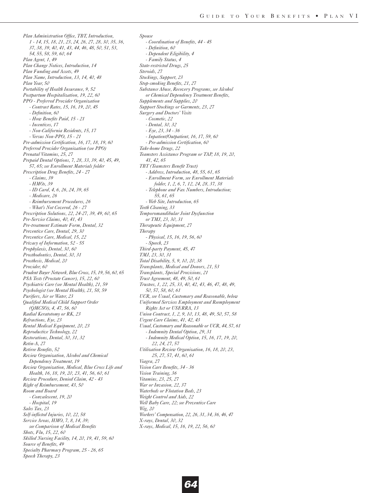*Plan Administration Office, TBT, Introduction, 1 - 14, 15, 18, 21, 23, 24, 26, 27, 28, 30, 35, 36, 37, 38, 39, 40, 41, 43, 44, 46, 48, 50, 51, 53, 54, 55, 58, 59, 60, 64 Plan Agent, 1, 49 Plan Change Notices, Introduction, 14 Plan Funding and Assets, 49 Plan Name, Introduction, 13, 14, 40, 48 Plan Year, 50 Portability of Health Insurance, 9, 52 Postpartum Hospitalization, 19, 22, 60 PPO - Preferred Provider Organization - Contract Rates, 15, 16, 19, 20, 45 - Definition, 60 - How Benefits Paid, 15 - 21 - Incentives, 17 - Non-California Residents, 15, 17 - Versus Non-PPO, 15 - 21 Pre-admission Certification, 16, 17, 18, 19, 60 Preferred Provider Organization (see PPO) Prenatal Vitamins, 25, 27 Prepaid Dental Options, 7, 28, 33, 39, 40, 45, 49, 57, 65; see Enrollment Materials folder Prescription Drug Benefits, 24 - 27 - Claims, 39 - HMOs, 39 - ID Card, 4, 6, 26, 24, 39, 65 - Medicare, 26 - Reimbursement Procedures, 26 - What's Not Covered, 26 - 27 Prescription Solutions, 22, 24-27, 39, 49, 60, 65 Pre-Service Claims, 40, 41, 43 Pre-treatment Estimate Form, Dental, 32 Preventive Care, Dental, 29, 30 Preventive Care, Medical, 15, 22 Privacy of Information, 52 - 55 Prophylaxis, Dental, 30, 60 Prosthodontics, Dental, 30, 31 Prosthesis, Medical, 20 Provider, 60 Prudent Buyer Network, Blue Cross, 15, 19, 56, 60, 65 PSA Tests (Prostate Cancer), 15, 22, 60 Psychiatric Care (see Mental Health), 21, 59 Psychologist (see Mental Health), 21, 58, 59 Purifiers, Air or Water, 23 Qualified Medical Child Support Order (QMCSO), 4, 47, 56, 60 Radial Keratotomy or RK, 23 Refractions, Eye, 23 Rental Medical Equipment, 20, 23 Reproductive Technology, 22 Restorations, Dental, 30, 31, 32 Retin-A, 27 Retiree Benefits, 52 Review Organization, Alcohol and Chemical Dependency Treatment, 19 Review Organization, Medical, Blue Cross Life and Health, 16, 18, 19, 20, 23, 41, 56, 60, 61 Review Procedure, Denied Claim, 42 - 43 Right of Reimbursement, 43, 50 Room and Board - Convalescent, 19, 20 - Hospital, 19 Sales Tax, 23 Self-inflicted Injuries, 10, 22, 58 Service Areas, HMO, 7, 8, 14, 39; see Comparison of Medical Benefits Shots, Flu, 15, 22, 60 Skilled Nursing Facility, 14, 20, 19, 41, 59, 60 Source of Benefits, 49 Specialty Pharmacy Program, 25 - 26, 65 Speech Therapy, 23*

*Spouse - Coordination of Benefits, 44 - 45 - Definition, 60 - Dependent Eligibility, 4 - Family Status, 4 State-restricted Drugs, 25 Steroids, 27 Stockings, Support, 23 Stop-smoking Benefits, 21, 27 Substance Abuse, Recovery Programs, see Alcohol or Chemical Dependency Treatment Benefits, Supplements and Supplies, 20 Support Stockings or Garments, 23, 27 Surgery and Doctors' Visits - Cosmetic, 22 - Dental, 30, 32 - Eye, 23, 34 - 36 - Inpatient/Outpatient, 16, 17, 59, 60 - Pre-admission Certification, 60 Take-home Drugs, 22 Teamsters Assistance Program or TAP, 18, 19, 20, 41, 42, 65 TBT (Teamsters Benefit Trust) - Address, Introduction, 48, 55, 61, 65 - Enrollment Form, see Enrollment Materials folder, 1, 2, 6, 7, 12, 24, 28, 37, 38 - Telephone and Fax Numbers, Introduction; 55, 61, 65 - Web Site, Introduction, 65 Teeth Cleaning, 33 Temporomandibular Joint Dysfunction or TMJ, 23, 30, 31 Therapeutic Equipment, 27 Therapy - Physical, 15, 16, 19, 56, 60 - Speech, 23 Third-party Payment, 45, 47 TMJ, 23, 30, 31 Total Disability, 5, 9, 10, 20, 38 Transplants, Medical and Donors, 21, 53 Transplants, Special Provisions, 21 Trust Agreement, 48, 49, 50, 61 Trustees, 1, 22, 25, 33, 40, 42, 43, 46, 47, 48, 49, 50, 57, 58, 60, 61 UCR, see Usual, Customary and Reasonable, below Uniformed Services Employment and Reemployment Rights Act or USERRA, 13 Union Contract, 1, 2, 9, 10, 13, 48, 49, 50, 57, 58 Urgent Care Claims, 41, 42, 43 Usual, Customary and Reasonable or UCR, 44, 57, 61 - Indemnity Dental Option, 29, 31 - Indemnity Medical Option, 15, 16, 17, 19, 20, 22, 24, 27, 57 Utilization Review Organization, 16, 18, 20, 23, 25, 27, 57, 41, 60, 61 Viagra, 27 Vision Care Benefits, 34 - 36 Vision Training, 36 Vitamins, 23, 25, 27 War or Invasion, 22, 37 Waterbeds or Flotation Beds, 23 Weight Control and Aids, 22 Well Baby Care, 22; see Preventive Care Wig, 20 Workers' Compensation, 22, 26, 31, 34, 36, 46, 47 X-rays, Dental, 30, 32 X-rays, Medical, 15, 16, 19, 22, 56, 60*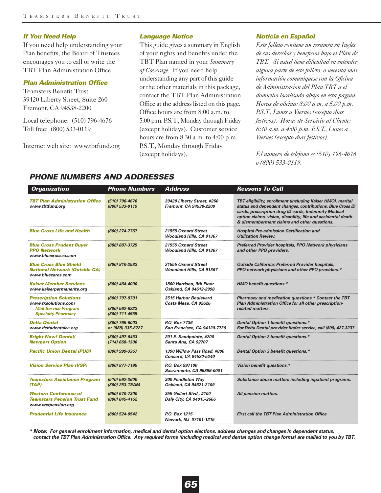### *If You Need Help*

If you need help understanding your Plan benefits, the Board of Trustees encourages you to call or write the TBT Plan Administration Office.

# *Plan Administration Office*

Teamsters Benefit Trust 39420 Liberty Street, Suite 260 Fremont, CA 94538-2200

Local telephone: (510) 796-4676 Toll free: (800) 533-0119

Internet web site: www.tbtfund.org

#### *Language Notice*

This guide gives a summary in English of your rights and benefits under the TBT Plan named in your *Summary of Coverage*. If you need help understanding any part of this guide or the other materials in this package, contact the TBT Plan Administration Office at the address listed on this page. Office hours are from 8:00 a.m. to 5:00 p.m. P.S.T., Monday through Friday (except holidays). Customer service hours are from 8:30 a.m. to 4:00 p.m. P.S.T., Monday through Friday (except holidays).

#### *Noticia en Español*

*Este folleto contiene un resumen en Inglés de sus derechos y beneficios bajo el Plan de TBT. Si usted tiene dificultad en entender alguna parte de este folleto, o necesita mas información comuniquese con la Oficina de Administracion del Plan TBT a el domicilio localisado abajo en esta pagina. Horas de oficina: 8:00 a.m. a 5:00 p.m. P.S.T., Lunes a Viernes (excepto dias festivos). Horas de Servicio al Cliente: 8:30 a.m. a 4:00 p.m. P.S.T., Lunes a Viernes (excepto dias festivos).* 

*El numero de telefono es (510) 796-4676 o (800) 533-0119.* 

# *PHONE NUMBERS AND ADDRESSES*

| <b>Organization</b>                                                                                              | <b>Phone Numbers</b>                               | <b>Address</b>                                         | Reasons To Call                                                                                                                                                                                                                                                                                  |
|------------------------------------------------------------------------------------------------------------------|----------------------------------------------------|--------------------------------------------------------|--------------------------------------------------------------------------------------------------------------------------------------------------------------------------------------------------------------------------------------------------------------------------------------------------|
| <b>TBT Plan Administration Office</b><br>www.tbtfund.org                                                         | (510) 796-4676<br>(800) 533-0119                   | 39420 Liberty Street, #260<br>Fremont, CA 94538-2200   | TBT eligibility, enrollment (including Kaiser HMO), marital<br>status and dependent changes, contributions, Blue Cross ID<br>cards, prescription drug ID cards, Indemnity Medical<br>option claims, vision, disability, life and accidental death<br>& dismemberment claims and other questions. |
| <b>Blue Cross Life and Health</b>                                                                                | (800) 274-7767                                     | 21555 Oxnard Street<br><b>Woodland Hills, CA 91367</b> | <b>Hospital Pre-admission Certification and</b><br><b>Utilization Review.</b>                                                                                                                                                                                                                    |
| <b>Blue Cross Prudent Buyer</b><br><b>PPO Network</b><br>www.bluecrossca.com                                     | (888) 887-3725                                     | 21555 Oxnard Street<br><b>Woodland Hills, CA 91367</b> | <b>Preferred Provider hospitals, PPO Network physicians</b><br>and other PPO providers.                                                                                                                                                                                                          |
| <b>Blue Cross Blue Shield</b><br><b>National Network (Outside CA)</b><br>www.bluecares.com                       | (800) 810-2583                                     | 21555 Oxnard Street<br>Woodland Hills, CA 91367        | <b>Outside California: Preferred Provider hospitals,</b><br>PPO network physicians and other PPO providers.*                                                                                                                                                                                     |
| <b>Kaiser Member Services</b><br>www.kaiserpermanente.org                                                        | (800) 464-4000                                     | 1800 Harrison, 9th Floor<br>Oakland, CA 94612-2998     | <b>HMO benefit questions.*</b>                                                                                                                                                                                                                                                                   |
| <b>Prescription Solutions</b><br>www.rxsolutions.com<br><b>Mail Service Program</b><br><b>Specialty Pharmacy</b> | (800) 797-9791<br>(800) 562-6223<br>(800) 711-4555 | 3515 Harbor Boulevard<br>Costa Mesa, CA 92626          | Pharmacy and medication questions.* Contact the TBT<br>Plan Administration Office for all other prescription-<br>related matters.                                                                                                                                                                |
| <b>Delta Dental</b><br>www.deltadentalca.org                                                                     | (800) 765-6003<br>or (888) 335-8227                | P.O. Box 7736<br>San Francisco, CA 94120-7736          | Dental Option 1 benefit questions.*<br>For Delta Dental provider finder service, call (800) 427-3237.                                                                                                                                                                                            |
| <b>Bright Now! Dental/</b><br><b>Newport Option</b>                                                              | (800) 497-6453<br>(714) 668-1300                   | 201 E. Sandpointe, #200<br>Santa Ana, CA 92707         | Dental Option 2 benefit questions.*                                                                                                                                                                                                                                                              |
| <b>Pacific Union Dental (PUD)</b>                                                                                | (800) 999-3367                                     | 1390 Willow Pass Road, #800<br>Concord, CA 94520-5240  | Dental Option 3 benefit questions.*                                                                                                                                                                                                                                                              |
| <b>Vision Service Plan (VSP)</b>                                                                                 | (800) 877-7195                                     | P.O. Box 997100<br>Sacramento, CA 95899-0001           | Vision benefit questions.*                                                                                                                                                                                                                                                                       |
| <b>Teamsters Assistance Program</b><br>(TAP)                                                                     | (510) 562-3600<br>(800) 253-TEAM                   | 300 Pendleton Way<br>Oakland, CA 94621-2109            | Substance abuse matters including inpatient programs.                                                                                                                                                                                                                                            |
| <b>Western Conference of</b><br><b>Teamsters Pension Trust Fund</b><br>www.wctpension.org                        | (650) 570-7300<br>(800) 845-4162                   | 355 Gellert Blvd., #100<br>Daly City, CA 94015-2666    | All pension matters.                                                                                                                                                                                                                                                                             |
| <b>Prudential Life Insurance</b>                                                                                 | (800) 524-0542                                     | P.O. Box 1215<br>Newark, NJ 07101-1215                 | <b>First call the TBT Plan Administration Office.</b>                                                                                                                                                                                                                                            |

*\* Note: For general enrollment information, medical and dental option elections, address changes and changes in dependent status, contact the TBT Plan Administration Office. Any required forms (including medical and dental option change forms) are mailed to you by TBT.*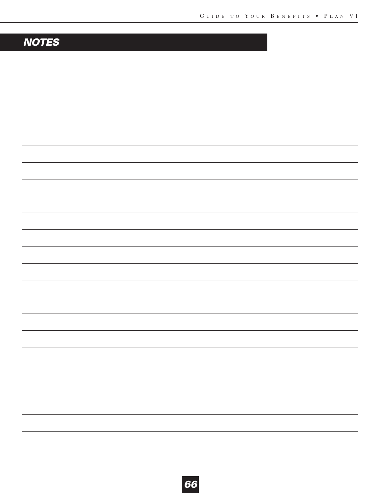# *NOTES*

| - |
|---|
|   |
|   |